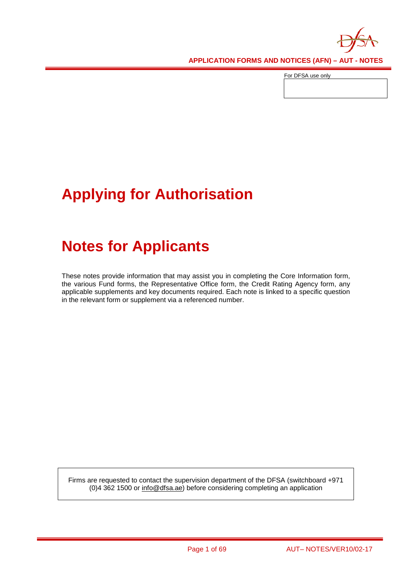

For DFSA use only

# **Applying for Authorisation**

# **Notes for Applicants**

These notes provide information that may assist you in completing the Core Information form, the various Fund forms, the Representative Office form, the Credit Rating Agency form, any applicable supplements and key documents required. Each note is linked to a specific question in the relevant form or supplement via a referenced number.

Firms are requested to contact the supervision department of the DFSA (switchboard +971 (0)4 362 1500 or [info@dfsa.ae\)](mailto:info@dfsa.ae) before considering completing an application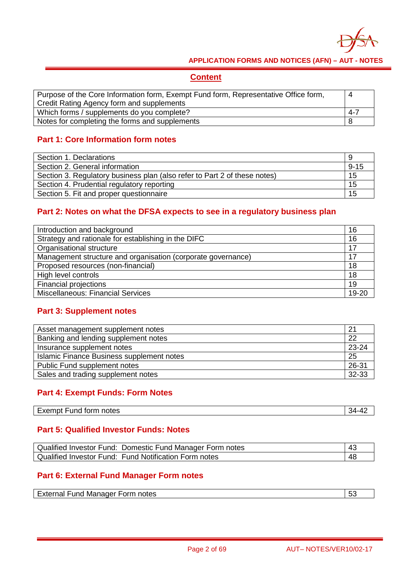

### **Content**

| Purpose of the Core Information form, Exempt Fund form, Representative Office form, |  |
|-------------------------------------------------------------------------------------|--|
| Credit Rating Agency form and supplements                                           |  |
| Which forms / supplements do you complete?<br>$4 - 7$                               |  |
| Notes for completing the forms and supplements                                      |  |

### **Part 1: Core Information form notes**

| Section 1. Declarations                                                   |          |
|---------------------------------------------------------------------------|----------|
| Section 2. General information                                            | $9 - 15$ |
| Section 3. Regulatory business plan (also refer to Part 2 of these notes) | 15       |
| Section 4. Prudential regulatory reporting                                | 15       |
| Section 5. Fit and proper questionnaire                                   | 15       |

### **Part 2: Notes on what the DFSA expects to see in a regulatory business plan**

| Introduction and background<br>16                                  |    |
|--------------------------------------------------------------------|----|
| Strategy and rationale for establishing in the DIFC                | 16 |
| Organisational structure                                           | 17 |
| Management structure and organisation (corporate governance)<br>17 |    |
| Proposed resources (non-financial)<br>18                           |    |
| High level controls                                                | 18 |
| <b>Financial projections</b>                                       | 19 |
| <b>Miscellaneous: Financial Services</b><br>19-20                  |    |

### **Part 3: Supplement notes**

| Asset management supplement notes               | -21   |
|-------------------------------------------------|-------|
| Banking and lending supplement notes            | 22    |
| Insurance supplement notes                      | 23-24 |
| 25<br>Islamic Finance Business supplement notes |       |
| 26-31<br>Public Fund supplement notes           |       |
| Sales and trading supplement notes<br>32-33     |       |
|                                                 |       |

### **Part 4: Exempt Funds: Form Notes**

| Exempt Fund form notes | ∢⊿ |
|------------------------|----|
|                        |    |

### **Part 5: Qualified Investor Funds: Notes**

| Qualified Investor Fund: Domestic Fund Manager Form notes |    |
|-----------------------------------------------------------|----|
| Qualified Investor Fund: Fund Notification Form notes     | 48 |

### **Part 6: External Fund Manager Form notes**

| External Fund Manager Form notes | 5 <sup>°</sup> |
|----------------------------------|----------------|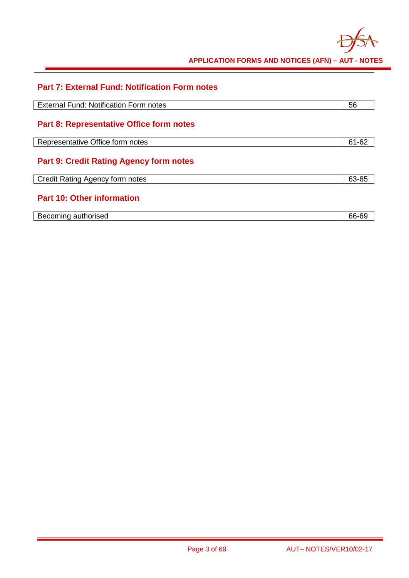

| <b>Part 7: External Fund: Notification Form notes</b> |       |
|-------------------------------------------------------|-------|
|                                                       |       |
| <b>External Fund: Notification Form notes</b>         | 56    |
|                                                       |       |
| <b>Part 8: Representative Office form notes</b>       |       |
|                                                       |       |
| Representative Office form notes                      | 61-62 |
|                                                       |       |
| <b>Part 9: Credit Rating Agency form notes</b>        |       |
| Credit Rating Agency form notes                       | 63-65 |
|                                                       |       |
| <b>Part 10: Other information</b>                     |       |
|                                                       |       |
| Becoming authorised                                   | 66-69 |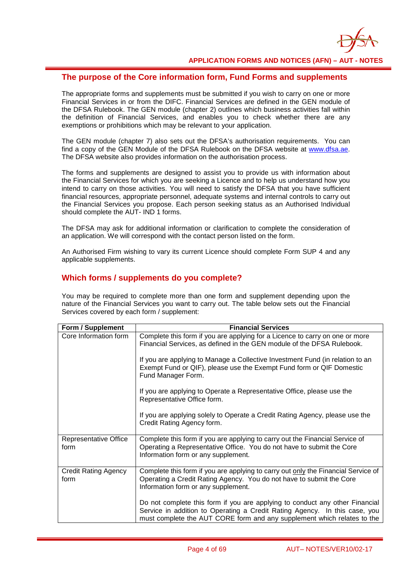

### **The purpose of the Core information form, Fund Forms and supplements**

The appropriate forms and supplements must be submitted if you wish to carry on one or more Financial Services in or from the DIFC. Financial Services are defined in the GEN module of the DFSA Rulebook. The GEN module (chapter 2) outlines which business activities fall within the definition of Financial Services, and enables you to check whether there are any exemptions or prohibitions which may be relevant to your application.

The GEN module (chapter 7) also sets out the DFSA's authorisation requirements. You can find a copy of the GEN Module of the DFSA Rulebook on the DFSA website at [www.dfsa.ae.](http://www.dfsa.ae/) The DFSA website also provides information on the authorisation process.

The forms and supplements are designed to assist you to provide us with information about the Financial Services for which you are seeking a Licence and to help us understand how you intend to carry on those activities. You will need to satisfy the DFSA that you have sufficient financial resources, appropriate personnel, adequate systems and internal controls to carry out the Financial Services you propose. Each person seeking status as an Authorised Individual should complete the AUT- IND 1 forms.

The DFSA may ask for additional information or clarification to complete the consideration of an application. We will correspond with the contact person listed on the form.

An Authorised Firm wishing to vary its current Licence should complete Form SUP 4 and any applicable supplements.

#### **Which forms / supplements do you complete?**

You may be required to complete more than one form and supplement depending upon the nature of the Financial Services you want to carry out. The table below sets out the Financial Services covered by each form / supplement:

| Form / Supplement                   | <b>Financial Services</b>                                                                                                                                                                                                             |
|-------------------------------------|---------------------------------------------------------------------------------------------------------------------------------------------------------------------------------------------------------------------------------------|
| Core Information form               | Complete this form if you are applying for a Licence to carry on one or more<br>Financial Services, as defined in the GEN module of the DFSA Rulebook.                                                                                |
|                                     | If you are applying to Manage a Collective Investment Fund (in relation to an<br>Exempt Fund or QIF), please use the Exempt Fund form or QIF Domestic<br>Fund Manager Form.                                                           |
|                                     | If you are applying to Operate a Representative Office, please use the<br>Representative Office form.                                                                                                                                 |
|                                     | If you are applying solely to Operate a Credit Rating Agency, please use the<br>Credit Rating Agency form.                                                                                                                            |
| Representative Office<br>form       | Complete this form if you are applying to carry out the Financial Service of<br>Operating a Representative Office. You do not have to submit the Core<br>Information form or any supplement.                                          |
| <b>Credit Rating Agency</b><br>form | Complete this form if you are applying to carry out only the Financial Service of<br>Operating a Credit Rating Agency. You do not have to submit the Core<br>Information form or any supplement.                                      |
|                                     | Do not complete this form if you are applying to conduct any other Financial<br>Service in addition to Operating a Credit Rating Agency. In this case, you<br>must complete the AUT CORE form and any supplement which relates to the |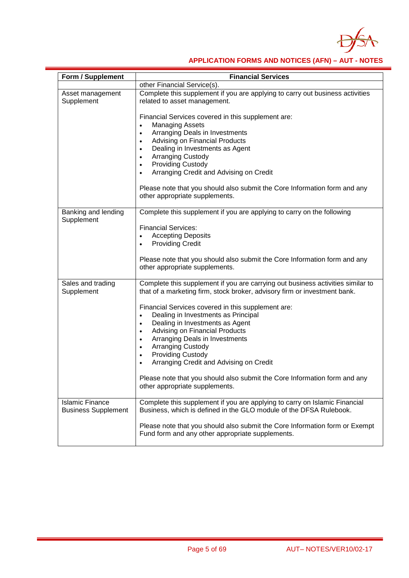

| Form / Supplement                                    | <b>Financial Services</b>                                                                                                                                    |
|------------------------------------------------------|--------------------------------------------------------------------------------------------------------------------------------------------------------------|
|                                                      | other Financial Service(s).                                                                                                                                  |
| Asset management<br>Supplement                       | Complete this supplement if you are applying to carry out business activities<br>related to asset management.                                                |
|                                                      | Financial Services covered in this supplement are:<br><b>Managing Assets</b><br>$\bullet$                                                                    |
|                                                      | Arranging Deals in Investments<br>$\bullet$                                                                                                                  |
|                                                      | Advising on Financial Products<br>$\bullet$<br>Dealing in Investments as Agent<br>$\bullet$                                                                  |
|                                                      | <b>Arranging Custody</b><br>$\bullet$                                                                                                                        |
|                                                      | <b>Providing Custody</b><br>$\bullet$                                                                                                                        |
|                                                      | Arranging Credit and Advising on Credit                                                                                                                      |
|                                                      | Please note that you should also submit the Core Information form and any<br>other appropriate supplements.                                                  |
| Banking and lending                                  | Complete this supplement if you are applying to carry on the following                                                                                       |
| Supplement                                           | <b>Financial Services:</b>                                                                                                                                   |
|                                                      | <b>Accepting Deposits</b>                                                                                                                                    |
|                                                      | <b>Providing Credit</b><br>$\bullet$                                                                                                                         |
|                                                      | Please note that you should also submit the Core Information form and any<br>other appropriate supplements.                                                  |
| Sales and trading<br>Supplement                      | Complete this supplement if you are carrying out business activities similar to<br>that of a marketing firm, stock broker, advisory firm or investment bank. |
|                                                      | Financial Services covered in this supplement are:                                                                                                           |
|                                                      | Dealing in Investments as Principal<br>$\bullet$                                                                                                             |
|                                                      | Dealing in Investments as Agent<br>$\bullet$<br>Advising on Financial Products<br>$\bullet$                                                                  |
|                                                      | Arranging Deals in Investments<br>$\bullet$                                                                                                                  |
|                                                      | Arranging Custody<br>$\bullet$                                                                                                                               |
|                                                      | <b>Providing Custody</b><br>$\bullet$                                                                                                                        |
|                                                      | Arranging Credit and Advising on Credit                                                                                                                      |
|                                                      | Please note that you should also submit the Core Information form and any<br>other appropriate supplements.                                                  |
| <b>Islamic Finance</b><br><b>Business Supplement</b> | Complete this supplement if you are applying to carry on Islamic Financial<br>Business, which is defined in the GLO module of the DFSA Rulebook.             |
|                                                      | Please note that you should also submit the Core Information form or Exempt<br>Fund form and any other appropriate supplements.                              |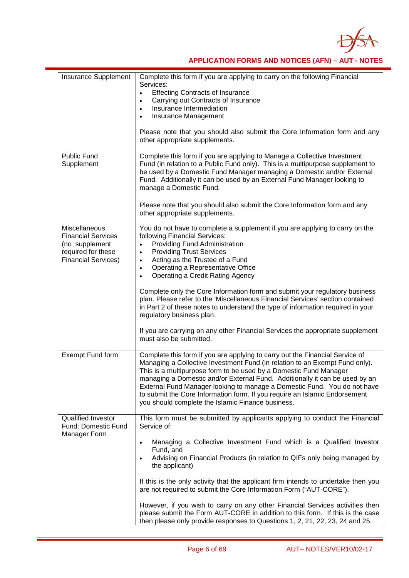

| Insurance Supplement                                                                                             | Complete this form if you are applying to carry on the following Financial<br>Services:<br><b>Effecting Contracts of Insurance</b><br>$\bullet$<br>Carrying out Contracts of Insurance<br>$\bullet$<br>Insurance Intermediation<br>$\bullet$<br>Insurance Management<br>Please note that you should also submit the Core Information form and any<br>other appropriate supplements.                                                                                                                                                                                                                                                                                                                                   |
|------------------------------------------------------------------------------------------------------------------|-----------------------------------------------------------------------------------------------------------------------------------------------------------------------------------------------------------------------------------------------------------------------------------------------------------------------------------------------------------------------------------------------------------------------------------------------------------------------------------------------------------------------------------------------------------------------------------------------------------------------------------------------------------------------------------------------------------------------|
| <b>Public Fund</b><br>Supplement                                                                                 | Complete this form if you are applying to Manage a Collective Investment<br>Fund (in relation to a Public Fund only). This is a multipurpose supplement to<br>be used by a Domestic Fund Manager managing a Domestic and/or External<br>Fund. Additionally it can be used by an External Fund Manager looking to<br>manage a Domestic Fund.<br>Please note that you should also submit the Core Information form and any<br>other appropriate supplements.                                                                                                                                                                                                                                                            |
| Miscellaneous<br><b>Financial Services</b><br>(no supplement<br>required for these<br><b>Financial Services)</b> | You do not have to complete a supplement if you are applying to carry on the<br>following Financial Services:<br>Providing Fund Administration<br><b>Providing Trust Services</b><br>Acting as the Trustee of a Fund<br>Operating a Representative Office<br>$\bullet$<br>Operating a Credit Rating Agency<br>$\bullet$<br>Complete only the Core Information form and submit your regulatory business<br>plan. Please refer to the 'Miscellaneous Financial Services' section contained<br>in Part 2 of these notes to understand the type of information required in your<br>regulatory business plan.<br>If you are carrying on any other Financial Services the appropriate supplement<br>must also be submitted. |
| Exempt Fund form                                                                                                 | Complete this form if you are applying to carry out the Financial Service of<br>Managing a Collective Investment Fund (in relation to an Exempt Fund only).<br>This is a multipurpose form to be used by a Domestic Fund Manager<br>managing a Domestic and/or External Fund. Additionally it can be used by an<br>External Fund Manager looking to manage a Domestic Fund. You do not have<br>to submit the Core Information form. If you require an Islamic Endorsement<br>you should complete the Islamic Finance business.                                                                                                                                                                                        |
| <b>Qualified Investor</b><br>Fund: Domestic Fund<br>Manager Form                                                 | This form must be submitted by applicants applying to conduct the Financial<br>Service of:<br>Managing a Collective Investment Fund which is a Qualified Investor<br>$\bullet$<br>Fund, and<br>Advising on Financial Products (in relation to QIFs only being managed by<br>the applicant)<br>If this is the only activity that the applicant firm intends to undertake then you<br>are not required to submit the Core Information Form ("AUT-CORE").<br>However, if you wish to carry on any other Financial Services activities then<br>please submit the Form AUT-CORE in addition to this form. If this is the case<br>then please only provide responses to Questions 1, 2, 21, 22, 23, 24 and 25.              |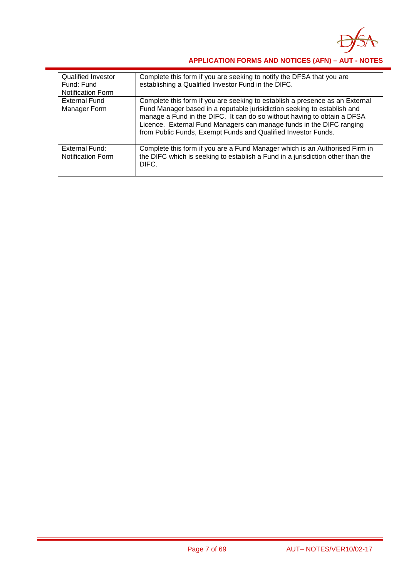

| <b>Qualified Investor</b><br>Fund: Fund<br><b>Notification Form</b> | Complete this form if you are seeking to notify the DFSA that you are<br>establishing a Qualified Investor Fund in the DIFC.                                                                                                                                                                                                                                                 |
|---------------------------------------------------------------------|------------------------------------------------------------------------------------------------------------------------------------------------------------------------------------------------------------------------------------------------------------------------------------------------------------------------------------------------------------------------------|
| <b>External Fund</b><br>Manager Form                                | Complete this form if you are seeking to establish a presence as an External<br>Fund Manager based in a reputable jurisidiction seeking to establish and<br>manage a Fund in the DIFC. It can do so without having to obtain a DFSA<br>Licence. External Fund Managers can manage funds in the DIFC ranging<br>from Public Funds, Exempt Funds and Qualified Investor Funds. |
| External Fund:<br><b>Notification Form</b>                          | Complete this form if you are a Fund Manager which is an Authorised Firm in<br>the DIFC which is seeking to establish a Fund in a jurisdiction other than the<br>DIFC.                                                                                                                                                                                                       |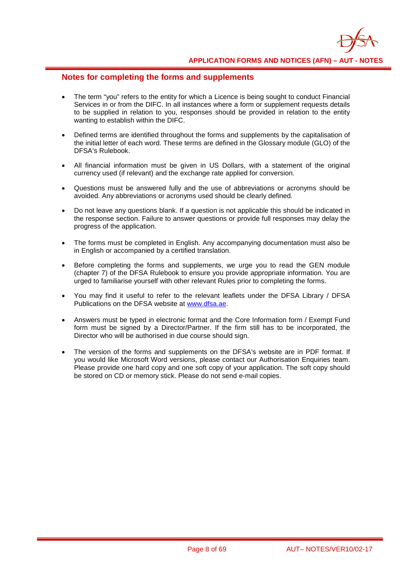

### **Notes for completing the forms and supplements**

- The term "you" refers to the entity for which a Licence is being sought to conduct Financial Services in or from the DIFC. In all instances where a form or supplement requests details to be supplied in relation to you, responses should be provided in relation to the entity wanting to establish within the DIFC.
- Defined terms are identified throughout the forms and supplements by the capitalisation of the initial letter of each word. These terms are defined in the Glossary module (GLO) of the DFSA's Rulebook.
- All financial information must be given in US Dollars, with a statement of the original currency used (if relevant) and the exchange rate applied for conversion.
- Questions must be answered fully and the use of abbreviations or acronyms should be avoided. Any abbreviations or acronyms used should be clearly defined.
- Do not leave any questions blank. If a question is not applicable this should be indicated in the response section. Failure to answer questions or provide full responses may delay the progress of the application.
- The forms must be completed in English. Any accompanying documentation must also be in English or accompanied by a certified translation.
- Before completing the forms and supplements, we urge you to read the GEN module (chapter 7) of the DFSA Rulebook to ensure you provide appropriate information. You are urged to familiarise yourself with other relevant Rules prior to completing the forms.
- You may find it useful to refer to the relevant leaflets under the DFSA Library / DFSA Publications on the DFSA website at [www.dfsa.ae.](http://www.dfsa.ae/)
- Answers must be typed in electronic format and the Core Information form / Exempt Fund form must be signed by a Director/Partner. If the firm still has to be incorporated, the Director who will be authorised in due course should sign.
- The version of the forms and supplements on the DFSA's website are in PDF format. If you would like Microsoft Word versions, please contact our Authorisation Enquiries team. Please provide one hard copy and one soft copy of your application. The soft copy should be stored on CD or memory stick. Please do not send e-mail copies.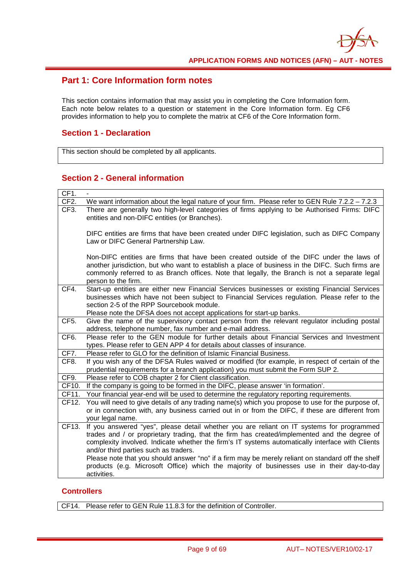

### **Part 1: Core Information form notes**

This section contains information that may assist you in completing the Core Information form. Each note below relates to a question or statement in the Core Information form. Eg CF6 provides information to help you to complete the matrix at CF6 of the Core Information form.

#### **Section 1 - Declaration**

This section should be completed by all applicants.

### **Section 2 - General information**

| CF1.              |                                                                                                                                                                                                                                                                                                                                                                                                                                                                                                                                                         |
|-------------------|---------------------------------------------------------------------------------------------------------------------------------------------------------------------------------------------------------------------------------------------------------------------------------------------------------------------------------------------------------------------------------------------------------------------------------------------------------------------------------------------------------------------------------------------------------|
| CF <sub>2</sub> . | We want information about the legal nature of your firm. Please refer to GEN Rule $7.2.2 - 7.2.3$                                                                                                                                                                                                                                                                                                                                                                                                                                                       |
| CF3.              | There are generally two high-level categories of firms applying to be Authorised Firms: DIFC<br>entities and non-DIFC entities (or Branches).                                                                                                                                                                                                                                                                                                                                                                                                           |
|                   | DIFC entities are firms that have been created under DIFC legislation, such as DIFC Company<br>Law or DIFC General Partnership Law.                                                                                                                                                                                                                                                                                                                                                                                                                     |
|                   | Non-DIFC entities are firms that have been created outside of the DIFC under the laws of<br>another jurisdiction, but who want to establish a place of business in the DIFC. Such firms are<br>commonly referred to as Branch offices. Note that legally, the Branch is not a separate legal<br>person to the firm.                                                                                                                                                                                                                                     |
| CF4.              | Start-up entities are either new Financial Services businesses or existing Financial Services<br>businesses which have not been subject to Financial Services regulation. Please refer to the<br>section 2-5 of the RPP Sourcebook module.<br>Please note the DFSA does not accept applications for start-up banks.                                                                                                                                                                                                                                     |
| CF5.              | Give the name of the supervisory contact person from the relevant regulator including postal<br>address, telephone number, fax number and e-mail address.                                                                                                                                                                                                                                                                                                                                                                                               |
| CF6.              | Please refer to the GEN module for further details about Financial Services and Investment<br>types. Please refer to GEN APP 4 for details about classes of insurance.                                                                                                                                                                                                                                                                                                                                                                                  |
| CF7.              | Please refer to GLO for the definition of Islamic Financial Business.                                                                                                                                                                                                                                                                                                                                                                                                                                                                                   |
| CF8.              | If you wish any of the DFSA Rules waived or modified (for example, in respect of certain of the<br>prudential requirements for a branch application) you must submit the Form SUP 2.                                                                                                                                                                                                                                                                                                                                                                    |
| CF9.              | Please refer to COB chapter 2 for Client classification.                                                                                                                                                                                                                                                                                                                                                                                                                                                                                                |
| CF10.             | If the company is going to be formed in the DIFC, please answer 'in formation'.                                                                                                                                                                                                                                                                                                                                                                                                                                                                         |
| CF11.             | Your financial year-end will be used to determine the regulatory reporting requirements.                                                                                                                                                                                                                                                                                                                                                                                                                                                                |
| CF12.             | You will need to give details of any trading name(s) which you propose to use for the purpose of,<br>or in connection with, any business carried out in or from the DIFC, if these are different from<br>your legal name.                                                                                                                                                                                                                                                                                                                               |
| CF13.             | If you answered "yes", please detail whether you are reliant on IT systems for programmed<br>trades and / or proprietary trading, that the firm has created/implemented and the degree of<br>complexity involved. Indicate whether the firm's IT systems automatically interface with Clients<br>and/or third parties such as traders.<br>Please note that you should answer "no" if a firm may be merely reliant on standard off the shelf<br>products (e.g. Microsoft Office) which the majority of businesses use in their day-to-day<br>activities. |

#### **Controllers**

CF14. Please refer to GEN Rule 11.8.3 for the definition of Controller.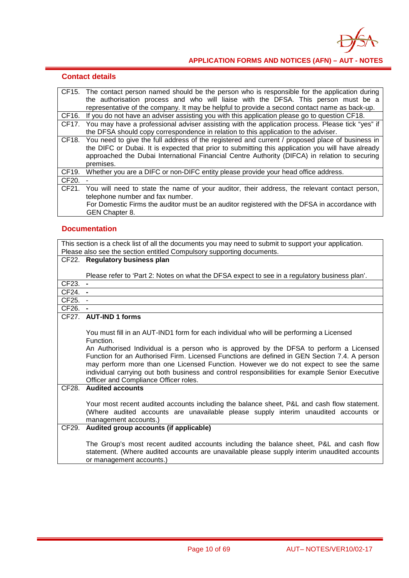

|       | <b>Contact details</b>                                                                                                                                                                                                                                                                                             |
|-------|--------------------------------------------------------------------------------------------------------------------------------------------------------------------------------------------------------------------------------------------------------------------------------------------------------------------|
|       | CF15. The contact person named should be the person who is responsible for the application during<br>the authorisation process and who will liaise with the DFSA. This person must be a<br>representative of the company. It may be helpful to provide a second contact name as back-up.                           |
|       | CF16. If you do not have an adviser assisting you with this application please go to question CF18.                                                                                                                                                                                                                |
| CF17. | You may have a professional adviser assisting with the application process. Please tick "yes" if<br>the DFSA should copy correspondence in relation to this application to the adviser.                                                                                                                            |
| CF18. | You need to give the full address of the registered and current / proposed place of business in<br>the DIFC or Dubai. It is expected that prior to submitting this application you will have already<br>approached the Dubai International Financial Centre Authority (DIFCA) in relation to securing<br>premises. |
| CF19. | Whether you are a DIFC or non-DIFC entity please provide your head office address.                                                                                                                                                                                                                                 |
| CF20. | -                                                                                                                                                                                                                                                                                                                  |
| CF21. | You will need to state the name of your auditor, their address, the relevant contact person,<br>telephone number and fax number.<br>For Domestic Firms the auditor must be an auditor registered with the DFSA in accordance with<br>GEN Chapter 8.                                                                |

#### **Documentation**

This section is a check list of all the documents you may need to submit to support your application. Please also see the section entitled Compulsory supporting documents. CF22. **Regulatory business plan** Please refer to 'Part 2: Notes on what the DFSA expect to see in a regulatory business plan'. CF23. **-** CF24. **-** CF25. - CF26. **-** CF27. **AUT-IND 1 forms** You must fill in an AUT-IND1 form for each individual who will be performing a Licensed Function. An Authorised Individual is a person who is approved by the DFSA to perform a Licensed Function for an Authorised Firm. Licensed Functions are defined in GEN Section 7.4. A person may perform more than one Licensed Function. However we do not expect to see the same individual carrying out both business and control responsibilities for example Senior Executive Officer and Compliance Officer roles. CF28. **Audited accounts** Your most recent audited accounts including the balance sheet, P&L and cash flow statement. (Where audited accounts are unavailable please supply interim unaudited accounts or management accounts.) CF29. **Audited group accounts (if applicable)** The Group's most recent audited accounts including the balance sheet, P&L and cash flow statement. (Where audited accounts are unavailable please supply interim unaudited accounts or management accounts.)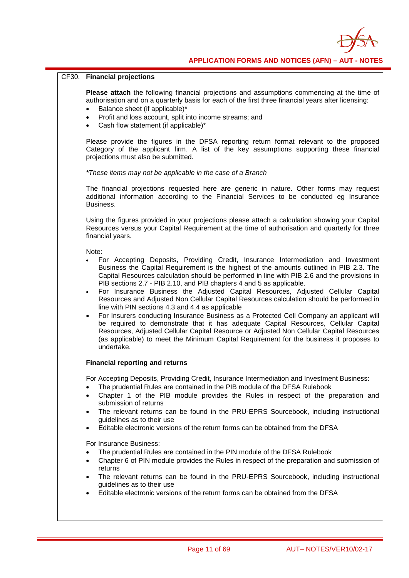

#### CF30. **Financial projections**

**Please attach** the following financial projections and assumptions commencing at the time of authorisation and on a quarterly basis for each of the first three financial years after licensing:

- Balance sheet (if applicable)\*
- Profit and loss account, split into income streams; and
- Cash flow statement (if applicable)\*

Please provide the figures in the DFSA reporting return format relevant to the proposed Category of the applicant firm. A list of the key assumptions supporting these financial projections must also be submitted.

*\*These items may not be applicable in the case of a Branch*

The financial projections requested here are generic in nature. Other forms may request additional information according to the Financial Services to be conducted eg Insurance Business.

Using the figures provided in your projections please attach a calculation showing your Capital Resources versus your Capital Requirement at the time of authorisation and quarterly for three financial years.

Note:

- For Accepting Deposits, Providing Credit, Insurance Intermediation and Investment Business the Capital Requirement is the highest of the amounts outlined in PIB 2.3. The Capital Resources calculation should be performed in line with PIB 2.6 and the provisions in PIB sections 2.7 - PIB 2.10, and PIB chapters 4 and 5 as applicable.
- For Insurance Business the Adjusted Capital Resources, Adjusted Cellular Capital Resources and Adjusted Non Cellular Capital Resources calculation should be performed in line with PIN sections 4.3 and 4.4 as applicable
- For Insurers conducting Insurance Business as a Protected Cell Company an applicant will be required to demonstrate that it has adequate Capital Resources, Cellular Capital Resources, Adjusted Cellular Capital Resource or Adjusted Non Cellular Capital Resources (as applicable) to meet the Minimum Capital Requirement for the business it proposes to undertake.

#### **Financial reporting and returns**

For Accepting Deposits, Providing Credit, Insurance Intermediation and Investment Business:

- The prudential Rules are contained in the PIB module of the DFSA Rulebook
- Chapter 1 of the PIB module provides the Rules in respect of the preparation and submission of returns
- The relevant returns can be found in the PRU-EPRS Sourcebook, including instructional guidelines as to their use
- Editable electronic versions of the return forms can be obtained from the DFSA

For Insurance Business:

- The prudential Rules are contained in the PIN module of the DFSA Rulebook
- Chapter 6 of PIN module provides the Rules in respect of the preparation and submission of returns
- The relevant returns can be found in the PRU-EPRS Sourcebook, including instructional guidelines as to their use
- Editable electronic versions of the return forms can be obtained from the DFSA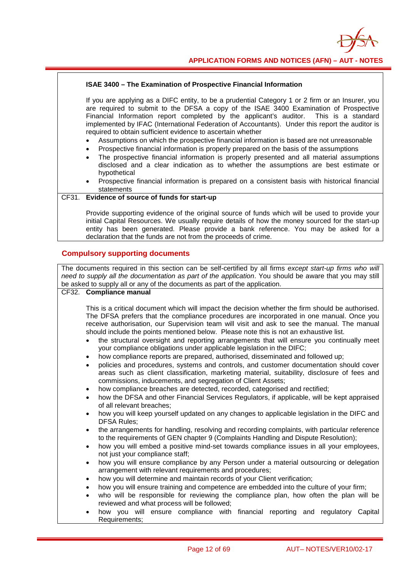

#### **ISAE 3400 – The Examination of Prospective Financial Information**

If you are applying as a DIFC entity, to be a prudential Category 1 or 2 firm or an Insurer, you are required to submit to the DFSA a copy of the ISAE 3400 Examination of Prospective Financial Information report completed by the applicant's auditor. This is a standard implemented by IFAC (International Federation of Accountants). Under this report the auditor is required to obtain sufficient evidence to ascertain whether

- Assumptions on which the prospective financial information is based are not unreasonable
- Prospective financial information is properly prepared on the basis of the assumptions
- The prospective financial information is properly presented and all material assumptions disclosed and a clear indication as to whether the assumptions are best estimate or hypothetical
- Prospective financial information is prepared on a consistent basis with historical financial statements

#### CF31. **Evidence of source of funds for start-up**

Provide supporting evidence of the original source of funds which will be used to provide your initial Capital Resources. We usually require details of how the money sourced for the start-up entity has been generated. Please provide a bank reference. You may be asked for a declaration that the funds are not from the proceeds of crime.

#### **Compulsory supporting documents**

The documents required in this section can be self-certified by all firms *except start-up firms who will need to supply all the documentation as part of the application*. You should be aware that you may still be asked to supply all or any of the documents as part of the application.

#### CF32. **Compliance manual**

This is a critical document which will impact the decision whether the firm should be authorised. The DFSA prefers that the compliance procedures are incorporated in one manual. Once you receive authorisation, our Supervision team will visit and ask to see the manual. The manual should include the points mentioned below. Please note this is not an exhaustive list.

- the structural oversight and reporting arrangements that will ensure you continually meet your compliance obligations under applicable legislation in the DIFC;
- how compliance reports are prepared, authorised, disseminated and followed up;
- policies and procedures, systems and controls, and customer documentation should cover areas such as client classification, marketing material, suitability, disclosure of fees and commissions, inducements, and segregation of Client Assets;
- how compliance breaches are detected, recorded, categorised and rectified;
- how the DFSA and other Financial Services Regulators, if applicable, will be kept appraised of all relevant breaches;
- how you will keep yourself updated on any changes to applicable legislation in the DIFC and DFSA Rules;
- the arrangements for handling, resolving and recording complaints, with particular reference to the requirements of GEN chapter 9 (Complaints Handling and Dispute Resolution);
- how you will embed a positive mind-set towards compliance issues in all your employees, not just your compliance staff;
- how you will ensure compliance by any Person under a material outsourcing or delegation arrangement with relevant requirements and procedures;
- how you will determine and maintain records of your Client verification;
- how you will ensure training and competence are embedded into the culture of your firm;
- who will be responsible for reviewing the compliance plan, how often the plan will be reviewed and what process will be followed;
- how you will ensure compliance with financial reporting and regulatory Capital Requirements;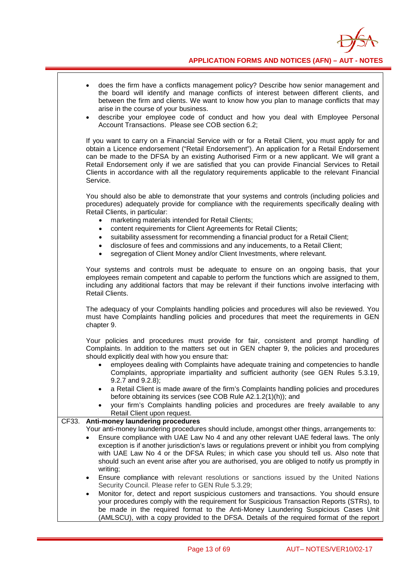

|       | does the firm have a conflicts management policy? Describe how senior management and<br>the board will identify and manage conflicts of interest between different clients, and<br>between the firm and clients. We want to know how you plan to manage conflicts that may<br>arise in the course of your business.<br>describe your employee code of conduct and how you deal with Employee Personal<br>$\bullet$<br>Account Transactions. Please see COB section 6.2;                                                                                                                                                                                                                                                               |
|-------|---------------------------------------------------------------------------------------------------------------------------------------------------------------------------------------------------------------------------------------------------------------------------------------------------------------------------------------------------------------------------------------------------------------------------------------------------------------------------------------------------------------------------------------------------------------------------------------------------------------------------------------------------------------------------------------------------------------------------------------|
|       | If you want to carry on a Financial Service with or for a Retail Client, you must apply for and<br>obtain a Licence endorsement ("Retail Endorsement"). An application for a Retail Endorsement<br>can be made to the DFSA by an existing Authorised Firm or a new applicant. We will grant a<br>Retail Endorsement only if we are satisfied that you can provide Financial Services to Retail<br>Clients in accordance with all the regulatory requirements applicable to the relevant Financial<br>Service.                                                                                                                                                                                                                         |
|       | You should also be able to demonstrate that your systems and controls (including policies and<br>procedures) adequately provide for compliance with the requirements specifically dealing with<br>Retail Clients, in particular:<br>marketing materials intended for Retail Clients;<br>content requirements for Client Agreements for Retail Clients;<br>suitability assessment for recommending a financial product for a Retail Client;<br>٠<br>disclosure of fees and commissions and any inducements, to a Retail Client;<br>$\bullet$<br>segregation of Client Money and/or Client Investments, where relevant.<br>$\bullet$                                                                                                    |
|       | Your systems and controls must be adequate to ensure on an ongoing basis, that your<br>employees remain competent and capable to perform the functions which are assigned to them,<br>including any additional factors that may be relevant if their functions involve interfacing with<br>Retail Clients.                                                                                                                                                                                                                                                                                                                                                                                                                            |
|       | The adequacy of your Complaints handling policies and procedures will also be reviewed. You<br>must have Complaints handling policies and procedures that meet the requirements in GEN<br>chapter 9.                                                                                                                                                                                                                                                                                                                                                                                                                                                                                                                                  |
|       | Your policies and procedures must provide for fair, consistent and prompt handling of<br>Complaints. In addition to the matters set out in GEN chapter 9, the policies and procedures<br>should explicitly deal with how you ensure that:<br>employees dealing with Complaints have adequate training and competencies to handle<br>Complaints, appropriate impartiality and sufficient authority (see GEN Rules 5.3.19,<br>$9.2.7$ and $9.2.8$ );<br>a Retail Client is made aware of the firm's Complaints handling policies and procedures<br>before obtaining its services (see COB Rule A2.1.2(1)(h)); and<br>your firm's Complaints handling policies and procedures are freely available to any<br>Retail Client upon request. |
| CF33. | Anti-money laundering procedures                                                                                                                                                                                                                                                                                                                                                                                                                                                                                                                                                                                                                                                                                                      |
|       | Your anti-money laundering procedures should include, amongst other things, arrangements to:                                                                                                                                                                                                                                                                                                                                                                                                                                                                                                                                                                                                                                          |
|       | Ensure compliance with UAE Law No 4 and any other relevant UAE federal laws. The only<br>exception is if another jurisdiction's laws or regulations prevent or inhibit you from complying<br>with UAE Law No 4 or the DFSA Rules; in which case you should tell us. Also note that<br>should such an event arise after you are authorised, you are obliged to notify us promptly in<br>writing;                                                                                                                                                                                                                                                                                                                                       |
|       | Ensure compliance with relevant resolutions or sanctions issued by the United Nations<br>$\bullet$                                                                                                                                                                                                                                                                                                                                                                                                                                                                                                                                                                                                                                    |
|       | Security Council. Please refer to GEN Rule 5.3.29;<br>Monitor for, detect and report suspicious customers and transactions. You should ensure<br>$\bullet$<br>your procedures comply with the requirement for Suspicious Transaction Reports (STRs), to<br>be made in the required format to the Anti-Money Laundering Suspicious Cases Unit<br>(AMLSCU), with a copy provided to the DFSA. Details of the required format of the report                                                                                                                                                                                                                                                                                              |

 $\overline{\phantom{a}}$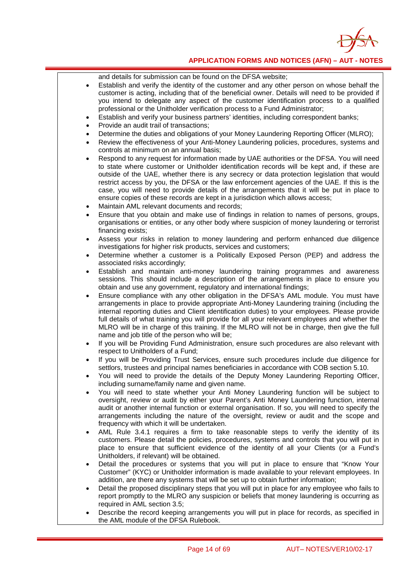

and details for submission can be found on the DFSA website;

- Establish and verify the identity of the customer and any other person on whose behalf the customer is acting, including that of the beneficial owner. Details will need to be provided if you intend to delegate any aspect of the customer identification process to a qualified professional or the Unitholder verification process to a Fund Administrator;
- Establish and verify your business partners' identities, including correspondent banks;
- Provide an audit trail of transactions:
- Determine the duties and obligations of your Money Laundering Reporting Officer (MLRO);
- Review the effectiveness of your Anti-Money Laundering policies, procedures, systems and controls at minimum on an annual basis;
- Respond to any request for information made by UAE authorities or the DFSA. You will need to state where customer or Unitholder identification records will be kept and, if these are outside of the UAE, whether there is any secrecy or data protection legislation that would restrict access by you, the DFSA or the law enforcement agencies of the UAE. If this is the case, you will need to provide details of the arrangements that it will be put in place to ensure copies of these records are kept in a jurisdiction which allows access;
- Maintain AML relevant documents and records;
- Ensure that you obtain and make use of findings in relation to names of persons, groups, organisations or entities, or any other body where suspicion of money laundering or terrorist financing exists;
- Assess your risks in relation to money laundering and perform enhanced due diligence investigations for higher risk products, services and customers;
- Determine whether a customer is a Politically Exposed Person (PEP) and address the associated risks accordingly;
- Establish and maintain anti-money laundering training programmes and awareness sessions. This should include a description of the arrangements in place to ensure you obtain and use any government, regulatory and international findings;
- Ensure compliance with any other obligation in the DFSA's AML module. You must have arrangements in place to provide appropriate Anti-Money Laundering training (including the internal reporting duties and Client identification duties) to your employees. Please provide full details of what training you will provide for all your relevant employees and whether the MLRO will be in charge of this training. If the MLRO will not be in charge, then give the full name and job title of the person who will be;
- If you will be Providing Fund Administration, ensure such procedures are also relevant with respect to Unitholders of a Fund;
- If you will be Providing Trust Services, ensure such procedures include due diligence for settlors, trustees and principal names beneficiaries in accordance with COB section 5.10.
- You will need to provide the details of the Deputy Money Laundering Reporting Officer, including surname/family name and given name.
- You will need to state whether your Anti Money Laundering function will be subject to oversight, review or audit by either your Parent's Anti Money Laundering function, internal audit or another internal function or external organisation. If so, you will need to specify the arrangements including the nature of the oversight, review or audit and the scope and frequency with which it will be undertaken.
- AML Rule 3.4.1 requires a firm to take reasonable steps to verify the identity of its customers. Please detail the policies, procedures, systems and controls that you will put in place to ensure that sufficient evidence of the identity of all your Clients (or a Fund's Unitholders, if relevant) will be obtained.
- Detail the procedures or systems that you will put in place to ensure that "Know Your Customer" (KYC) or Unitholder information is made available to your relevant employees. In addition, are there any systems that will be set up to obtain further information;
- Detail the proposed disciplinary steps that you will put in place for any employee who fails to report promptly to the MLRO any suspicion or beliefs that money laundering is occurring as required in AML section 3.5;
- Describe the record keeping arrangements you will put in place for records, as specified in the AML module of the DFSA Rulebook.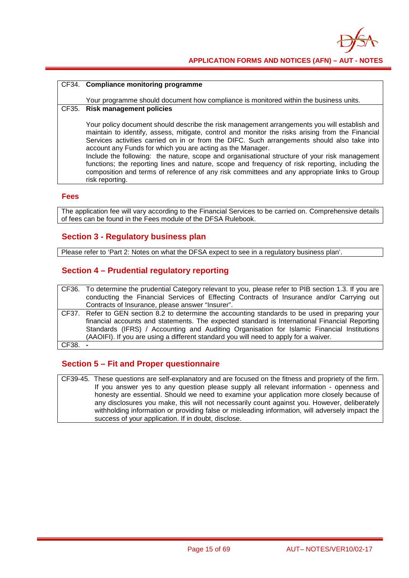

#### CF34. **Compliance monitoring programme**

Your programme should document how compliance is monitored within the business units.

### CF35. **Risk management policies**

Your policy document should describe the risk management arrangements you will establish and maintain to identify, assess, mitigate, control and monitor the risks arising from the Financial Services activities carried on in or from the DIFC. Such arrangements should also take into account any Funds for which you are acting as the Manager.

Include the following: the nature, scope and organisational structure of your risk management functions; the reporting lines and nature, scope and frequency of risk reporting, including the composition and terms of reference of any risk committees and any appropriate links to Group risk reporting.

#### **Fees**

The application fee will vary according to the Financial Services to be carried on. Comprehensive details of fees can be found in the Fees module of the DFSA Rulebook.

#### **Section 3 - Regulatory business plan**

Please refer to 'Part 2: Notes on what the DFSA expect to see in a regulatory business plan'.

### **Section 4 – Prudential regulatory reporting**

|       | CF36. To determine the prudential Category relevant to you, please refer to PIB section 1.3. If you are |
|-------|---------------------------------------------------------------------------------------------------------|
|       | conducting the Financial Services of Effecting Contracts of Insurance and/or Carrying out               |
|       | Contracts of Insurance, please answer "Insurer".                                                        |
|       | CF37. Refer to GEN section 8.2 to determine the accounting standards to be used in preparing your       |
|       | financial accounts and statements. The expected standard is International Financial Reporting           |
|       | Standards (IFRS) / Accounting and Auditing Organisation for Islamic Financial Institutions              |
|       | (AAOIFI). If you are using a different standard you will need to apply for a waiver.                    |
| CF38. |                                                                                                         |

#### **Section 5 – Fit and Proper questionnaire**

CF39-45. These questions are self-explanatory and are focused on the fitness and propriety of the firm. If you answer yes to any question please supply all relevant information - openness and honesty are essential. Should we need to examine your application more closely because of any disclosures you make, this will not necessarily count against you. However, deliberately withholding information or providing false or misleading information, will adversely impact the success of your application. If in doubt, disclose.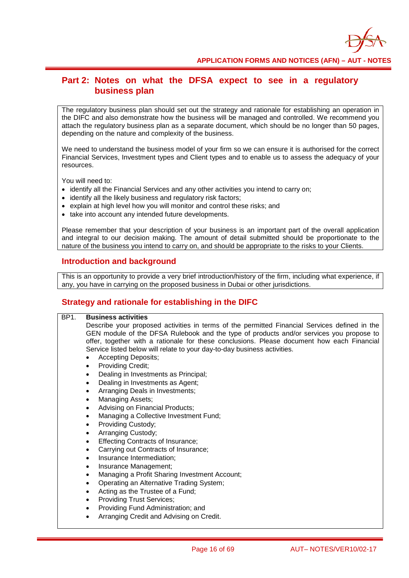

### **Part 2: Notes on what the DFSA expect to see in a regulatory business plan**

The regulatory business plan should set out the strategy and rationale for establishing an operation in the DIFC and also demonstrate how the business will be managed and controlled. We recommend you attach the regulatory business plan as a separate document, which should be no longer than 50 pages, depending on the nature and complexity of the business.

We need to understand the business model of your firm so we can ensure it is authorised for the correct Financial Services, Investment types and Client types and to enable us to assess the adequacy of your resources.

You will need to:

- identify all the Financial Services and any other activities you intend to carry on;
- identify all the likely business and regulatory risk factors;
- explain at high level how you will monitor and control these risks; and
- take into account any intended future developments.

Please remember that your description of your business is an important part of the overall application and integral to our decision making. The amount of detail submitted should be proportionate to the nature of the business you intend to carry on, and should be appropriate to the risks to your Clients.

#### **Introduction and background**

This is an opportunity to provide a very brief introduction/history of the firm, including what experience, if any, you have in carrying on the proposed business in Dubai or other jurisdictions.

#### **Strategy and rationale for establishing in the DIFC**

| BP <sub>1</sub> . | <b>Business activities</b>                                                                    |
|-------------------|-----------------------------------------------------------------------------------------------|
|                   | Describe your proposed activities in terms of the permitted Financial Services defined in the |
|                   | GEN module of the DFSA Rulebook and the type of products and/or services you propose to       |
|                   | offer, together with a rationale for these conclusions. Please document how each Financial    |
|                   | Service listed below will relate to your day-to-day business activities.                      |
|                   | <b>Accepting Deposits;</b>                                                                    |
|                   | Providing Credit;<br>$\bullet$                                                                |
|                   | Dealing in Investments as Principal;<br>$\bullet$                                             |
|                   | Dealing in Investments as Agent;<br>$\bullet$                                                 |
|                   | Arranging Deals in Investments;<br>$\bullet$                                                  |
|                   | Managing Assets;<br>$\bullet$                                                                 |
|                   | Advising on Financial Products;<br>$\bullet$                                                  |
|                   | Managing a Collective Investment Fund;<br>$\bullet$                                           |
|                   | Providing Custody;<br>$\bullet$                                                               |
|                   | Arranging Custody;<br>$\bullet$                                                               |
|                   | Effecting Contracts of Insurance;<br>$\bullet$                                                |
|                   | Carrying out Contracts of Insurance;<br>$\bullet$                                             |
|                   | Insurance Intermediation;<br>$\bullet$                                                        |
|                   | Insurance Management;<br>$\bullet$                                                            |
|                   | Managing a Profit Sharing Investment Account;<br>$\bullet$                                    |
|                   | Operating an Alternative Trading System;<br>$\bullet$                                         |
|                   | Acting as the Trustee of a Fund;<br>$\bullet$                                                 |
|                   | <b>Providing Trust Services;</b><br>$\bullet$                                                 |
|                   | Providing Fund Administration; and<br>$\bullet$                                               |
|                   | Arranging Credit and Advising on Credit.                                                      |
|                   |                                                                                               |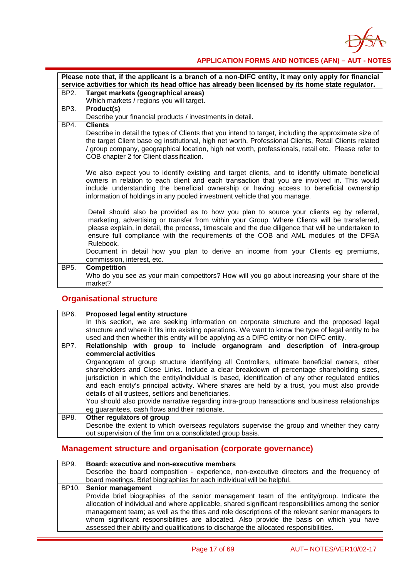

|                 | Please note that, if the applicant is a branch of a non-DIFC entity, it may only apply for financial<br>service activities for which its head office has already been licensed by its home state regulator.                                                                                                                                                                                                                                                                                                             |  |
|-----------------|-------------------------------------------------------------------------------------------------------------------------------------------------------------------------------------------------------------------------------------------------------------------------------------------------------------------------------------------------------------------------------------------------------------------------------------------------------------------------------------------------------------------------|--|
| BP2.            | Target markets (geographical areas)                                                                                                                                                                                                                                                                                                                                                                                                                                                                                     |  |
|                 | Which markets / regions you will target.                                                                                                                                                                                                                                                                                                                                                                                                                                                                                |  |
| BP3.            | Product(s)                                                                                                                                                                                                                                                                                                                                                                                                                                                                                                              |  |
|                 | Describe your financial products / investments in detail.                                                                                                                                                                                                                                                                                                                                                                                                                                                               |  |
| BP4.            | <b>Clients</b>                                                                                                                                                                                                                                                                                                                                                                                                                                                                                                          |  |
|                 | Describe in detail the types of Clients that you intend to target, including the approximate size of<br>the target Client base eg institutional, high net worth, Professional Clients, Retail Clients related<br>/ group company, geographical location, high net worth, professionals, retail etc. Please refer to<br>COB chapter 2 for Client classification.                                                                                                                                                         |  |
|                 | We also expect you to identify existing and target clients, and to identify ultimate beneficial<br>owners in relation to each client and each transaction that you are involved in. This would<br>include understanding the beneficial ownership or having access to beneficial ownership<br>information of holdings in any pooled investment vehicle that you manage.                                                                                                                                                  |  |
|                 | Detail should also be provided as to how you plan to source your clients eg by referral,<br>marketing, advertising or transfer from within your Group. Where Clients will be transferred,<br>please explain, in detail, the process, timescale and the due diligence that will be undertaken to<br>ensure full compliance with the requirements of the COB and AML modules of the DFSA<br>Rulebook.<br>Document in detail how you plan to derive an income from your Clients eg premiums,<br>commission, interest, etc. |  |
| BP <sub>5</sub> | <b>Competition</b><br>Who do you see as your main competitors? How will you go about increasing your share of the<br>market?                                                                                                                                                                                                                                                                                                                                                                                            |  |

## **Organisational structure**

| <b>BP6.</b> | Proposed legal entity structure                                                                                                                                                           |
|-------------|-------------------------------------------------------------------------------------------------------------------------------------------------------------------------------------------|
|             | In this section, we are seeking information on corporate structure and the proposed legal                                                                                                 |
|             | structure and where it fits into existing operations. We want to know the type of legal entity to be                                                                                      |
|             | used and then whether this entity will be applying as a DIFC entity or non-DIFC entity.                                                                                                   |
| BP7.        | Relationship with group to include organogram and description of intra-group                                                                                                              |
|             | commercial activities                                                                                                                                                                     |
|             | Organogram of group structure identifying all Controllers, ultimate beneficial owners, other<br>shareholders and Close Links. Include a clear breakdown of percentage shareholding sizes, |
|             | jurisdiction in which the entity/individual is based, identification of any other regulated entities                                                                                      |
|             | and each entity's principal activity. Where shares are held by a trust, you must also provide                                                                                             |
|             | details of all trustees, settlors and beneficiaries.                                                                                                                                      |
|             | You should also provide narrative regarding intra-group transactions and business relationships                                                                                           |
|             | eg guarantees, cash flows and their rationale.                                                                                                                                            |
| BP8.        | Other regulators of group                                                                                                                                                                 |
|             | Describe the extent to which overseas regulators supervise the group and whether they carry                                                                                               |
|             | out supervision of the firm on a consolidated group basis.                                                                                                                                |

## **Management structure and organisation (corporate governance)**

| BP9. | Board: executive and non-executive members                                                                                                                                                                                                                                                                                                                                                                                                                                                 |
|------|--------------------------------------------------------------------------------------------------------------------------------------------------------------------------------------------------------------------------------------------------------------------------------------------------------------------------------------------------------------------------------------------------------------------------------------------------------------------------------------------|
|      | Describe the board composition - experience, non-executive directors and the frequency of                                                                                                                                                                                                                                                                                                                                                                                                  |
|      | board meetings. Brief biographies for each individual will be helpful.                                                                                                                                                                                                                                                                                                                                                                                                                     |
|      | BP10. Senior management                                                                                                                                                                                                                                                                                                                                                                                                                                                                    |
|      | Provide brief biographies of the senior management team of the entity/group. Indicate the<br>allocation of individual and where applicable, shared significant responsibilities among the senior<br>management team; as well as the titles and role descriptions of the relevant senior managers to<br>whom significant responsibilities are allocated. Also provide the basis on which you have<br>assessed their ability and qualifications to discharge the allocated responsibilities. |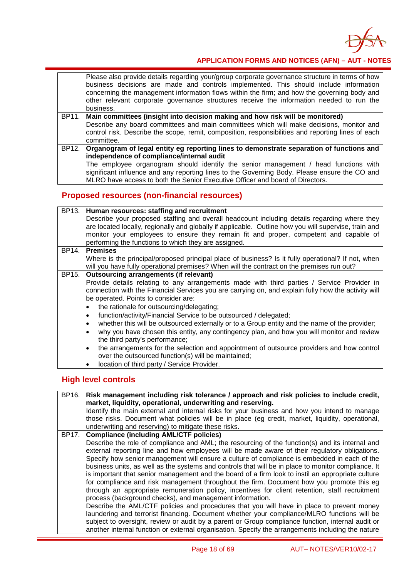

Please also provide details regarding your/group corporate governance structure in terms of how business decisions are made and controls implemented. This should include information concerning the management information flows within the firm; and how the governing body and other relevant corporate governance structures receive the information needed to run the business.

- BP11. **Main committees (insight into decision making and how risk will be monitored)** Describe any board committees and main committees which will make decisions, monitor and control risk. Describe the scope, remit, composition, responsibilities and reporting lines of each committee.
- BP12. **Organogram of legal entity eg reporting lines to demonstrate separation of functions and independence of compliance/internal audit**

The employee organogram should identify the senior management / head functions with significant influence and any reporting lines to the Governing Body. Please ensure the CO and MLRO have access to both the Senior Executive Officer and board of Directors.

### **Proposed resources (non-financial resources)**

| BP13. Human resources: staffing and recruitment                                                                                                               |
|---------------------------------------------------------------------------------------------------------------------------------------------------------------|
| Describe your proposed staffing and overall headcount including details regarding where they                                                                  |
| are located locally, regionally and globally if applicable. Outline how you will supervise, train and                                                         |
| monitor your employees to ensure they remain fit and proper, competent and capable of                                                                         |
| performing the functions to which they are assigned.                                                                                                          |
| BP14. Premises                                                                                                                                                |
| Where is the principal/proposed principal place of business? Is it fully operational? If not, when                                                            |
| will you have fully operational premises? When will the contract on the premises run out?                                                                     |
| BP15. Outsourcing arrangements (if relevant)                                                                                                                  |
| Provide details relating to any arrangements made with third parties / Service Provider in                                                                    |
| connection with the Financial Services you are carrying on, and explain fully how the activity will                                                           |
| be operated. Points to consider are:                                                                                                                          |
| the rationale for outsourcing/delegating;                                                                                                                     |
| function/activity/Financial Service to be outsourced / delegated;                                                                                             |
| whether this will be outsourced externally or to a Group entity and the name of the provider;                                                                 |
| why you have chosen this entity, any contingency plan, and how you will monitor and review                                                                    |
| the third party's performance;                                                                                                                                |
| the arrangements for the selection and appointment of outsource providers and how control<br>$\bullet$<br>over the outsourced function(s) will be maintained; |

• location of third party / Service Provider.

#### **High level controls**

BP16. **Risk management including risk tolerance / approach and risk policies to include credit, market, liquidity, operational, underwriting and reserving.** Identify the main external and internal risks for your business and how you intend to manage those risks. Document what policies will be in place (eg credit, market, liquidity, operational, underwriting and reserving) to mitigate these risks. BP17. **Compliance (including AML/CTF policies)** Describe the role of compliance and AML; the resourcing of the function(s) and its internal and external reporting line and how employees will be made aware of their regulatory obligations. Specify how senior management will ensure a culture of compliance is embedded in each of the business units, as well as the systems and controls that will be in place to monitor compliance. It is important that senior management and the board of a firm look to instil an appropriate culture for compliance and risk management throughout the firm. Document how you promote this eg through an appropriate remuneration policy, incentives for client retention, staff recruitment process (background checks), and management information. Describe the AML/CTF policies and procedures that you will have in place to prevent money laundering and terrorist financing. Document whether your compliance/MLRO functions will be subject to oversight, review or audit by a parent or Group compliance function, internal audit or another internal function or external organisation. Specify the arrangements including the nature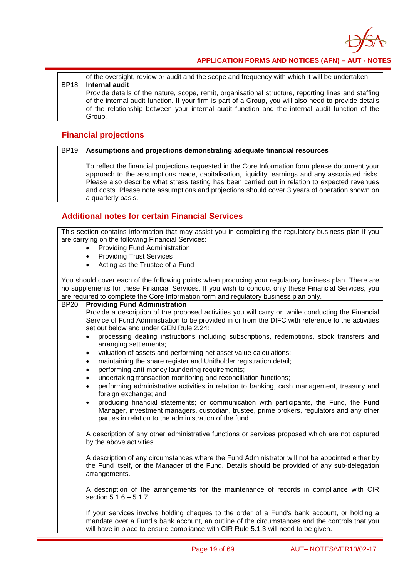

of the oversight, review or audit and the scope and frequency with which it will be undertaken.

#### BP18. **Internal audit**

Provide details of the nature, scope, remit, organisational structure, reporting lines and staffing of the internal audit function. If your firm is part of a Group, you will also need to provide details of the relationship between your internal audit function and the internal audit function of the Group.

#### **Financial projections**

#### BP19. **Assumptions and projections demonstrating adequate financial resources**

To reflect the financial projections requested in the Core Information form please document your approach to the assumptions made, capitalisation, liquidity, earnings and any associated risks. Please also describe what stress testing has been carried out in relation to expected revenues and costs. Please note assumptions and projections should cover 3 years of operation shown on a quarterly basis.

### **Additional notes for certain Financial Services**

This section contains information that may assist you in completing the regulatory business plan if you are carrying on the following Financial Services:

- Providing Fund Administration
	- Providing Trust Services
- Acting as the Trustee of a Fund

You should cover each of the following points when producing your regulatory business plan. There are no supplements for these Financial Services. If you wish to conduct only these Financial Services, you are required to complete the Core Information form and regulatory business plan only.

#### BP20. **Providing Fund Administration**

Provide a description of the proposed activities you will carry on while conducting the Financial Service of Fund Administration to be provided in or from the DIFC with reference to the activities set out below and under GEN Rule 2.24:

- processing dealing instructions including subscriptions, redemptions, stock transfers and arranging settlements;
- valuation of assets and performing net asset value calculations;
- maintaining the share register and Unitholder registration detail;
- performing anti-money laundering requirements;
- undertaking transaction monitoring and reconciliation functions;
- performing administrative activities in relation to banking, cash management, treasury and foreign exchange; and
- producing financial statements; or communication with participants, the Fund, the Fund Manager, investment managers, custodian, trustee, prime brokers, regulators and any other parties in relation to the administration of the fund.

A description of any other administrative functions or services proposed which are not captured by the above activities.

A description of any circumstances where the Fund Administrator will not be appointed either by the Fund itself, or the Manager of the Fund. Details should be provided of any sub-delegation arrangements.

A description of the arrangements for the maintenance of records in compliance with CIR section 5.1.6 – 5.1.7.

If your services involve holding cheques to the order of a Fund's bank account, or holding a mandate over a Fund's bank account, an outline of the circumstances and the controls that you will have in place to ensure compliance with CIR Rule 5.1.3 will need to be given.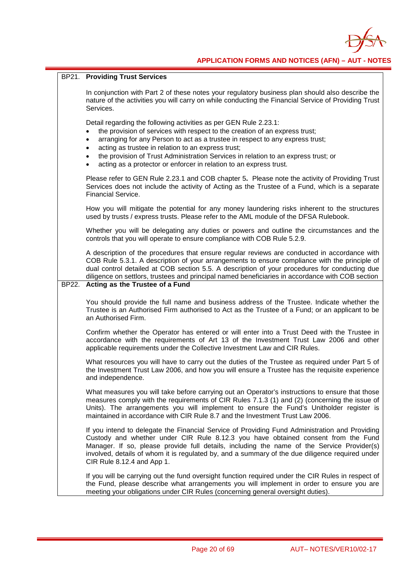

|       | <b>BP21. Providing Trust Services</b>                                                                                                                                                                                                                                                                                                                                                                                                                            |
|-------|------------------------------------------------------------------------------------------------------------------------------------------------------------------------------------------------------------------------------------------------------------------------------------------------------------------------------------------------------------------------------------------------------------------------------------------------------------------|
|       | In conjunction with Part 2 of these notes your regulatory business plan should also describe the<br>nature of the activities you will carry on while conducting the Financial Service of Providing Trust<br>Services.                                                                                                                                                                                                                                            |
|       | Detail regarding the following activities as per GEN Rule 2.23.1:<br>the provision of services with respect to the creation of an express trust;<br>arranging for any Person to act as a trustee in respect to any express trust;<br>$\bullet$<br>acting as trustee in relation to an express trust;<br>the provision of Trust Administration Services in relation to an express trust; or<br>acting as a protector or enforcer in relation to an express trust. |
|       | Please refer to GEN Rule 2.23.1 and COB chapter 5. Please note the activity of Providing Trust<br>Services does not include the activity of Acting as the Trustee of a Fund, which is a separate<br><b>Financial Service.</b>                                                                                                                                                                                                                                    |
|       | How you will mitigate the potential for any money laundering risks inherent to the structures<br>used by trusts / express trusts. Please refer to the AML module of the DFSA Rulebook.                                                                                                                                                                                                                                                                           |
|       | Whether you will be delegating any duties or powers and outline the circumstances and the<br>controls that you will operate to ensure compliance with COB Rule 5.2.9.                                                                                                                                                                                                                                                                                            |
| BP22. | A description of the procedures that ensure regular reviews are conducted in accordance with<br>COB Rule 5.3.1. A description of your arrangements to ensure compliance with the principle of<br>dual control detailed at COB section 5.5. A description of your procedures for conducting due<br>diligence on settlors, trustees and principal named beneficiaries in accordance with COB section<br>Acting as the Trustee of a Fund                            |
|       |                                                                                                                                                                                                                                                                                                                                                                                                                                                                  |
|       | You should provide the full name and business address of the Trustee. Indicate whether the<br>Trustee is an Authorised Firm authorised to Act as the Trustee of a Fund; or an applicant to be<br>an Authorised Firm.                                                                                                                                                                                                                                             |
|       | Confirm whether the Operator has entered or will enter into a Trust Deed with the Trustee in<br>accordance with the requirements of Art 13 of the Investment Trust Law 2006 and other<br>applicable requirements under the Collective Investment Law and CIR Rules.                                                                                                                                                                                              |
|       | What resources you will have to carry out the duties of the Trustee as required under Part 5 of<br>the Investment Trust Law 2006, and how you will ensure a Trustee has the requisite experience<br>and independence.                                                                                                                                                                                                                                            |
|       | What measures you will take before carrying out an Operator's instructions to ensure that those<br>measures comply with the requirements of CIR Rules 7.1.3 (1) and (2) (concerning the issue of<br>Units). The arrangements you will implement to ensure the Fund's Unitholder register is<br>maintained in accordance with CIR Rule 8.7 and the Investment Trust Law 2006.                                                                                     |
|       | If you intend to delegate the Financial Service of Providing Fund Administration and Providing<br>Custody and whether under CIR Rule 8.12.3 you have obtained consent from the Fund<br>Manager. If so, please provide full details, including the name of the Service Provider(s)<br>involved, details of whom it is regulated by, and a summary of the due diligence required under<br>CIR Rule 8.12.4 and App 1.                                               |
|       | If you will be carrying out the fund oversight function required under the CIR Rules in respect of<br>the Fund, please describe what arrangements you will implement in order to ensure you are<br>meeting your obligations under CIR Rules (concerning general oversight duties).                                                                                                                                                                               |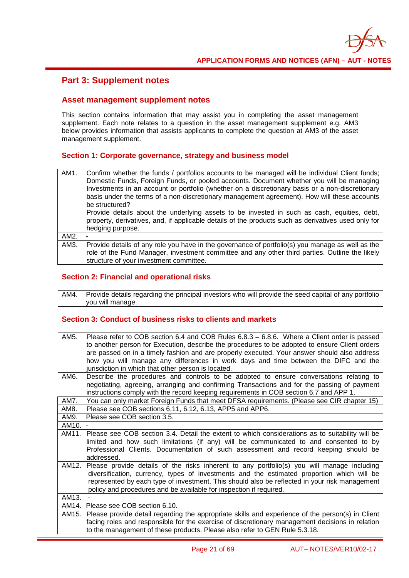

### **Part 3: Supplement notes**

#### **Asset management supplement notes**

This section contains information that may assist you in completing the asset management supplement. Each note relates to a question in the asset management supplement e.g. AM3 below provides information that assists applicants to complete the question at AM3 of the asset management supplement.

#### **Section 1: Corporate governance, strategy and business model**

| AM1. | Confirm whether the funds / portfolios accounts to be managed will be individual Client funds;<br>Domestic Funds, Foreign Funds, or pooled accounts. Document whether you will be managing<br>Investments in an account or portfolio (whether on a discretionary basis or a non-discretionary<br>basis under the terms of a non-discretionary management agreement). How will these accounts<br>be structured? |
|------|----------------------------------------------------------------------------------------------------------------------------------------------------------------------------------------------------------------------------------------------------------------------------------------------------------------------------------------------------------------------------------------------------------------|
|      | Provide details about the underlying assets to be invested in such as cash, equities, debt,<br>property, derivatives, and, if applicable details of the products such as derivatives used only for                                                                                                                                                                                                             |
|      | hedging purpose.                                                                                                                                                                                                                                                                                                                                                                                               |
| AM2. |                                                                                                                                                                                                                                                                                                                                                                                                                |
| AM3. | Provide details of any role you have in the governance of portfolio(s) you manage as well as the                                                                                                                                                                                                                                                                                                               |
|      | role of the Fund Manager, investment committee and any other third parties. Outline the likely                                                                                                                                                                                                                                                                                                                 |
|      | structure of your investment committee.                                                                                                                                                                                                                                                                                                                                                                        |

#### **Section 2: Financial and operational risks**

AM4. Provide details regarding the principal investors who will provide the seed capital of any portfolio you will manage.

| AM5.  | Please refer to COB section 6.4 and COB Rules 6.8.3 - 6.8.6. Where a Client order is passed<br>to another person for Execution, describe the procedures to be adopted to ensure Client orders<br>are passed on in a timely fashion and are properly executed. Your answer should also address<br>how you will manage any differences in work days and time between the DIFC and the<br>jurisdiction in which that other person is located. |
|-------|--------------------------------------------------------------------------------------------------------------------------------------------------------------------------------------------------------------------------------------------------------------------------------------------------------------------------------------------------------------------------------------------------------------------------------------------|
| AM6.  | Describe the procedures and controls to be adopted to ensure conversations relating to<br>negotiating, agreeing, arranging and confirming Transactions and for the passing of payment<br>instructions comply with the record keeping requirements in COB section 6.7 and APP 1.                                                                                                                                                            |
| AM7.  | You can only market Foreign Funds that meet DFSA requirements. (Please see CIR chapter 15)                                                                                                                                                                                                                                                                                                                                                 |
| AM8.  | Please see COB sections 6.11, 6.12, 6.13, APP5 and APP6.                                                                                                                                                                                                                                                                                                                                                                                   |
| AM9.  | Please see COB section 3.5.                                                                                                                                                                                                                                                                                                                                                                                                                |
| AM10. |                                                                                                                                                                                                                                                                                                                                                                                                                                            |
| AM11. | Please see COB section 3.4. Detail the extent to which considerations as to suitability will be<br>limited and how such limitations (if any) will be communicated to and consented to by<br>Professional Clients. Documentation of such assessment and record keeping should be<br>addressed.                                                                                                                                              |
| AM12. | Please provide details of the risks inherent to any portfolio(s) you will manage including<br>diversification, currency, types of investments and the estimated proportion which will be<br>represented by each type of investment. This should also be reflected in your risk management<br>policy and procedures and be available for inspection if required.                                                                            |
| AM13. |                                                                                                                                                                                                                                                                                                                                                                                                                                            |
| AM14. | Please see COB section 6.10.                                                                                                                                                                                                                                                                                                                                                                                                               |
| AM15. | Please provide detail regarding the appropriate skills and experience of the person(s) in Client<br>facing roles and responsible for the exercise of discretionary management decisions in relation<br>to the management of these products. Please also refer to GEN Rule 5.3.18.                                                                                                                                                          |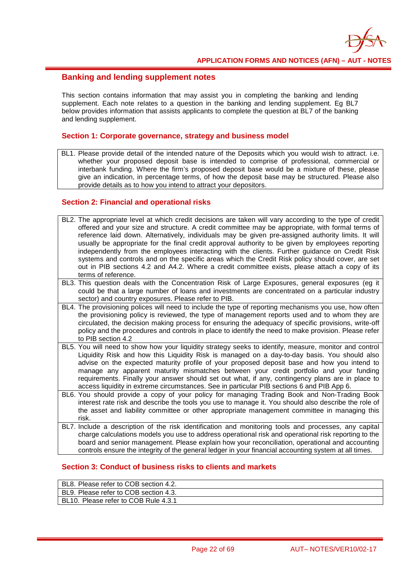

#### **Banking and lending supplement notes**

This section contains information that may assist you in completing the banking and lending supplement. Each note relates to a question in the banking and lending supplement. Eg BL7 below provides information that assists applicants to complete the question at BL7 of the banking and lending supplement.

#### **Section 1: Corporate governance, strategy and business model**

BL1. Please provide detail of the intended nature of the Deposits which you would wish to attract. i.e. whether your proposed deposit base is intended to comprise of professional, commercial or interbank funding. Where the firm's proposed deposit base would be a mixture of these, please give an indication, in percentage terms, of how the deposit base may be structured. Please also provide details as to how you intend to attract your depositors.

#### **Section 2: Financial and operational risks**

- BL2. The appropriate level at which credit decisions are taken will vary according to the type of credit offered and your size and structure. A credit committee may be appropriate, with formal terms of reference laid down. Alternatively, individuals may be given pre-assigned authority limits. It will usually be appropriate for the final credit approval authority to be given by employees reporting independently from the employees interacting with the clients. Further guidance on Credit Risk systems and controls and on the specific areas which the Credit Risk policy should cover, are set out in PIB sections 4.2 and A4.2. Where a credit committee exists, please attach a copy of its terms of reference.
- BL3. This question deals with the Concentration Risk of Large Exposures, general exposures (eg it could be that a large number of loans and investments are concentrated on a particular industry sector) and country exposures. Please refer to PIB.
- BL4. The provisioning polices will need to include the type of reporting mechanisms you use, how often the provisioning policy is reviewed, the type of management reports used and to whom they are circulated, the decision making process for ensuring the adequacy of specific provisions, write-off policy and the procedures and controls in place to identify the need to make provision. Please refer to PIB section 4.2
- BL5. You will need to show how your liquidity strategy seeks to identify, measure, monitor and control Liquidity Risk and how this Liquidity Risk is managed on a day-to-day basis. You should also advise on the expected maturity profile of your proposed deposit base and how you intend to manage any apparent maturity mismatches between your credit portfolio and your funding requirements. Finally your answer should set out what, if any, contingency plans are in place to access liquidity in extreme circumstances. See in particular PIB sections 6 and PIB App 6.
- BL6. You should provide a copy of your policy for managing Trading Book and Non-Trading Book interest rate risk and describe the tools you use to manage it. You should also describe the role of the asset and liability committee or other appropriate management committee in managing this risk.
- BL7. Include a description of the risk identification and monitoring tools and processes, any capital charge calculations models you use to address operational risk and operational risk reporting to the board and senior management. Please explain how your reconciliation, operational and accounting controls ensure the integrity of the general ledger in your financial accounting system at all times.

| BL8. Please refer to COB section 4.2. |
|---------------------------------------|
| BL9. Please refer to COB section 4.3. |
| BL10. Please refer to COB Rule 4.3.1  |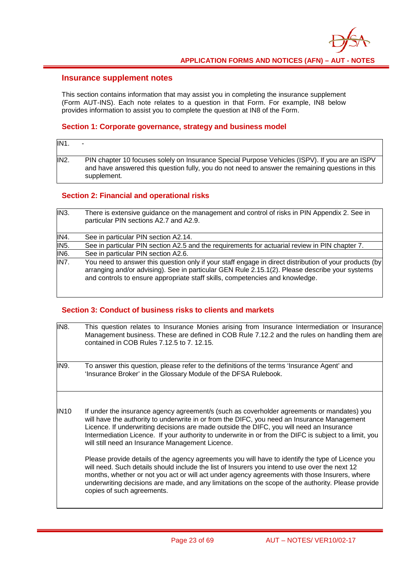#### **Insurance supplement notes**

This section contains information that may assist you in completing the insurance supplement (Form AUT-INS). Each note relates to a question in that Form. For example, IN8 below provides information to assist you to complete the question at IN8 of the Form.

#### **Section 1: Corporate governance, strategy and business model**

| IN <sub>1</sub> | -                                                                                                                                                                                                                 |
|-----------------|-------------------------------------------------------------------------------------------------------------------------------------------------------------------------------------------------------------------|
| IN <sub>2</sub> | PIN chapter 10 focuses solely on Insurance Special Purpose Vehicles (ISPV). If you are an ISPV<br>and have answered this question fully, you do not need to answer the remaining questions in this<br>supplement. |

#### **Section 2: Financial and operational risks**

| IN3.              | There is extensive guidance on the management and control of risks in PIN Appendix 2. See in<br>particular PIN sections A2.7 and A2.9.                                                                                                                                                   |
|-------------------|------------------------------------------------------------------------------------------------------------------------------------------------------------------------------------------------------------------------------------------------------------------------------------------|
| IN4.              | See in particular PIN section A2.14.                                                                                                                                                                                                                                                     |
| <b>IN5.</b>       | See in particular PIN section A2.5 and the requirements for actuarial review in PIN chapter 7.                                                                                                                                                                                           |
| IN <sub>6</sub> . | See in particular PIN section A2.6.                                                                                                                                                                                                                                                      |
| IN <sub>7</sub>   | You need to answer this question only if your staff engage in direct distribution of your products (by<br>arranging and/or advising). See in particular GEN Rule 2.15.1(2). Please describe your systems<br>and controls to ensure appropriate staff skills, competencies and knowledge. |

| <b>IN8.</b> | This question relates to Insurance Monies arising from Insurance Intermediation or Insurance<br>Management business. These are defined in COB Rule 7.12.2 and the rules on handling them are<br>contained in COB Rules 7.12.5 to 7, 12.15.                                                                                                                                                                                                                                                                                                               |
|-------------|----------------------------------------------------------------------------------------------------------------------------------------------------------------------------------------------------------------------------------------------------------------------------------------------------------------------------------------------------------------------------------------------------------------------------------------------------------------------------------------------------------------------------------------------------------|
| IN9.        | To answer this question, please refer to the definitions of the terms 'Insurance Agent' and<br>'Insurance Broker' in the Glossary Module of the DFSA Rulebook.                                                                                                                                                                                                                                                                                                                                                                                           |
| <b>IN10</b> | If under the insurance agency agreement/s (such as coverholder agreements or mandates) you<br>will have the authority to underwrite in or from the DIFC, you need an Insurance Management<br>Licence. If underwriting decisions are made outside the DIFC, you will need an Insurance<br>Intermediation Licence. If your authority to underwrite in or from the DIFC is subject to a limit, you<br>will still need an Insurance Management Licence.<br>Please provide details of the agency agreements you will have to identify the type of Licence you |
|             | will need. Such details should include the list of Insurers you intend to use over the next 12<br>months, whether or not you act or will act under agency agreements with those Insurers, where<br>underwriting decisions are made, and any limitations on the scope of the authority. Please provide<br>copies of such agreements.                                                                                                                                                                                                                      |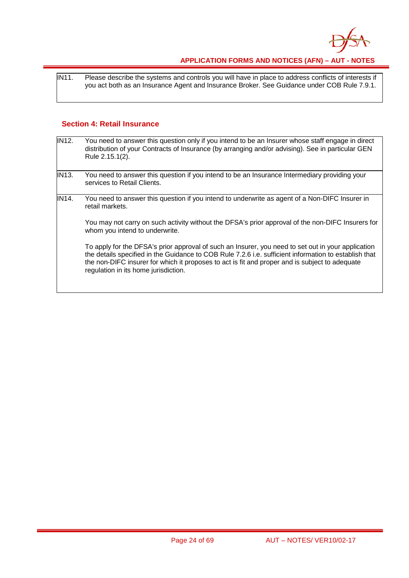

IN11. Please describe the systems and controls you will have in place to address conflicts of interests if you act both as an Insurance Agent and Insurance Broker. See Guidance under COB Rule 7.9.1.

#### **Section 4: Retail Insurance**

| <b>IN12.</b> | You need to answer this question only if you intend to be an Insurer whose staff engage in direct<br>distribution of your Contracts of Insurance (by arranging and/or advising). See in particular GEN<br>Rule 2.15.1(2).                                                                                                                             |
|--------------|-------------------------------------------------------------------------------------------------------------------------------------------------------------------------------------------------------------------------------------------------------------------------------------------------------------------------------------------------------|
| <b>IN13.</b> | You need to answer this question if you intend to be an Insurance Intermediary providing your<br>services to Retail Clients.                                                                                                                                                                                                                          |
| IN14.        | You need to answer this question if you intend to underwrite as agent of a Non-DIFC Insurer in<br>retail markets.                                                                                                                                                                                                                                     |
|              | You may not carry on such activity without the DFSA's prior approval of the non-DIFC Insurers for<br>whom you intend to underwrite.                                                                                                                                                                                                                   |
|              | To apply for the DFSA's prior approval of such an Insurer, you need to set out in your application<br>the details specified in the Guidance to COB Rule 7.2.6 i.e. sufficient information to establish that<br>the non-DIFC insurer for which it proposes to act is fit and proper and is subject to adequate<br>regulation in its home jurisdiction. |
|              |                                                                                                                                                                                                                                                                                                                                                       |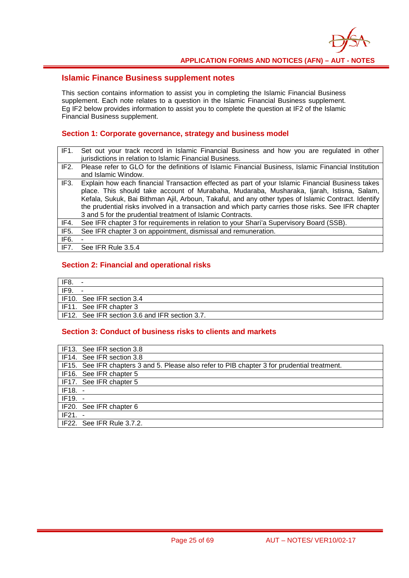

#### **Islamic Finance Business supplement notes**

This section contains information to assist you in completing the Islamic Financial Business supplement. Each note relates to a question in the Islamic Financial Business supplement. Eg IF2 below provides information to assist you to complete the question at IF2 of the Islamic Financial Business supplement.

#### **Section 1: Corporate governance, strategy and business model**

| IF <sub>1</sub>   | Set out your track record in Islamic Financial Business and how you are regulated in other<br>jurisdictions in relation to Islamic Financial Business.                                                                                                                                                                                                                                                                                                                    |
|-------------------|---------------------------------------------------------------------------------------------------------------------------------------------------------------------------------------------------------------------------------------------------------------------------------------------------------------------------------------------------------------------------------------------------------------------------------------------------------------------------|
| IF <sub>2</sub>   | Please refer to GLO for the definitions of Islamic Financial Business, Islamic Financial Institution<br>and Islamic Window.                                                                                                                                                                                                                                                                                                                                               |
| IF3.              | Explain how each financial Transaction effected as part of your Islamic Financial Business takes<br>place. This should take account of Murabaha, Mudaraba, Musharaka, Ijarah, Istisna, Salam,<br>Kefala, Sukuk, Bai Bithman Ajil, Arboun, Takaful, and any other types of Islamic Contract. Identify<br>the prudential risks involved in a transaction and which party carries those risks. See IFR chapter<br>3 and 5 for the prudential treatment of Islamic Contracts. |
| IF4.              | See IFR chapter 3 for requirements in relation to your Shari'a Supervisory Board (SSB).                                                                                                                                                                                                                                                                                                                                                                                   |
| IF <sub>5</sub> . | See IFR chapter 3 on appointment, dismissal and remuneration.                                                                                                                                                                                                                                                                                                                                                                                                             |
| IF6.              |                                                                                                                                                                                                                                                                                                                                                                                                                                                                           |
| IF7.              | See IFR Rule 3.5.4                                                                                                                                                                                                                                                                                                                                                                                                                                                        |

#### **Section 2: Financial and operational risks**

| $'$ IF8.                |                                                |
|-------------------------|------------------------------------------------|
| IF9.                    |                                                |
|                         | IF10. See IFR section 3.4                      |
| IF11. See IFR chapter 3 |                                                |
|                         | IF12. See IFR section 3.6 and IFR section 3.7. |

|           | IF13. See IFR section 3.8                                                                    |
|-----------|----------------------------------------------------------------------------------------------|
|           | IF14. See IFR section 3.8                                                                    |
|           | IF15. See IFR chapters 3 and 5. Please also refer to PIB chapter 3 for prudential treatment. |
|           | IF16. See IFR chapter 5                                                                      |
|           | IF17. See IFR chapter 5                                                                      |
| $IF18. -$ |                                                                                              |
| $IF19. -$ |                                                                                              |
|           | IF20. See IFR chapter 6                                                                      |
| $IF21. -$ |                                                                                              |
|           | IF22. See IFR Rule 3.7.2.                                                                    |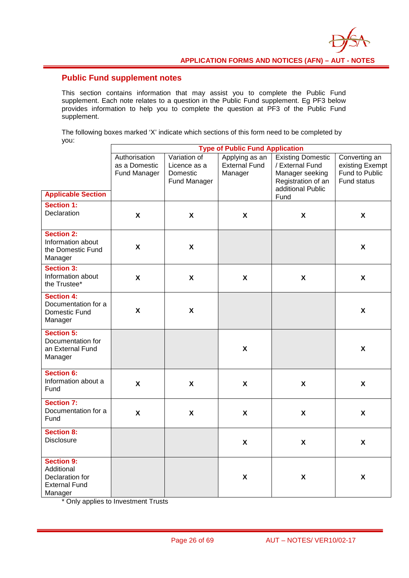### **Public Fund supplement notes**

This section contains information that may assist you to complete the Public Fund supplement. Each note relates to a question in the Public Fund supplement. Eg PF3 below provides information to help you to complete the question at PF3 of the Public Fund supplement.

The following boxes marked 'X' indicate which sections of this form need to be completed by you:

| yvu.                                                                                  |                                                |                                                          | <b>Type of Public Fund Application</b>            |                                                                                                                   |                                                                   |
|---------------------------------------------------------------------------------------|------------------------------------------------|----------------------------------------------------------|---------------------------------------------------|-------------------------------------------------------------------------------------------------------------------|-------------------------------------------------------------------|
| <b>Applicable Section</b>                                                             | Authorisation<br>as a Domestic<br>Fund Manager | Variation of<br>Licence as a<br>Domestic<br>Fund Manager | Applying as an<br><b>External Fund</b><br>Manager | <b>Existing Domestic</b><br>/ External Fund<br>Manager seeking<br>Registration of an<br>additional Public<br>Fund | Converting an<br>existing Exempt<br>Fund to Public<br>Fund status |
| <b>Section 1:</b><br>Declaration                                                      | $\boldsymbol{\mathsf{X}}$                      | X                                                        | X                                                 | $\boldsymbol{\mathsf{X}}$                                                                                         | $\boldsymbol{\mathsf{X}}$                                         |
| <b>Section 2:</b><br>Information about<br>the Domestic Fund<br>Manager                | $\boldsymbol{\mathsf{x}}$                      | $\pmb{\mathsf{X}}$                                       |                                                   |                                                                                                                   | $\boldsymbol{\mathsf{x}}$                                         |
| <b>Section 3:</b><br>Information about<br>the Trustee*                                | $\pmb{\chi}$                                   | X                                                        | X                                                 | $\boldsymbol{\mathsf{X}}$                                                                                         | $\pmb{\mathsf{X}}$                                                |
| <b>Section 4:</b><br>Documentation for a<br>Domestic Fund<br>Manager                  | $\boldsymbol{\mathsf{x}}$                      | $\boldsymbol{\mathsf{X}}$                                |                                                   |                                                                                                                   | $\boldsymbol{\mathsf{x}}$                                         |
| <b>Section 5:</b><br>Documentation for<br>an External Fund<br>Manager                 |                                                |                                                          | $\boldsymbol{\mathsf{X}}$                         |                                                                                                                   | X                                                                 |
| <b>Section 6:</b><br>Information about a<br>Fund                                      | $\boldsymbol{\mathsf{X}}$                      | $\pmb{\mathsf{X}}$                                       | X                                                 | $\pmb{\mathsf{X}}$                                                                                                | $\pmb{\mathsf{X}}$                                                |
| <b>Section 7:</b><br>Documentation for a<br>Fund                                      | $\boldsymbol{\mathsf{x}}$                      | $\pmb{\mathsf{X}}$                                       | X                                                 | $\boldsymbol{\mathsf{X}}$                                                                                         | $\boldsymbol{\mathsf{X}}$                                         |
| <b>Section 8:</b><br><b>Disclosure</b>                                                |                                                |                                                          | $\boldsymbol{\mathsf{X}}$                         | $\boldsymbol{\mathsf{x}}$                                                                                         | $\boldsymbol{\mathsf{X}}$                                         |
| <b>Section 9:</b><br>Additional<br>Declaration for<br><b>External Fund</b><br>Manager |                                                |                                                          | $\boldsymbol{\mathsf{X}}$                         | $\pmb{\chi}$                                                                                                      | $\boldsymbol{\mathsf{x}}$                                         |

\* Only applies to Investment Trusts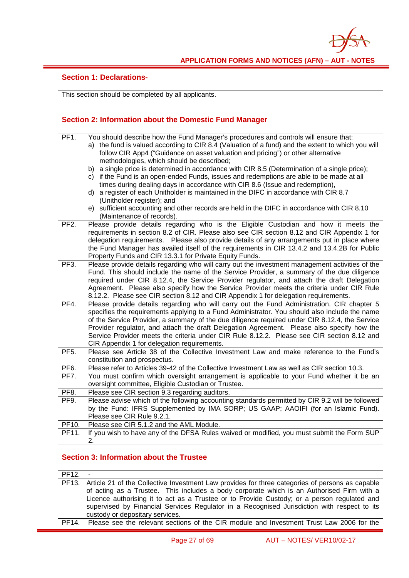

#### **Section 1: Declarations-**

This section should be completed by all applicants.

#### **Section 2: Information about the Domestic Fund Manager**

| PF <sub>1</sub> . | You should describe how the Fund Manager's procedures and controls will ensure that:<br>a) the fund is valued according to CIR 8.4 (Valuation of a fund) and the extent to which you will<br>follow CIR App4 ("Guidance on asset valuation and pricing") or other alternative<br>methodologies, which should be described;<br>b) a single price is determined in accordance with CIR 8.5 (Determination of a single price);<br>c) if the Fund is an open-ended Funds, issues and redemptions are able to be made at all                  |
|-------------------|------------------------------------------------------------------------------------------------------------------------------------------------------------------------------------------------------------------------------------------------------------------------------------------------------------------------------------------------------------------------------------------------------------------------------------------------------------------------------------------------------------------------------------------|
|                   | times during dealing days in accordance with CIR 8.6 (Issue and redemption),<br>d) a register of each Unitholder is maintained in the DIFC in accordance with CIR 8.7<br>(Unitholder register); and                                                                                                                                                                                                                                                                                                                                      |
|                   | e) sufficient accounting and other records are held in the DIFC in accordance with CIR 8.10<br>(Maintenance of records).                                                                                                                                                                                                                                                                                                                                                                                                                 |
| PF <sub>2</sub> . | Please provide details regarding who is the Eligible Custodian and how it meets the<br>requirements in section 8.2 of CIR. Please also see CIR section 8.12 and CIR Appendix 1 for<br>delegation requirements.  Please also provide details of any arrangements put in place where<br>the Fund Manager has availed itself of the requirements in CIR 13.4.2 and 13.4.2B for Public<br>Property Funds and CIR 13.3.1 for Private Equity Funds.                                                                                            |
| PF <sub>3</sub> . | Please provide details regarding who will carry out the investment management activities of the<br>Fund. This should include the name of the Service Provider, a summary of the due diligence<br>required under CIR 8.12.4, the Service Provider regulator, and attach the draft Delegation<br>Agreement. Please also specify how the Service Provider meets the criteria under CIR Rule<br>8.12.2. Please see CIR section 8.12 and CIR Appendix 1 for delegation requirements.                                                          |
| PF4.              | Please provide details regarding who will carry out the Fund Administration. CIR chapter 5<br>specifies the requirements applying to a Fund Administrator. You should also include the name<br>of the Service Provider, a summary of the due diligence required under CIR 8.12.4, the Service<br>Provider regulator, and attach the draft Delegation Agreement. Please also specify how the<br>Service Provider meets the criteria under CIR Rule 8.12.2. Please see CIR section 8.12 and<br>CIR Appendix 1 for delegation requirements. |
| PF <sub>5</sub> . | Please see Article 38 of the Collective Investment Law and make reference to the Fund's<br>constitution and prospectus.                                                                                                                                                                                                                                                                                                                                                                                                                  |
| PF <sub>6</sub> . | Please refer to Articles 39-42 of the Collective Investment Law as well as CIR section 10.3.                                                                                                                                                                                                                                                                                                                                                                                                                                             |
| PF7.              | You must confirm which oversight arrangement is applicable to your Fund whether it be an<br>oversight committee, Eligible Custodian or Trustee.                                                                                                                                                                                                                                                                                                                                                                                          |
| PF8.              | Please see CIR section 9.3 regarding auditors.                                                                                                                                                                                                                                                                                                                                                                                                                                                                                           |
| PF9.              | Please advise which of the following accounting standards permitted by CIR 9.2 will be followed<br>by the Fund: IFRS Supplemented by IMA SORP; US GAAP; AAOIFI (for an Islamic Fund).<br>Please see CIR Rule 9.2.1.                                                                                                                                                                                                                                                                                                                      |
| PF10.             | Please see CIR 5.1.2 and the AML Module.                                                                                                                                                                                                                                                                                                                                                                                                                                                                                                 |
| PF11.             | If you wish to have any of the DFSA Rules waived or modified, you must submit the Form SUP<br>2.                                                                                                                                                                                                                                                                                                                                                                                                                                         |

### **Section 3: Information about the Trustee**

PF12. - PF13. Article 21 of the Collective Investment Law provides for three categories of persons as capable of acting as a Trustee. This includes a body corporate which is an Authorised Firm with a Licence authorising it to act as a Trustee or to Provide Custody; or a person regulated and supervised by Financial Services Regulator in a Recognised Jurisdiction with respect to its custody or depositary services. PF14. Please see the relevant sections of the CIR module and Investment Trust Law 2006 for the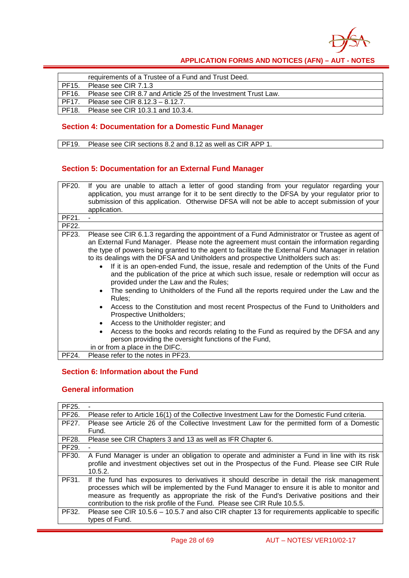

|       | requirements of a Trustee of a Fund and Trust Deed.            |
|-------|----------------------------------------------------------------|
| PF15. | Please see CIR 7.1.3                                           |
| PF16. | Please see CIR 8.7 and Article 25 of the Investment Trust Law. |
| PF17. | Please see CIR 8.12.3 - 8.12.7.                                |
| PF18. | Please see CIR 10.3.1 and 10.3.4.                              |

### **Section 4: Documentation for a Domestic Fund Manager**

PF19. Please see CIR sections 8.2 and 8.12 as well as CIR APP 1.

#### **Section 5: Documentation for an External Fund Manager**

| PF20. | If you are unable to attach a letter of good standing from your regulator regarding your<br>application, you must arrange for it to be sent directly to the DFSA by your regulator prior to                                                                                                                                                                                                                                                                                                                                                                                                                                                                                                                                                                                                                                                  |
|-------|----------------------------------------------------------------------------------------------------------------------------------------------------------------------------------------------------------------------------------------------------------------------------------------------------------------------------------------------------------------------------------------------------------------------------------------------------------------------------------------------------------------------------------------------------------------------------------------------------------------------------------------------------------------------------------------------------------------------------------------------------------------------------------------------------------------------------------------------|
|       | submission of this application. Otherwise DFSA will not be able to accept submission of your<br>application.                                                                                                                                                                                                                                                                                                                                                                                                                                                                                                                                                                                                                                                                                                                                 |
|       |                                                                                                                                                                                                                                                                                                                                                                                                                                                                                                                                                                                                                                                                                                                                                                                                                                              |
| PF21. |                                                                                                                                                                                                                                                                                                                                                                                                                                                                                                                                                                                                                                                                                                                                                                                                                                              |
| PF22. |                                                                                                                                                                                                                                                                                                                                                                                                                                                                                                                                                                                                                                                                                                                                                                                                                                              |
| PF23. | Please see CIR 6.1.3 regarding the appointment of a Fund Administrator or Trustee as agent of<br>an External Fund Manager. Please note the agreement must contain the information regarding<br>the type of powers being granted to the agent to facilitate the External Fund Manager in relation<br>to its dealings with the DFSA and Unitholders and prospective Unitholders such as:<br>If it is an open-ended Fund, the issue, resale and redemption of the Units of the Fund<br>and the publication of the price at which such issue, resale or redemption will occur as<br>provided under the Law and the Rules;<br>The sending to Unitholders of the Fund all the reports required under the Law and the<br>Rules;<br>Access to the Constitution and most recent Prospectus of the Fund to Unitholders and<br>Prospective Unitholders; |
|       | Access to the Unitholder register; and<br>$\bullet$                                                                                                                                                                                                                                                                                                                                                                                                                                                                                                                                                                                                                                                                                                                                                                                          |
|       | Access to the books and records relating to the Fund as required by the DFSA and any                                                                                                                                                                                                                                                                                                                                                                                                                                                                                                                                                                                                                                                                                                                                                         |
|       | person providing the oversight functions of the Fund,                                                                                                                                                                                                                                                                                                                                                                                                                                                                                                                                                                                                                                                                                                                                                                                        |
|       | in or from a place in the DIFC.                                                                                                                                                                                                                                                                                                                                                                                                                                                                                                                                                                                                                                                                                                                                                                                                              |
| PF24. | Please refer to the notes in PF23.                                                                                                                                                                                                                                                                                                                                                                                                                                                                                                                                                                                                                                                                                                                                                                                                           |

### **Section 6: Information about the Fund**

#### **General information**

| PF25. |                                                                                                                                                                                                                                                                                                                                                                     |  |
|-------|---------------------------------------------------------------------------------------------------------------------------------------------------------------------------------------------------------------------------------------------------------------------------------------------------------------------------------------------------------------------|--|
| PF26. | Please refer to Article 16(1) of the Collective Investment Law for the Domestic Fund criteria.                                                                                                                                                                                                                                                                      |  |
| PF27. | Please see Article 26 of the Collective Investment Law for the permitted form of a Domestic                                                                                                                                                                                                                                                                         |  |
|       | Fund.                                                                                                                                                                                                                                                                                                                                                               |  |
| PF28. | Please see CIR Chapters 3 and 13 as well as IFR Chapter 6.                                                                                                                                                                                                                                                                                                          |  |
| PF29. |                                                                                                                                                                                                                                                                                                                                                                     |  |
| PF30. | A Fund Manager is under an obligation to operate and administer a Fund in line with its risk<br>profile and investment objectives set out in the Prospectus of the Fund. Please see CIR Rule<br>10.5.2.                                                                                                                                                             |  |
| PF31. | If the fund has exposures to derivatives it should describe in detail the risk management<br>processes which will be implemented by the Fund Manager to ensure it is able to monitor and<br>measure as frequently as appropriate the risk of the Fund's Derivative positions and their<br>contribution to the risk profile of the Fund. Please see CIR Rule 10.5.5. |  |
| PF32. | Please see CIR 10.5.6 - 10.5.7 and also CIR chapter 13 for requirements applicable to specific<br>types of Fund.                                                                                                                                                                                                                                                    |  |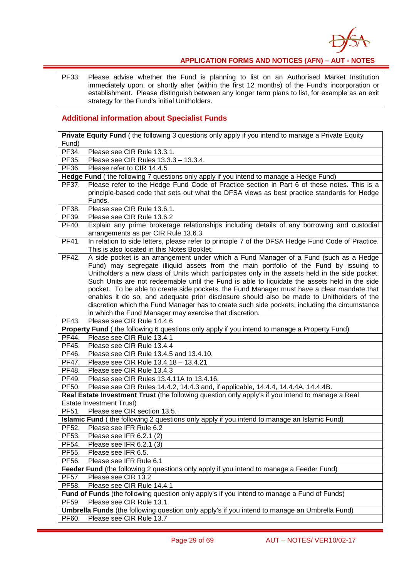

PF33. Please advise whether the Fund is planning to list on an Authorised Market Institution immediately upon, or shortly after (within the first 12 months) of the Fund's incorporation or establishment. Please distinguish between any longer term plans to list, for example as an exit strategy for the Fund's initial Unitholders.

#### **Additional information about Specialist Funds**

| Private Equity Fund (the following 3 questions only apply if you intend to manage a Private Equity                                                                                                                                                                                                                                                                                                                                                                                                                                                                                                                                                                                                                                                 |  |
|----------------------------------------------------------------------------------------------------------------------------------------------------------------------------------------------------------------------------------------------------------------------------------------------------------------------------------------------------------------------------------------------------------------------------------------------------------------------------------------------------------------------------------------------------------------------------------------------------------------------------------------------------------------------------------------------------------------------------------------------------|--|
| Fund)                                                                                                                                                                                                                                                                                                                                                                                                                                                                                                                                                                                                                                                                                                                                              |  |
| Please see CIR Rule 13.3.1.<br>PF34.                                                                                                                                                                                                                                                                                                                                                                                                                                                                                                                                                                                                                                                                                                               |  |
| PF35.<br>Please see CIR Rules 13.3.3 - 13.3.4.                                                                                                                                                                                                                                                                                                                                                                                                                                                                                                                                                                                                                                                                                                     |  |
| PF36.<br>Please refer to CIR 14.4.5                                                                                                                                                                                                                                                                                                                                                                                                                                                                                                                                                                                                                                                                                                                |  |
| Hedge Fund (the following 7 questions only apply if you intend to manage a Hedge Fund)                                                                                                                                                                                                                                                                                                                                                                                                                                                                                                                                                                                                                                                             |  |
| Please refer to the Hedge Fund Code of Practice section in Part 6 of these notes. This is a<br>PF37.                                                                                                                                                                                                                                                                                                                                                                                                                                                                                                                                                                                                                                               |  |
| principle-based code that sets out what the DFSA views as best practice standards for Hedge                                                                                                                                                                                                                                                                                                                                                                                                                                                                                                                                                                                                                                                        |  |
| Funds.                                                                                                                                                                                                                                                                                                                                                                                                                                                                                                                                                                                                                                                                                                                                             |  |
| PF38.<br>Please see CIR Rule 13.6.1.                                                                                                                                                                                                                                                                                                                                                                                                                                                                                                                                                                                                                                                                                                               |  |
| PF39.<br>Please see CIR Rule 13.6.2                                                                                                                                                                                                                                                                                                                                                                                                                                                                                                                                                                                                                                                                                                                |  |
| PF40.<br>Explain any prime brokerage relationships including details of any borrowing and custodial<br>arrangements as per CIR Rule 13.6.3.                                                                                                                                                                                                                                                                                                                                                                                                                                                                                                                                                                                                        |  |
| PF41.<br>In relation to side letters, please refer to principle 7 of the DFSA Hedge Fund Code of Practice.                                                                                                                                                                                                                                                                                                                                                                                                                                                                                                                                                                                                                                         |  |
| This is also located in this Notes Booklet.                                                                                                                                                                                                                                                                                                                                                                                                                                                                                                                                                                                                                                                                                                        |  |
| PF42.<br>A side pocket is an arrangement under which a Fund Manager of a Fund (such as a Hedge<br>Fund) may segregate illiquid assets from the main portfolio of the Fund by issuing to<br>Unitholders a new class of Units which participates only in the assets held in the side pocket.<br>Such Units are not redeemable until the Fund is able to liquidate the assets held in the side<br>pocket. To be able to create side pockets, the Fund Manager must have a clear mandate that<br>enables it do so, and adequate prior disclosure should also be made to Unitholders of the<br>discretion which the Fund Manager has to create such side pockets, including the circumstance<br>in which the Fund Manager may exercise that discretion. |  |
| PF43.<br>Please see CIR Rule 14.4.6                                                                                                                                                                                                                                                                                                                                                                                                                                                                                                                                                                                                                                                                                                                |  |
| Property Fund (the following 6 questions only apply if you intend to manage a Property Fund)                                                                                                                                                                                                                                                                                                                                                                                                                                                                                                                                                                                                                                                       |  |
| PF44.<br>Please see CIR Rule 13.4.1                                                                                                                                                                                                                                                                                                                                                                                                                                                                                                                                                                                                                                                                                                                |  |
| PF45.<br>Please see CIR Rule 13.4.4                                                                                                                                                                                                                                                                                                                                                                                                                                                                                                                                                                                                                                                                                                                |  |
| PF46.<br>Please see CIR Rule 13.4.5 and 13.4.10.                                                                                                                                                                                                                                                                                                                                                                                                                                                                                                                                                                                                                                                                                                   |  |
| PF47.<br>Please see CIR Rule 13.4.18 - 13.4.21                                                                                                                                                                                                                                                                                                                                                                                                                                                                                                                                                                                                                                                                                                     |  |
| PF48.<br>Please see CIR Rule 13.4.3                                                                                                                                                                                                                                                                                                                                                                                                                                                                                                                                                                                                                                                                                                                |  |
| PF49.<br>Please see CIR Rules 13.4.11A to 13.4.16.                                                                                                                                                                                                                                                                                                                                                                                                                                                                                                                                                                                                                                                                                                 |  |
| Please see CIR Rules 14.4.2, 14.4.3 and, if applicable, 14.4.4, 14.4.4A, 14.4.4B.<br>PF50.                                                                                                                                                                                                                                                                                                                                                                                                                                                                                                                                                                                                                                                         |  |
| Real Estate Investment Trust (the following question only apply's if you intend to manage a Real                                                                                                                                                                                                                                                                                                                                                                                                                                                                                                                                                                                                                                                   |  |
| <b>Estate Investment Trust)</b>                                                                                                                                                                                                                                                                                                                                                                                                                                                                                                                                                                                                                                                                                                                    |  |
| PF51.<br>Please see CIR section 13.5.                                                                                                                                                                                                                                                                                                                                                                                                                                                                                                                                                                                                                                                                                                              |  |
| <b>Islamic Fund</b> (the following 2 questions only apply if you intend to manage an Islamic Fund)                                                                                                                                                                                                                                                                                                                                                                                                                                                                                                                                                                                                                                                 |  |
| PF52.<br>Please see IFR Rule 6.2                                                                                                                                                                                                                                                                                                                                                                                                                                                                                                                                                                                                                                                                                                                   |  |
| PF53.<br>Please see IFR 6.2.1 (2)                                                                                                                                                                                                                                                                                                                                                                                                                                                                                                                                                                                                                                                                                                                  |  |
| PF54.<br>Please see IFR 6.2.1 (3)                                                                                                                                                                                                                                                                                                                                                                                                                                                                                                                                                                                                                                                                                                                  |  |
| PF55.<br>Please see IFR 6.5.                                                                                                                                                                                                                                                                                                                                                                                                                                                                                                                                                                                                                                                                                                                       |  |
| PF56.<br>Please see IFR Rule 6.1                                                                                                                                                                                                                                                                                                                                                                                                                                                                                                                                                                                                                                                                                                                   |  |
| Feeder Fund (the following 2 questions only apply if you intend to manage a Feeder Fund)                                                                                                                                                                                                                                                                                                                                                                                                                                                                                                                                                                                                                                                           |  |
| PF57.<br>Please see CIR 13.2                                                                                                                                                                                                                                                                                                                                                                                                                                                                                                                                                                                                                                                                                                                       |  |
| PF58.<br>Please see CIR Rule 14.4.1                                                                                                                                                                                                                                                                                                                                                                                                                                                                                                                                                                                                                                                                                                                |  |
| Fund of Funds (the following question only apply's if you intend to manage a Fund of Funds)                                                                                                                                                                                                                                                                                                                                                                                                                                                                                                                                                                                                                                                        |  |
| PF59.<br>Please see CIR Rule 13.1                                                                                                                                                                                                                                                                                                                                                                                                                                                                                                                                                                                                                                                                                                                  |  |
| <b>Umbrella Funds</b> (the following question only apply's if you intend to manage an Umbrella Fund)                                                                                                                                                                                                                                                                                                                                                                                                                                                                                                                                                                                                                                               |  |
| Please see CIR Rule 13.7<br>PF60.                                                                                                                                                                                                                                                                                                                                                                                                                                                                                                                                                                                                                                                                                                                  |  |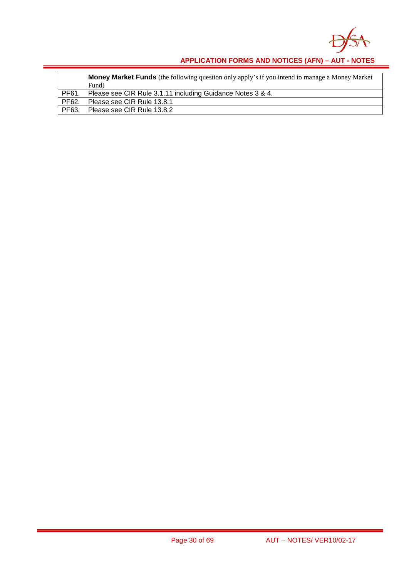

|             | <b>Money Market Funds</b> (the following question only apply's if you intend to manage a Money Market<br>Fund) |
|-------------|----------------------------------------------------------------------------------------------------------------|
| <b>PF61</b> | Please see CIR Rule 3.1.11 including Guidance Notes 3 & 4.                                                     |
| PF62.       | Please see CIR Rule 13.8.1                                                                                     |
| PF63.       | Please see CIR Rule 13.8.2                                                                                     |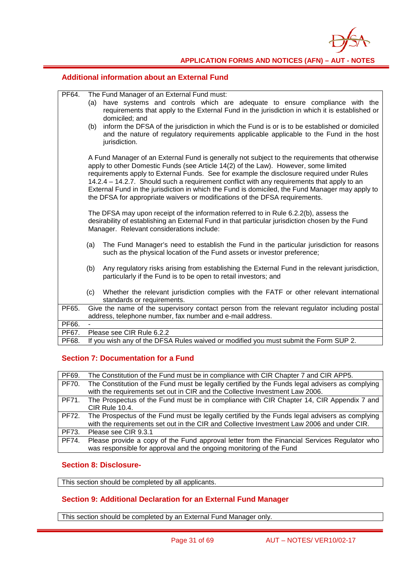

#### **Additional information about an External Fund**

| PF64. |                                                                                      | The Fund Manager of an External Fund must:                                                                                                                                                |  |  |  |
|-------|--------------------------------------------------------------------------------------|-------------------------------------------------------------------------------------------------------------------------------------------------------------------------------------------|--|--|--|
|       | have systems and controls which are adequate to ensure compliance with the<br>(a)    |                                                                                                                                                                                           |  |  |  |
|       |                                                                                      | requirements that apply to the External Fund in the jurisdiction in which it is established or                                                                                            |  |  |  |
|       | domiciled; and                                                                       |                                                                                                                                                                                           |  |  |  |
|       | (b)                                                                                  | inform the DFSA of the jurisdiction in which the Fund is or is to be established or domiciled<br>and the nature of regulatory requirements applicable applicable to the Fund in the host  |  |  |  |
|       |                                                                                      | jurisdiction.                                                                                                                                                                             |  |  |  |
|       |                                                                                      |                                                                                                                                                                                           |  |  |  |
|       |                                                                                      | A Fund Manager of an External Fund is generally not subject to the requirements that otherwise                                                                                            |  |  |  |
|       |                                                                                      | apply to other Domestic Funds (see Article 14(2) of the Law). However, some limited                                                                                                       |  |  |  |
|       |                                                                                      | requirements apply to External Funds. See for example the disclosure required under Rules<br>14.2.4 - 14.2.7. Should such a requirement conflict with any requirements that apply to an   |  |  |  |
|       |                                                                                      | External Fund in the jurisdiction in which the Fund is domiciled, the Fund Manager may apply to                                                                                           |  |  |  |
|       |                                                                                      | the DFSA for appropriate waivers or modifications of the DFSA requirements.                                                                                                               |  |  |  |
|       |                                                                                      |                                                                                                                                                                                           |  |  |  |
|       |                                                                                      | The DFSA may upon receipt of the information referred to in Rule 6.2.2(b), assess the<br>desirability of establishing an External Fund in that particular jurisdiction chosen by the Fund |  |  |  |
|       |                                                                                      | Manager. Relevant considerations include:                                                                                                                                                 |  |  |  |
|       |                                                                                      |                                                                                                                                                                                           |  |  |  |
|       | (a)                                                                                  | The Fund Manager's need to establish the Fund in the particular jurisdiction for reasons                                                                                                  |  |  |  |
|       |                                                                                      | such as the physical location of the Fund assets or investor preference;                                                                                                                  |  |  |  |
|       | (b)                                                                                  | Any regulatory risks arising from establishing the External Fund in the relevant jurisdiction,                                                                                            |  |  |  |
|       |                                                                                      | particularly if the Fund is to be open to retail investors; and                                                                                                                           |  |  |  |
|       |                                                                                      |                                                                                                                                                                                           |  |  |  |
|       | (c)                                                                                  | Whether the relevant jurisdiction complies with the FATF or other relevant international<br>standards or requirements.                                                                    |  |  |  |
| PF65. |                                                                                      | Give the name of the supervisory contact person from the relevant regulator including postal                                                                                              |  |  |  |
|       | address, telephone number, fax number and e-mail address.                            |                                                                                                                                                                                           |  |  |  |
| PF66. |                                                                                      |                                                                                                                                                                                           |  |  |  |
| PF67. | Please see CIR Rule 6.2.2                                                            |                                                                                                                                                                                           |  |  |  |
| PF68. | If you wish any of the DFSA Rules waived or modified you must submit the Form SUP 2. |                                                                                                                                                                                           |  |  |  |

### **Section 7: Documentation for a Fund**

| PF69. | The Constitution of the Fund must be in compliance with CIR Chapter 7 and CIR APP5.             |  |
|-------|-------------------------------------------------------------------------------------------------|--|
| PF70. | The Constitution of the Fund must be legally certified by the Funds legal advisers as complying |  |
|       | with the requirements set out in CIR and the Collective Investment Law 2006.                    |  |
| PF71. | The Prospectus of the Fund must be in compliance with CIR Chapter 14, CIR Appendix 7 and        |  |
|       | <b>CIR Rule 10.4.</b>                                                                           |  |
| PF72. | The Prospectus of the Fund must be legally certified by the Funds legal advisers as complying   |  |
|       | with the requirements set out in the CIR and Collective Investment Law 2006 and under CIR.      |  |
| PF73. | Please see CIR 9.3.1                                                                            |  |
| PF74. | Please provide a copy of the Fund approval letter from the Financial Services Regulator who     |  |
|       | was responsible for approval and the ongoing monitoring of the Fund                             |  |

#### **Section 8: Disclosure-**

This section should be completed by all applicants.

#### **Section 9: Additional Declaration for an External Fund Manager**

This section should be completed by an External Fund Manager only.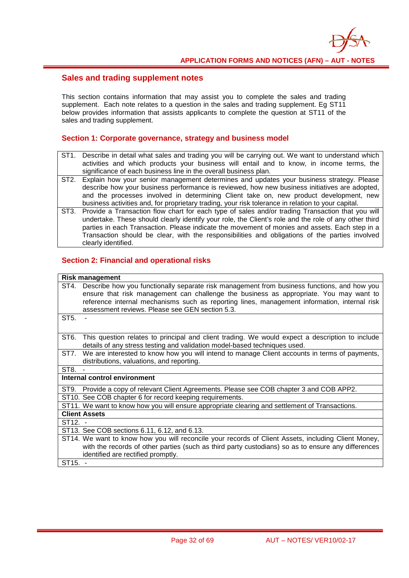#### **Sales and trading supplement notes**

This section contains information that may assist you to complete the sales and trading supplement. Each note relates to a question in the sales and trading supplement. Eg ST11 below provides information that assists applicants to complete the question at ST11 of the sales and trading supplement.

#### **Section 1: Corporate governance, strategy and business model**

- ST1. Describe in detail what sales and trading you will be carrying out. We want to understand which activities and which products your business will entail and to know, in income terms, the significance of each business line in the overall business plan.
- ST2. Explain how your senior management determines and updates your business strategy. Please describe how your business performance is reviewed, how new business initiatives are adopted, and the processes involved in determining Client take on, new product development, new business activities and, for proprietary trading, your risk tolerance in relation to your capital.
- ST3. Provide a Transaction flow chart for each type of sales and/or trading Transaction that you will undertake. These should clearly identify your role, the Client's role and the role of any other third parties in each Transaction. Please indicate the movement of monies and assets. Each step in a Transaction should be clear, with the responsibilities and obligations of the parties involved clearly identified.

#### **Section 2: Financial and operational risks**

| <b>Risk management</b>                                                                                                                                                                                                                                                                                                                           |
|--------------------------------------------------------------------------------------------------------------------------------------------------------------------------------------------------------------------------------------------------------------------------------------------------------------------------------------------------|
| Describe how you functionally separate risk management from business functions, and how you<br>ST4.<br>ensure that risk management can challenge the business as appropriate. You may want to<br>reference internal mechanisms such as reporting lines, management information, internal risk<br>assessment reviews. Please see GEN section 5.3. |
| ST <sub>5</sub> .                                                                                                                                                                                                                                                                                                                                |
| ST <sub>6</sub> .<br>This question relates to principal and client trading. We would expect a description to include<br>details of any stress testing and validation model-based techniques used.                                                                                                                                                |
| We are interested to know how you will intend to manage Client accounts in terms of payments,<br>ST7.<br>distributions, valuations, and reporting.                                                                                                                                                                                               |
| ST8.                                                                                                                                                                                                                                                                                                                                             |
| Internal control environment                                                                                                                                                                                                                                                                                                                     |
| ST9. Provide a copy of relevant Client Agreements. Please see COB chapter 3 and COB APP2.                                                                                                                                                                                                                                                        |
| ST10. See COB chapter 6 for record keeping requirements.                                                                                                                                                                                                                                                                                         |
| ST11. We want to know how you will ensure appropriate clearing and settlement of Transactions.                                                                                                                                                                                                                                                   |
| <b>Client Assets</b>                                                                                                                                                                                                                                                                                                                             |
| $ST12. -$                                                                                                                                                                                                                                                                                                                                        |
| ST13. See COB sections 6.11, 6.12, and 6.13.                                                                                                                                                                                                                                                                                                     |
| ST14. We want to know how you will reconcile your records of Client Assets, including Client Money,                                                                                                                                                                                                                                              |
| with the records of other parties (such as third party custodians) so as to ensure any differences                                                                                                                                                                                                                                               |
| identified are rectified promptly.                                                                                                                                                                                                                                                                                                               |
| ST15. -                                                                                                                                                                                                                                                                                                                                          |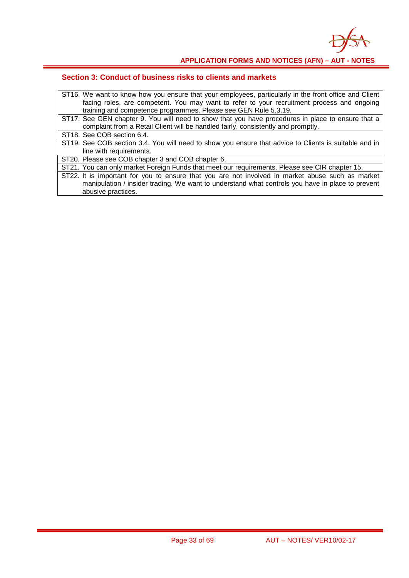

| ST16. We want to know how you ensure that your employees, particularly in the front office and Client |
|-------------------------------------------------------------------------------------------------------|
| facing roles, are competent. You may want to refer to your recruitment process and ongoing            |
| training and competence programmes. Please see GEN Rule 5.3.19.                                       |
| ST17. See GEN chapter 9. You will need to show that you have procedures in place to ensure that a     |
| complaint from a Retail Client will be handled fairly, consistently and promptly.                     |
| ST18. See COB section 6.4.                                                                            |
| ST19. See COB section 3.4. You will need to show you ensure that advice to Clients is suitable and in |
| line with requirements.                                                                               |
| ST20. Please see COB chapter 3 and COB chapter 6.                                                     |
| ST21. You can only market Foreign Funds that meet our requirements. Please see CIR chapter 15.        |
| ST22. It is important for you to ensure that you are not involved in market abuse such as market      |
| manipulation / insider trading. We want to understand what controls you have in place to prevent      |
| abusive practices.                                                                                    |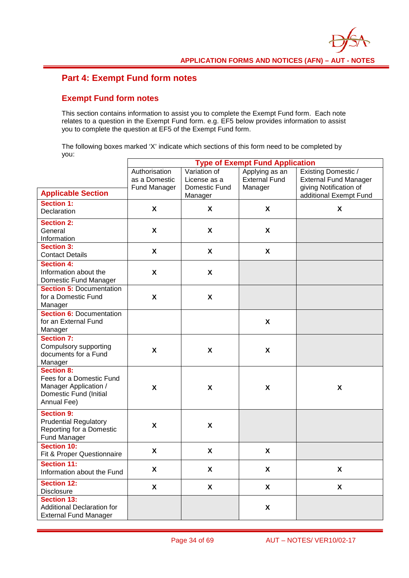### **Part 4: Exempt Fund form notes**

#### **Exempt Fund form notes**

This section contains information to assist you to complete the Exempt Fund form. Each note relates to a question in the Exempt Fund form. e.g. EF5 below provides information to assist you to complete the question at EF5 of the Exempt Fund form.

The following boxes marked 'X' indicate which sections of this form need to be completed by you:

|                                                                                                                 | <b>Type of Exempt Fund Application</b>         |                                                          |                                                   |                                                                                                         |  |
|-----------------------------------------------------------------------------------------------------------------|------------------------------------------------|----------------------------------------------------------|---------------------------------------------------|---------------------------------------------------------------------------------------------------------|--|
| <b>Applicable Section</b>                                                                                       | Authorisation<br>as a Domestic<br>Fund Manager | Variation of<br>License as a<br>Domestic Fund<br>Manager | Applying as an<br><b>External Fund</b><br>Manager | Existing Domestic /<br><b>External Fund Manager</b><br>giving Notification of<br>additional Exempt Fund |  |
| <b>Section 1:</b><br>Declaration                                                                                | X                                              | X                                                        | X                                                 | X                                                                                                       |  |
| <b>Section 2:</b><br>General<br>Information                                                                     | X                                              | X                                                        | X                                                 |                                                                                                         |  |
| <b>Section 3:</b><br><b>Contact Details</b>                                                                     | X                                              | X                                                        | $\pmb{\chi}$                                      |                                                                                                         |  |
| <b>Section 4:</b><br>Information about the<br>Domestic Fund Manager                                             | X                                              | X                                                        |                                                   |                                                                                                         |  |
| <b>Section 5: Documentation</b><br>for a Domestic Fund<br>Manager                                               | X                                              | $\boldsymbol{\mathsf{X}}$                                |                                                   |                                                                                                         |  |
| <b>Section 6: Documentation</b><br>for an External Fund<br>Manager                                              |                                                |                                                          | $\pmb{\chi}$                                      |                                                                                                         |  |
| <b>Section 7:</b><br>Compulsory supporting<br>documents for a Fund<br>Manager                                   | $\pmb{\mathsf{X}}$                             | $\boldsymbol{\mathsf{X}}$                                | $\boldsymbol{\mathsf{X}}$                         |                                                                                                         |  |
| <b>Section 8:</b><br>Fees for a Domestic Fund<br>Manager Application /<br>Domestic Fund (Initial<br>Annual Fee) | X                                              | X                                                        | X                                                 | X                                                                                                       |  |
| <b>Section 9:</b><br><b>Prudential Regulatory</b><br>Reporting for a Domestic<br>Fund Manager                   | X                                              | X                                                        |                                                   |                                                                                                         |  |
| <b>Section 10:</b><br>Fit & Proper Questionnaire                                                                | X                                              | X                                                        | X                                                 |                                                                                                         |  |
| <b>Section 11:</b><br>Information about the Fund                                                                | X                                              | Χ                                                        | $\pmb{\mathsf{X}}$                                | χ                                                                                                       |  |
| <b>Section 12:</b><br><b>Disclosure</b>                                                                         | $\boldsymbol{X}$                               | $\boldsymbol{X}$                                         | X                                                 | X                                                                                                       |  |
| Section 13:<br><b>Additional Declaration for</b><br><b>External Fund Manager</b>                                |                                                |                                                          | X                                                 |                                                                                                         |  |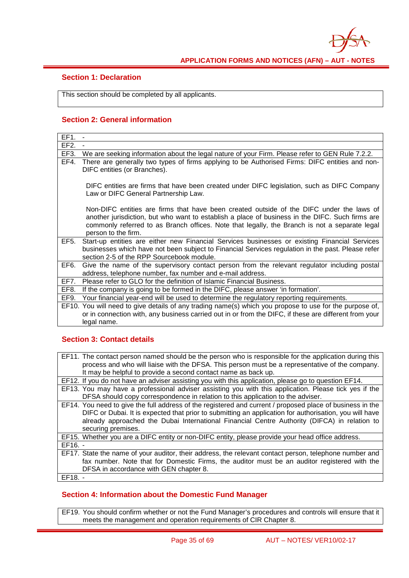

#### **Section 1: Declaration**

This section should be completed by all applicants.

### **Section 2: General information**

| EF1.              |                                                                                                                                                                                                                                                                                                                     |
|-------------------|---------------------------------------------------------------------------------------------------------------------------------------------------------------------------------------------------------------------------------------------------------------------------------------------------------------------|
| EF <sub>2</sub> . |                                                                                                                                                                                                                                                                                                                     |
| EF3.              | We are seeking information about the legal nature of your Firm. Please refer to GEN Rule 7.2.2.                                                                                                                                                                                                                     |
| EF4.              | There are generally two types of firms applying to be Authorised Firms: DIFC entities and non-<br>DIFC entities (or Branches).                                                                                                                                                                                      |
|                   | DIFC entities are firms that have been created under DIFC legislation, such as DIFC Company<br>Law or DIFC General Partnership Law.                                                                                                                                                                                 |
|                   | Non-DIFC entities are firms that have been created outside of the DIFC under the laws of<br>another jurisdiction, but who want to establish a place of business in the DIFC. Such firms are<br>commonly referred to as Branch offices. Note that legally, the Branch is not a separate legal<br>person to the firm. |
| EF5.              | Start-up entities are either new Financial Services businesses or existing Financial Services<br>businesses which have not been subject to Financial Services regulation in the past. Please refer<br>section 2-5 of the RPP Sourcebook module.                                                                     |
| EF6.              | Give the name of the supervisory contact person from the relevant regulator including postal<br>address, telephone number, fax number and e-mail address.                                                                                                                                                           |
| EF7.              | Please refer to GLO for the definition of Islamic Financial Business.                                                                                                                                                                                                                                               |
| EF8.              | If the company is going to be formed in the DIFC, please answer 'in formation'.                                                                                                                                                                                                                                     |
| EF9.              | Your financial year-end will be used to determine the regulatory reporting requirements.                                                                                                                                                                                                                            |
|                   | EF10. You will need to give details of any trading name(s) which you propose to use for the purpose of,                                                                                                                                                                                                             |
|                   | or in connection with, any business carried out in or from the DIFC, if these are different from your<br>legal name.                                                                                                                                                                                                |

#### **Section 3: Contact details**

| EF11. The contact person named should be the person who is responsible for the application during this    |
|-----------------------------------------------------------------------------------------------------------|
| process and who will liaise with the DFSA. This person must be a representative of the company.           |
| It may be helpful to provide a second contact name as back up.                                            |
| EF12. If you do not have an adviser assisting you with this application, please go to question EF14.      |
| EF13. You may have a professional adviser assisting you with this application. Please tick yes if the     |
| DFSA should copy correspondence in relation to this application to the adviser.                           |
| EF14. You need to give the full address of the registered and current / proposed place of business in the |
| DIFC or Dubai. It is expected that prior to submitting an application for authorisation, you will have    |
| already approached the Dubai International Financial Centre Authority (DIFCA) in relation to              |
| securing premises.                                                                                        |
| EF15. Whether you are a DIFC entity or non-DIFC entity, please provide your head office address.          |
| $EF16. -$                                                                                                 |
| EF17. State the name of your auditor, their address, the relevant contact person, telephone number and    |
| fax number. Note that for Domestic Firms, the auditor must be an auditor registered with the              |
| DFSA in accordance with GEN chapter 8.                                                                    |
| $EF18. -$                                                                                                 |

#### **Section 4: Information about the Domestic Fund Manager**

EF19. You should confirm whether or not the Fund Manager's procedures and controls will ensure that it meets the management and operation requirements of CIR Chapter 8.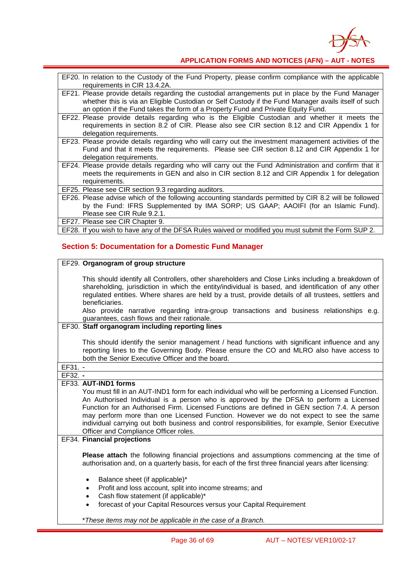

| EF20. In relation to the Custody of the Fund Property, please confirm compliance with the applicable<br>requirements in CIR 13.4.2A. |
|--------------------------------------------------------------------------------------------------------------------------------------|
| EF21. Please provide details regarding the custodial arrangements put in place by the Fund Manager                                   |
| whether this is via an Eligible Custodian or Self Custody if the Fund Manager avails itself of such                                  |
| an option if the Fund takes the form of a Property Fund and Private Equity Fund.                                                     |
| EF22. Please provide details regarding who is the Eligible Custodian and whether it meets the                                        |
| requirements in section 8.2 of CIR. Please also see CIR section 8.12 and CIR Appendix 1 for                                          |
|                                                                                                                                      |
| delegation requirements.                                                                                                             |
| EF23. Please provide details regarding who will carry out the investment management activities of the                                |
| Fund and that it meets the requirements. Please see CIR section 8.12 and CIR Appendix 1 for                                          |
| delegation requirements.                                                                                                             |
| EF24. Please provide details regarding who will carry out the Fund Administration and confirm that it                                |
| meets the requirements in GEN and also in CIR section 8.12 and CIR Appendix 1 for delegation                                         |
| requirements.                                                                                                                        |
| EF25. Please see CIR section 9.3 regarding auditors.                                                                                 |
| EF26. Please advise which of the following accounting standards permitted by CIR 8.2 will be followed                                |
| by the Fund: IFRS Supplemented by IMA SORP; US GAAP; AAOIFI (for an Islamic Fund).                                                   |
| Please see CIR Rule 9.2.1.                                                                                                           |
| EF27. Please see CIR Chapter 9.                                                                                                      |
|                                                                                                                                      |
| EF28. If you wish to have any of the DFSA Rules waived or modified you must submit the Form SUP 2.                                   |
|                                                                                                                                      |

### **Section 5: Documentation for a Domestic Fund Manager**

| EF29. Organogram of group structure                                                                                                                                                                                                                                                                                                                                                                                                                                                                                                                        |
|------------------------------------------------------------------------------------------------------------------------------------------------------------------------------------------------------------------------------------------------------------------------------------------------------------------------------------------------------------------------------------------------------------------------------------------------------------------------------------------------------------------------------------------------------------|
| This should identify all Controllers, other shareholders and Close Links including a breakdown of<br>shareholding, jurisdiction in which the entity/individual is based, and identification of any other<br>regulated entities. Where shares are held by a trust, provide details of all trustees, settlers and<br>beneficiaries.<br>Also provide narrative regarding intra-group transactions and business relationships e.g.                                                                                                                             |
| guarantees, cash flows and their rationale.                                                                                                                                                                                                                                                                                                                                                                                                                                                                                                                |
| EF30. Staff organogram including reporting lines                                                                                                                                                                                                                                                                                                                                                                                                                                                                                                           |
| This should identify the senior management / head functions with significant influence and any<br>reporting lines to the Governing Body. Please ensure the CO and MLRO also have access to<br>both the Senior Executive Officer and the board.                                                                                                                                                                                                                                                                                                             |
| $EF31. -$                                                                                                                                                                                                                                                                                                                                                                                                                                                                                                                                                  |
| $EF32. -$                                                                                                                                                                                                                                                                                                                                                                                                                                                                                                                                                  |
| EF33. AUT-IND1 forms<br>You must fill in an AUT-IND1 form for each individual who will be performing a Licensed Function.<br>An Authorised Individual is a person who is approved by the DFSA to perform a Licensed<br>Function for an Authorised Firm. Licensed Functions are defined in GEN section 7.4. A person<br>may perform more than one Licensed Function. However we do not expect to see the same<br>individual carrying out both business and control responsibilities, for example, Senior Executive<br>Officer and Compliance Officer roles. |
| <b>EF34. Financial projections</b>                                                                                                                                                                                                                                                                                                                                                                                                                                                                                                                         |
| Please attach the following financial projections and assumptions commencing at the time of<br>authorisation and, on a quarterly basis, for each of the first three financial years after licensing:                                                                                                                                                                                                                                                                                                                                                       |
| Balance sheet (if applicable)*<br>$\bullet$<br>Profit and loss account, split into income streams; and<br>$\bullet$<br>Cash flow statement (if applicable)*<br>$\bullet$<br>forecast of your Capital Resources versus your Capital Requirement<br>$\bullet$                                                                                                                                                                                                                                                                                                |
| *These items may not be applicable in the case of a Branch.                                                                                                                                                                                                                                                                                                                                                                                                                                                                                                |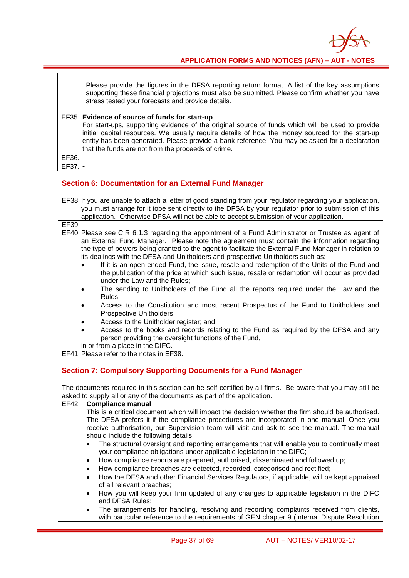

Please provide the figures in the DFSA reporting return format. A list of the key assumptions supporting these financial projections must also be submitted. Please confirm whether you have stress tested your forecasts and provide details.

EF35. **Evidence of source of funds for start-up** For start-ups, supporting evidence of the original source of funds which will be used to provide initial capital resources. We usually require details of how the money sourced for the start-up entity has been generated. Please provide a bank reference. You may be asked for a declaration that the funds are not from the proceeds of crime. EF36. -

EF37. -

#### **Section 6: Documentation for an External Fund Manager**

| EF38. If you are unable to attach a letter of good standing from your regulator regarding your application,<br>you must arrange for it tobe sent directly to the DFSA by your regulator prior to submission of this         |
|-----------------------------------------------------------------------------------------------------------------------------------------------------------------------------------------------------------------------------|
| application. Otherwise DFSA will not be able to accept submission of your application.                                                                                                                                      |
| EF39. -                                                                                                                                                                                                                     |
| EF40. Please see CIR 6.1.3 regarding the appointment of a Fund Administrator or Trustee as agent of                                                                                                                         |
| an External Fund Manager. Please note the agreement must contain the information regarding                                                                                                                                  |
| the type of powers being granted to the agent to facilitate the External Fund Manager in relation to                                                                                                                        |
| its dealings with the DFSA and Unitholders and prospective Unitholders such as:                                                                                                                                             |
| If it is an open-ended Fund, the issue, resale and redemption of the Units of the Fund and<br>the publication of the price at which such issue, resale or redemption will occur as provided<br>under the Law and the Rules: |
| The sending to Unitholders of the Fund all the reports required under the Law and the<br>Rules;                                                                                                                             |
| Access to the Constitution and most recent Prospectus of the Fund to Unitholders and<br>Prospective Unitholders;                                                                                                            |
| Access to the Unitholder register; and                                                                                                                                                                                      |
| Access to the books and records relating to the Fund as required by the DFSA and any<br>person providing the oversight functions of the Fund,                                                                               |
| in or from a place in the DIFC.                                                                                                                                                                                             |

EF41. Please refer to the notes in EF38.

#### **Section 7: Compulsory Supporting Documents for a Fund Manager**

| The documents required in this section can be self-certified by all firms. Be aware that you may still be                                                                               |  |  |
|-----------------------------------------------------------------------------------------------------------------------------------------------------------------------------------------|--|--|
| asked to supply all or any of the documents as part of the application.                                                                                                                 |  |  |
| EF42.<br><b>Compliance manual</b>                                                                                                                                                       |  |  |
| This is a critical document which will impact the decision whether the firm should be authorised.                                                                                       |  |  |
| The DFSA prefers it if the compliance procedures are incorporated in one manual. Once you                                                                                               |  |  |
| receive authorisation, our Supervision team will visit and ask to see the manual. The manual                                                                                            |  |  |
| should include the following details:                                                                                                                                                   |  |  |
| The structural oversight and reporting arrangements that will enable you to continually meet<br>your compliance obligations under applicable legislation in the DIFC;                   |  |  |
| How compliance reports are prepared, authorised, disseminated and followed up;<br>$\bullet$                                                                                             |  |  |
| How compliance breaches are detected, recorded, categorised and rectified;<br>$\bullet$                                                                                                 |  |  |
| How the DFSA and other Financial Services Regulators, if applicable, will be kept appraised<br>of all relevant breaches;                                                                |  |  |
| How you will keep your firm updated of any changes to applicable legislation in the DIFC<br>$\bullet$<br>and DFSA Rules;                                                                |  |  |
| The arrangements for handling, resolving and recording complaints received from clients,<br>with particular reference to the requirements of GEN chapter 9 (Internal Dispute Resolution |  |  |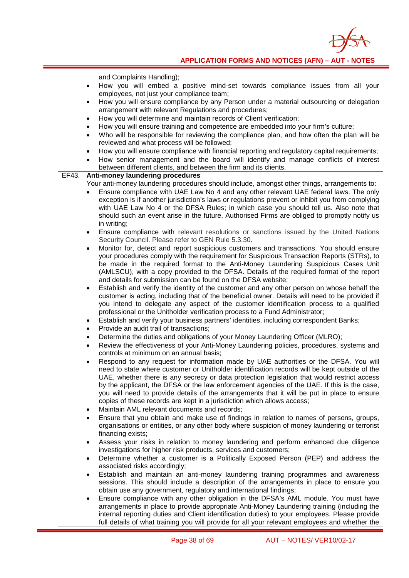

|       | and Complaints Handling);                                                                                                                                                                                                                                                                                                                                                                                                                                                                                                                                                                                     |
|-------|---------------------------------------------------------------------------------------------------------------------------------------------------------------------------------------------------------------------------------------------------------------------------------------------------------------------------------------------------------------------------------------------------------------------------------------------------------------------------------------------------------------------------------------------------------------------------------------------------------------|
|       | How you will embed a positive mind-set towards compliance issues from all your<br>$\bullet$                                                                                                                                                                                                                                                                                                                                                                                                                                                                                                                   |
|       | employees, not just your compliance team;                                                                                                                                                                                                                                                                                                                                                                                                                                                                                                                                                                     |
|       | How you will ensure compliance by any Person under a material outsourcing or delegation<br>$\bullet$                                                                                                                                                                                                                                                                                                                                                                                                                                                                                                          |
|       | arrangement with relevant Regulations and procedures;                                                                                                                                                                                                                                                                                                                                                                                                                                                                                                                                                         |
|       | How you will determine and maintain records of Client verification;<br>$\bullet$                                                                                                                                                                                                                                                                                                                                                                                                                                                                                                                              |
|       | How you will ensure training and competence are embedded into your firm's culture;<br>$\bullet$                                                                                                                                                                                                                                                                                                                                                                                                                                                                                                               |
|       | Who will be responsible for reviewing the compliance plan, and how often the plan will be<br>$\bullet$                                                                                                                                                                                                                                                                                                                                                                                                                                                                                                        |
|       | reviewed and what process will be followed;                                                                                                                                                                                                                                                                                                                                                                                                                                                                                                                                                                   |
|       | How you will ensure compliance with financial reporting and regulatory capital requirements;<br>$\bullet$                                                                                                                                                                                                                                                                                                                                                                                                                                                                                                     |
|       | How senior management and the board will identify and manage conflicts of interest<br>$\bullet$<br>between different clients, and between the firm and its clients.                                                                                                                                                                                                                                                                                                                                                                                                                                           |
| EF43. | Anti-money laundering procedures                                                                                                                                                                                                                                                                                                                                                                                                                                                                                                                                                                              |
|       | Your anti-money laundering procedures should include, amongst other things, arrangements to:                                                                                                                                                                                                                                                                                                                                                                                                                                                                                                                  |
|       | Ensure compliance with UAE Law No 4 and any other relevant UAE federal laws. The only                                                                                                                                                                                                                                                                                                                                                                                                                                                                                                                         |
|       | exception is if another jurisdiction's laws or regulations prevent or inhibit you from complying<br>with UAE Law No 4 or the DFSA Rules; in which case you should tell us. Also note that<br>should such an event arise in the future, Authorised Firms are obliged to promptly notify us                                                                                                                                                                                                                                                                                                                     |
|       | in writing;                                                                                                                                                                                                                                                                                                                                                                                                                                                                                                                                                                                                   |
|       | Ensure compliance with relevant resolutions or sanctions issued by the United Nations<br>٠<br>Security Council. Please refer to GEN Rule 5.3.30.                                                                                                                                                                                                                                                                                                                                                                                                                                                              |
|       | Monitor for, detect and report suspicious customers and transactions. You should ensure<br>٠<br>your procedures comply with the requirement for Suspicious Transaction Reports (STRs), to                                                                                                                                                                                                                                                                                                                                                                                                                     |
|       | be made in the required format to the Anti-Money Laundering Suspicious Cases Unit<br>(AMLSCU), with a copy provided to the DFSA. Details of the required format of the report                                                                                                                                                                                                                                                                                                                                                                                                                                 |
|       | and details for submission can be found on the DFSA website;                                                                                                                                                                                                                                                                                                                                                                                                                                                                                                                                                  |
|       | Establish and verify the identity of the customer and any other person on whose behalf the<br>٠<br>customer is acting, including that of the beneficial owner. Details will need to be provided if<br>you intend to delegate any aspect of the customer identification process to a qualified<br>professional or the Unitholder verification process to a Fund Administrator;                                                                                                                                                                                                                                 |
|       | Establish and verify your business partners' identities, including correspondent Banks;<br>$\bullet$                                                                                                                                                                                                                                                                                                                                                                                                                                                                                                          |
|       | Provide an audit trail of transactions;                                                                                                                                                                                                                                                                                                                                                                                                                                                                                                                                                                       |
|       | $\bullet$<br>Determine the duties and obligations of your Money Laundering Officer (MLRO);                                                                                                                                                                                                                                                                                                                                                                                                                                                                                                                    |
|       | ٠<br>Review the effectiveness of your Anti-Money Laundering policies, procedures, systems and<br>٠                                                                                                                                                                                                                                                                                                                                                                                                                                                                                                            |
|       | controls at minimum on an annual basis;<br>Respond to any request for information made by UAE authorities or the DFSA. You will<br>٠<br>need to state where customer or Unitholder identification records will be kept outside of the<br>UAE, whether there is any secrecy or data protection legislation that would restrict access<br>by the applicant, the DFSA or the law enforcement agencies of the UAE. If this is the case,<br>you will need to provide details of the arrangements that it will be put in place to ensure<br>copies of these records are kept in a jurisdiction which allows access; |
|       | Maintain AML relevant documents and records;<br>٠                                                                                                                                                                                                                                                                                                                                                                                                                                                                                                                                                             |
|       | Ensure that you obtain and make use of findings in relation to names of persons, groups,<br>٠<br>organisations or entities, or any other body where suspicion of money laundering or terrorist<br>financing exists;                                                                                                                                                                                                                                                                                                                                                                                           |
|       | Assess your risks in relation to money laundering and perform enhanced due diligence<br>٠<br>investigations for higher risk products, services and customers;                                                                                                                                                                                                                                                                                                                                                                                                                                                 |
|       | Determine whether a customer is a Politically Exposed Person (PEP) and address the<br>٠<br>associated risks accordingly;                                                                                                                                                                                                                                                                                                                                                                                                                                                                                      |
|       | Establish and maintain an anti-money laundering training programmes and awareness<br>٠<br>sessions. This should include a description of the arrangements in place to ensure you<br>obtain use any government, regulatory and international findings;                                                                                                                                                                                                                                                                                                                                                         |
|       | Ensure compliance with any other obligation in the DFSA's AML module. You must have<br>٠<br>arrangements in place to provide appropriate Anti-Money Laundering training (including the<br>internal reporting duties and Client identification duties) to your employees. Please provide<br>full details of what training you will provide for all your relevant employees and whether the                                                                                                                                                                                                                     |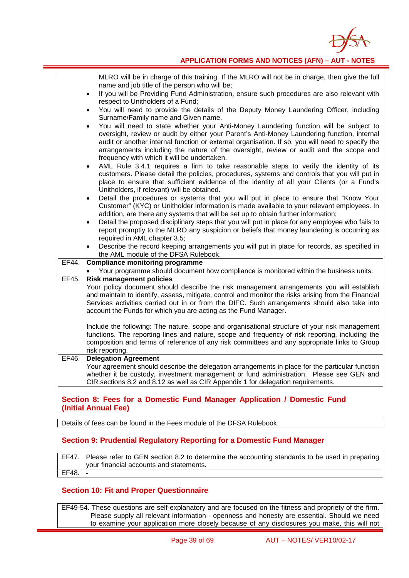

|       | MLRO will be in charge of this training. If the MLRO will not be in charge, then give the full<br>name and job title of the person who will be;                                                                                                                                                                                                                                                                                  |
|-------|----------------------------------------------------------------------------------------------------------------------------------------------------------------------------------------------------------------------------------------------------------------------------------------------------------------------------------------------------------------------------------------------------------------------------------|
|       | If you will be Providing Fund Administration, ensure such procedures are also relevant with<br>$\bullet$<br>respect to Unitholders of a Fund;                                                                                                                                                                                                                                                                                    |
|       | You will need to provide the details of the Deputy Money Laundering Officer, including<br>Surname/Family name and Given name.                                                                                                                                                                                                                                                                                                    |
|       | You will need to state whether your Anti-Money Laundering function will be subject to<br>oversight, review or audit by either your Parent's Anti-Money Laundering function, internal<br>audit or another internal function or external organisation. If so, you will need to specify the<br>arrangements including the nature of the oversight, review or audit and the scope and<br>frequency with which it will be undertaken. |
|       | AML Rule 3.4.1 requires a firm to take reasonable steps to verify the identity of its<br>$\bullet$<br>customers. Please detail the policies, procedures, systems and controls that you will put in<br>place to ensure that sufficient evidence of the identity of all your Clients (or a Fund's<br>Unitholders, if relevant) will be obtained.                                                                                   |
|       | Detail the procedures or systems that you will put in place to ensure that "Know Your<br>Customer" (KYC) or Unitholder information is made available to your relevant employees. In<br>addition, are there any systems that will be set up to obtain further information;                                                                                                                                                        |
|       | Detail the proposed disciplinary steps that you will put in place for any employee who fails to<br>report promptly to the MLRO any suspicion or beliefs that money laundering is occurring as<br>required in AML chapter 3.5;                                                                                                                                                                                                    |
|       | Describe the record keeping arrangements you will put in place for records, as specified in<br>the AML module of the DFSA Rulebook.                                                                                                                                                                                                                                                                                              |
| EF44. | <b>Compliance monitoring programme</b>                                                                                                                                                                                                                                                                                                                                                                                           |
|       | • Your programme should document how compliance is monitored within the business units.                                                                                                                                                                                                                                                                                                                                          |
| EF45. | <b>Risk management policies</b><br>Your policy document should describe the risk management arrangements you will establish<br>and maintain to identify, assess, mitigate, control and monitor the risks arising from the Financial<br>Services activities carried out in or from the DIFC. Such arrangements should also take into<br>account the Funds for which you are acting as the Fund Manager.                           |
|       | Include the following: The nature, scope and organisational structure of your risk management<br>functions. The reporting lines and nature, scope and frequency of risk reporting, including the<br>composition and terms of reference of any risk committees and any appropriate links to Group<br>risk reporting.                                                                                                              |
| EF46. | <b>Delegation Agreement</b><br>Your agreement should describe the delegation arrangements in place for the particular function<br>whether it be custody, investment management or fund administration. Please see GEN and<br>CIR sections 8.2 and 8.12 as well as CIR Appendix 1 for delegation requirements.                                                                                                                    |

#### **Section 8: Fees for a Domestic Fund Manager Application / Domestic Fund (Initial Annual Fee)**

Details of fees can be found in the Fees module of the DFSA Rulebook.

#### **Section 9: Prudential Regulatory Reporting for a Domestic Fund Manager**

EF47. Please refer to GEN section 8.2 to determine the accounting standards to be used in preparing your financial accounts and statements. EF48. **-**

#### **Section 10: Fit and Proper Questionnaire**

EF49-54. These questions are self-explanatory and are focused on the fitness and propriety of the firm. Please supply all relevant information - openness and honesty are essential. Should we need to examine your application more closely because of any disclosures you make, this will not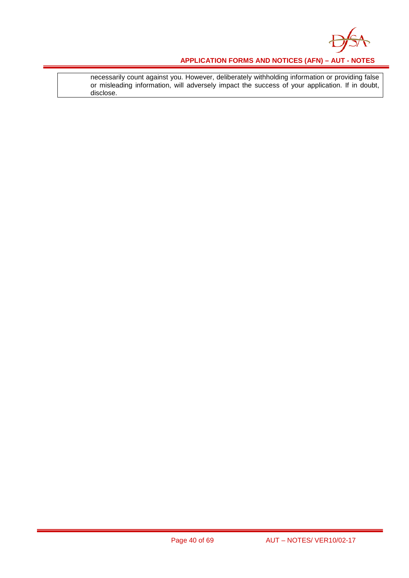

necessarily count against you. However, deliberately withholding information or providing false or misleading information, will adversely impact the success of your application. If in doubt, disclose.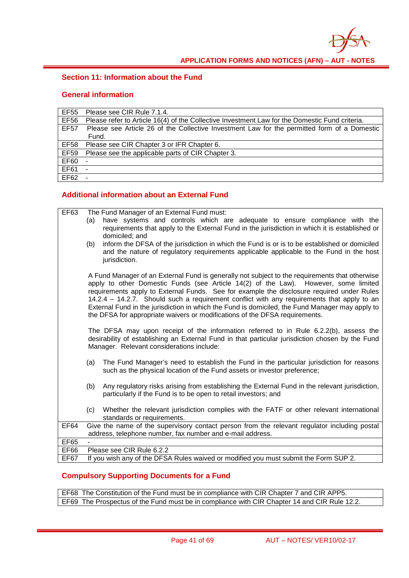

#### **Section 11: Information about the Fund**

#### **General information**

| EF55        | Please see CIR Rule 7.1.4.                                                                     |
|-------------|------------------------------------------------------------------------------------------------|
| <b>EF56</b> | Please refer to Article 16(4) of the Collective Investment Law for the Domestic Fund criteria. |
| <b>EF57</b> | Please see Article 26 of the Collective Investment Law for the permitted form of a Domestic    |
|             | Fund.                                                                                          |
| <b>EF58</b> | Please see CIR Chapter 3 or IFR Chapter 6.                                                     |
| <b>EF59</b> | Please see the applicable parts of CIR Chapter 3.                                              |
| <b>EF60</b> | $\overline{\phantom{a}}$                                                                       |
| EF61        | ۰                                                                                              |
| <b>EF62</b> |                                                                                                |

### **Additional information about an External Fund**

| EF63        |     | The Fund Manager of an External Fund must:                                                                                                                                                                                                                                                                                                                                                                                                                                                                                                                         |
|-------------|-----|--------------------------------------------------------------------------------------------------------------------------------------------------------------------------------------------------------------------------------------------------------------------------------------------------------------------------------------------------------------------------------------------------------------------------------------------------------------------------------------------------------------------------------------------------------------------|
|             | (a) | have systems and controls which are adequate to ensure compliance with the<br>requirements that apply to the External Fund in the jurisdiction in which it is established or<br>domiciled; and                                                                                                                                                                                                                                                                                                                                                                     |
|             | (b) | inform the DFSA of the jurisdiction in which the Fund is or is to be established or domiciled<br>and the nature of regulatory requirements applicable applicable to the Fund in the host<br>jurisdiction.                                                                                                                                                                                                                                                                                                                                                          |
|             |     | A Fund Manager of an External Fund is generally not subject to the requirements that otherwise<br>apply to other Domestic Funds (see Article 14(2) of the Law). However, some limited<br>requirements apply to External Funds. See for example the disclosure required under Rules<br>14.2.4 - 14.2.7. Should such a requirement conflict with any requirements that apply to an<br>External Fund in the jurisdiction in which the Fund is domiciled, the Fund Manager may apply to<br>the DFSA for appropriate waivers or modifications of the DFSA requirements. |
|             |     | The DFSA may upon receipt of the information referred to in Rule 6.2.2(b), assess the<br>desirability of establishing an External Fund in that particular jurisdiction chosen by the Fund<br>Manager. Relevant considerations include:                                                                                                                                                                                                                                                                                                                             |
|             | (a) | The Fund Manager's need to establish the Fund in the particular jurisdiction for reasons<br>such as the physical location of the Fund assets or investor preference;                                                                                                                                                                                                                                                                                                                                                                                               |
|             | (b) | Any regulatory risks arising from establishing the External Fund in the relevant jurisdiction,<br>particularly if the Fund is to be open to retail investors; and                                                                                                                                                                                                                                                                                                                                                                                                  |
|             | (c) | Whether the relevant jurisdiction complies with the FATF or other relevant international<br>standards or requirements.                                                                                                                                                                                                                                                                                                                                                                                                                                             |
| <b>EF64</b> |     | Give the name of the supervisory contact person from the relevant regulator including postal<br>address, telephone number, fax number and e-mail address.                                                                                                                                                                                                                                                                                                                                                                                                          |
| <b>EF65</b> |     |                                                                                                                                                                                                                                                                                                                                                                                                                                                                                                                                                                    |
| <b>EF66</b> |     | Please see CIR Rule 6.2.2                                                                                                                                                                                                                                                                                                                                                                                                                                                                                                                                          |
| EF67        |     | If you wish any of the DFSA Rules waived or modified you must submit the Form SUP 2.                                                                                                                                                                                                                                                                                                                                                                                                                                                                               |

### **Compulsory Supporting Documents for a Fund**

EF68 The Constitution of the Fund must be in compliance with CIR Chapter 7 and CIR APP5. EF69 The Prospectus of the Fund must be in compliance with CIR Chapter 14 and CIR Rule 12.2.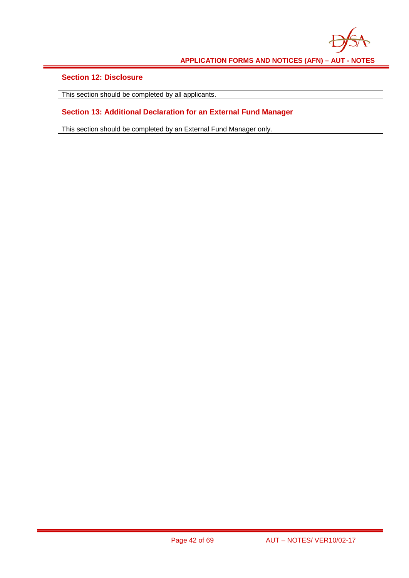

### **Section 12: Disclosure**

This section should be completed by all applicants.  $\mathsf{I}$ 

### **Section 13: Additional Declaration for an External Fund Manager**

This section should be completed by an External Fund Manager only.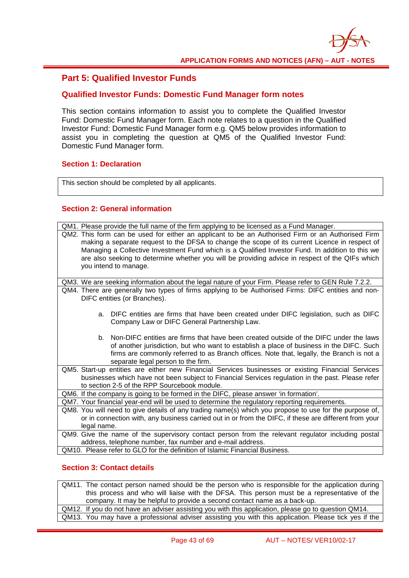

### **Part 5: Qualified Investor Funds**

#### **Qualified Investor Funds: Domestic Fund Manager form notes**

This section contains information to assist you to complete the Qualified Investor Fund: Domestic Fund Manager form. Each note relates to a question in the Qualified Investor Fund: Domestic Fund Manager form e.g. QM5 below provides information to assist you in completing the question at QM5 of the Qualified Investor Fund: Domestic Fund Manager form.

#### **Section 1: Declaration**

This section should be completed by all applicants.

### **Section 2: General information**

| QM1. Please provide the full name of the firm applying to be licensed as a Fund Manager.                                                                                                                        |
|-----------------------------------------------------------------------------------------------------------------------------------------------------------------------------------------------------------------|
| QM2. This form can be used for either an applicant to be an Authorised Firm or an Authorised Firm                                                                                                               |
| making a separate request to the DFSA to change the scope of its current Licence in respect of                                                                                                                  |
| Managing a Collective Investment Fund which is a Qualified Investor Fund. In addition to this we                                                                                                                |
| are also seeking to determine whether you will be providing advice in respect of the QIFs which                                                                                                                 |
| you intend to manage.                                                                                                                                                                                           |
|                                                                                                                                                                                                                 |
| QM3. We are seeking information about the legal nature of your Firm. Please refer to GEN Rule 7.2.2.                                                                                                            |
| QM4. There are generally two types of firms applying to be Authorised Firms: DIFC entities and non-                                                                                                             |
| DIFC entities (or Branches).                                                                                                                                                                                    |
|                                                                                                                                                                                                                 |
| a. DIFC entities are firms that have been created under DIFC legislation, such as DIFC                                                                                                                          |
| Company Law or DIFC General Partnership Law.                                                                                                                                                                    |
|                                                                                                                                                                                                                 |
| b. Non-DIFC entities are firms that have been created outside of the DIFC under the laws                                                                                                                        |
| of another jurisdiction, but who want to establish a place of business in the DIFC. Such                                                                                                                        |
| firms are commonly referred to as Branch offices. Note that, legally, the Branch is not a                                                                                                                       |
| separate legal person to the firm.                                                                                                                                                                              |
| QM5. Start-up entities are either new Financial Services businesses or existing Financial Services                                                                                                              |
| businesses which have not been subject to Financial Services regulation in the past. Please refer<br>to section 2-5 of the RPP Sourcebook module.                                                               |
|                                                                                                                                                                                                                 |
| QM6. If the company is going to be formed in the DIFC, please answer 'in formation'.                                                                                                                            |
| QM7. Your financial year-end will be used to determine the regulatory reporting requirements.                                                                                                                   |
| QM8. You will need to give details of any trading name(s) which you propose to use for the purpose of,<br>or in connection with, any business carried out in or from the DIFC, if these are different from your |
| legal name.                                                                                                                                                                                                     |
| QM9. Give the name of the supervisory contact person from the relevant regulator including postal                                                                                                               |
| address, telephone number, fax number and e-mail address.                                                                                                                                                       |
| QM10. Please refer to GLO for the definition of Islamic Financial Business.                                                                                                                                     |
|                                                                                                                                                                                                                 |
|                                                                                                                                                                                                                 |

#### **Section 3: Contact details**

QM11. The contact person named should be the person who is responsible for the application during this process and who will liaise with the DFSA. This person must be a representative of the company. It may be helpful to provide a second contact name as a back-up. QM12. If you do not have an adviser assisting you with this application, please go to question QM14.

QM13. You may have a professional adviser assisting you with this application. Please tick yes if the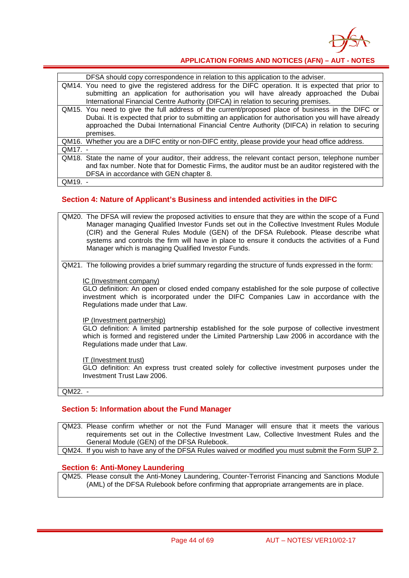

|         | DFSA should copy correspondence in relation to this application to the adviser.                                                                                                                                                                                                                                         |
|---------|-------------------------------------------------------------------------------------------------------------------------------------------------------------------------------------------------------------------------------------------------------------------------------------------------------------------------|
|         | QM14. You need to give the registered address for the DIFC operation. It is expected that prior to<br>submitting an application for authorisation you will have already approached the Dubai<br>International Financial Centre Authority (DIFCA) in relation to securing premises.                                      |
|         | QM15. You need to give the full address of the current/proposed place of business in the DIFC or<br>Dubai. It is expected that prior to submitting an application for authorisation you will have already<br>approached the Dubai International Financial Centre Authority (DIFCA) in relation to securing<br>premises. |
|         | QM16. Whether you are a DIFC entity or non-DIFC entity, please provide your head office address.                                                                                                                                                                                                                        |
| QM17. - |                                                                                                                                                                                                                                                                                                                         |
|         | QM18. State the name of your auditor, their address, the relevant contact person, telephone number<br>and fax number. Note that for Domestic Firms, the auditor must be an auditor registered with the<br>DFSA in accordance with GEN chapter 8.                                                                        |
| QM19.   |                                                                                                                                                                                                                                                                                                                         |

#### **Section 4: Nature of Applicant's Business and intended activities in the DIFC**

QM20. The DFSA will review the proposed activities to ensure that they are within the scope of a Fund Manager managing Qualified Investor Funds set out in the Collective Investment Rules Module (CIR) and the General Rules Module (GEN) of the DFSA Rulebook. Please describe what systems and controls the firm will have in place to ensure it conducts the activities of a Fund Manager which is managing Qualified Investor Funds.

QM21. The following provides a brief summary regarding the structure of funds expressed in the form:

#### IC (Investment company)

GLO definition: An open or closed ended company established for the sole purpose of collective investment which is incorporated under the DIFC Companies Law in accordance with the Regulations made under that Law.

#### IP (Investment partnership)

GLO definition: A limited partnership established for the sole purpose of collective investment which is formed and registered under the Limited Partnership Law 2006 in accordance with the Regulations made under that Law.

#### IT (Investment trust)

GLO definition: An express trust created solely for collective investment purposes under the Investment Trust Law 2006.

#### QM22. -

#### **Section 5: Information about the Fund Manager**

QM23. Please confirm whether or not the Fund Manager will ensure that it meets the various requirements set out in the Collective Investment Law, Collective Investment Rules and the General Module (GEN) of the DFSA Rulebook.

QM24. If you wish to have any of the DFSA Rules waived or modified you must submit the Form SUP 2.

#### **Section 6: Anti-Money Laundering**

QM25. Please consult the Anti-Money Laundering, Counter-Terrorist Financing and Sanctions Module (AML) of the DFSA Rulebook before confirming that appropriate arrangements are in place.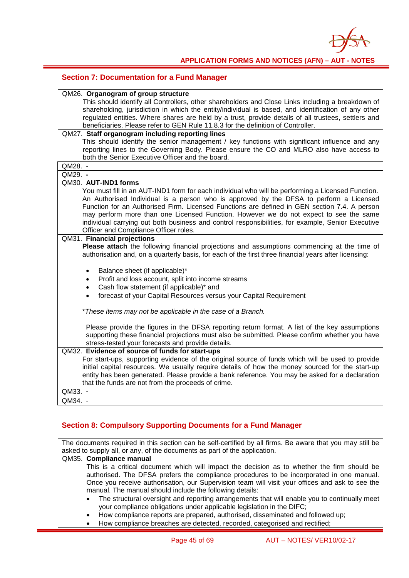

#### **Section 7: Documentation for a Fund Manager**

| QM26. Organogram of group structure                                                                                                                                                    |
|----------------------------------------------------------------------------------------------------------------------------------------------------------------------------------------|
| This should identify all Controllers, other shareholders and Close Links including a breakdown of                                                                                      |
| shareholding, jurisdiction in which the entity/individual is based, and identification of any other                                                                                    |
| regulated entities. Where shares are held by a trust, provide details of all trustees, settlers and                                                                                    |
| beneficiaries. Please refer to GEN Rule 11.8.3 for the definition of Controller.                                                                                                       |
| QM27. Staff organogram including reporting lines                                                                                                                                       |
| This should identify the senior management / key functions with significant influence and any                                                                                          |
| reporting lines to the Governing Body. Please ensure the CO and MLRO also have access to                                                                                               |
| both the Senior Executive Officer and the board.                                                                                                                                       |
| QM28. -                                                                                                                                                                                |
| QM29. -                                                                                                                                                                                |
| QM30. AUT-IND1 forms                                                                                                                                                                   |
| You must fill in an AUT-IND1 form for each individual who will be performing a Licensed Function.                                                                                      |
| An Authorised Individual is a person who is approved by the DFSA to perform a Licensed<br>Function for an Authorised Firm. Licensed Functions are defined in GEN section 7.4. A person |
| may perform more than one Licensed Function. However we do not expect to see the same                                                                                                  |
| individual carrying out both business and control responsibilities, for example, Senior Executive                                                                                      |
| Officer and Compliance Officer roles.                                                                                                                                                  |
| QM31. Financial projections                                                                                                                                                            |
| Please attach the following financial projections and assumptions commencing at the time of                                                                                            |
| authorisation and, on a quarterly basis, for each of the first three financial years after licensing:                                                                                  |
| Balance sheet (if applicable)*<br>$\bullet$                                                                                                                                            |
| Profit and loss account, split into income streams<br>٠                                                                                                                                |
| Cash flow statement (if applicable)* and<br>$\bullet$                                                                                                                                  |
| forecast of your Capital Resources versus your Capital Requirement<br>$\bullet$                                                                                                        |
| *These items may not be applicable in the case of a Branch.                                                                                                                            |
|                                                                                                                                                                                        |
| Please provide the figures in the DFSA reporting return format. A list of the key assumptions                                                                                          |
| supporting these financial projections must also be submitted. Please confirm whether you have                                                                                         |
| stress-tested your forecasts and provide details.                                                                                                                                      |
| QM32. Evidence of source of funds for start-ups                                                                                                                                        |
| For start-ups, supporting evidence of the original source of funds which will be used to provide                                                                                       |
| initial capital resources. We usually require details of how the money sourced for the start-up                                                                                        |
| entity has been generated. Please provide a bank reference. You may be asked for a declaration                                                                                         |
| that the funds are not from the proceeds of crime.                                                                                                                                     |
| QM33. -                                                                                                                                                                                |
| QM34. -                                                                                                                                                                                |

#### **Section 8: Compulsory Supporting Documents for a Fund Manager**

The documents required in this section can be self-certified by all firms. Be aware that you may still be asked to supply all, or any, of the documents as part of the application. QM35. **Compliance manual**

This is a critical document which will impact the decision as to whether the firm should be authorised. The DFSA prefers the compliance procedures to be incorporated in one manual. Once you receive authorisation, our Supervision team will visit your offices and ask to see the manual. The manual should include the following details:

- The structural oversight and reporting arrangements that will enable you to continually meet your compliance obligations under applicable legislation in the DIFC;
- How compliance reports are prepared, authorised, disseminated and followed up;
- How compliance breaches are detected, recorded, categorised and rectified;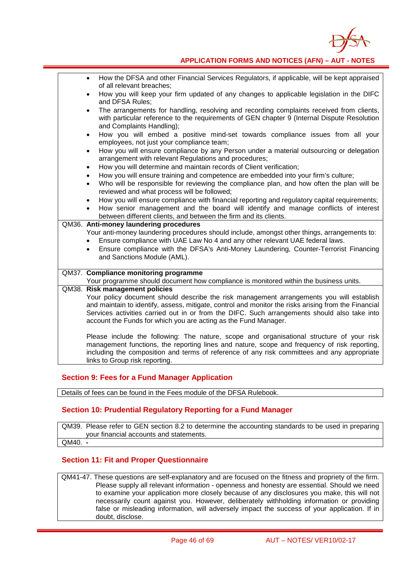

| How the DFSA and other Financial Services Regulators, if applicable, will be kept appraised<br>$\bullet$<br>of all relevant breaches;                                                                                             |
|-----------------------------------------------------------------------------------------------------------------------------------------------------------------------------------------------------------------------------------|
| How you will keep your firm updated of any changes to applicable legislation in the DIFC<br>٠<br>and DFSA Rules;                                                                                                                  |
| The arrangements for handling, resolving and recording complaints received from clients,<br>$\bullet$<br>with particular reference to the requirements of GEN chapter 9 (Internal Dispute Resolution<br>and Complaints Handling); |
| How you will embed a positive mind-set towards compliance issues from all your<br>$\bullet$<br>employees, not just your compliance team;                                                                                          |
| How you will ensure compliance by any Person under a material outsourcing or delegation<br>$\bullet$<br>arrangement with relevant Regulations and procedures;                                                                     |
| How you will determine and maintain records of Client verification;<br>$\bullet$                                                                                                                                                  |
| How you will ensure training and competence are embedded into your firm's culture;<br>$\bullet$                                                                                                                                   |
| Who will be responsible for reviewing the compliance plan, and how often the plan will be<br>$\bullet$                                                                                                                            |
| reviewed and what process will be followed;                                                                                                                                                                                       |
| How you will ensure compliance with financial reporting and regulatory capital requirements;                                                                                                                                      |
| How senior management and the board will identify and manage conflicts of interest                                                                                                                                                |
| between different clients, and between the firm and its clients.                                                                                                                                                                  |
| QM36. Anti-money laundering procedures                                                                                                                                                                                            |
| Your anti-money laundering procedures should include, amongst other things, arrangements to:                                                                                                                                      |
| Ensure compliance with UAE Law No 4 and any other relevant UAE federal laws.                                                                                                                                                      |
| Ensure compliance with the DFSA's Anti-Money Laundering, Counter-Terrorist Financing<br>$\bullet$                                                                                                                                 |
| and Sanctions Module (AML).                                                                                                                                                                                                       |
|                                                                                                                                                                                                                                   |
| QM37. Compliance monitoring programme                                                                                                                                                                                             |
| Your programme should document how compliance is monitored within the business units.                                                                                                                                             |
| QM38. Risk management policies                                                                                                                                                                                                    |
| Your policy document should describe the risk management arrangements you will establish                                                                                                                                          |
| and maintain to identify, assess, mitigate, control and monitor the risks arising from the Financial                                                                                                                              |
| Services activities carried out in or from the DIFC. Such arrangements should also take into                                                                                                                                      |
| account the Funds for which you are acting as the Fund Manager.                                                                                                                                                                   |
|                                                                                                                                                                                                                                   |
| Please include the following: The nature, scope and organisational structure of your risk                                                                                                                                         |
| management functions, the reporting lines and nature, scope and frequency of risk reporting,                                                                                                                                      |
| including the composition and terms of reference of any risk committees and any appropriate                                                                                                                                       |
| links to Group risk reporting.                                                                                                                                                                                                    |
|                                                                                                                                                                                                                                   |

#### **Section 9: Fees for a Fund Manager Application**

Details of fees can be found in the Fees module of the DFSA Rulebook.

#### **Section 10: Prudential Regulatory Reporting for a Fund Manager**

QM39. Please refer to GEN section 8.2 to determine the accounting standards to be used in preparing your financial accounts and statements. QM40. **-**

### **Section 11: Fit and Proper Questionnaire**

QM41-47. These questions are self-explanatory and are focused on the fitness and propriety of the firm. Please supply all relevant information - openness and honesty are essential. Should we need to examine your application more closely because of any disclosures you make, this will not necessarily count against you. However, deliberately withholding information or providing false or misleading information, will adversely impact the success of your application. If in doubt, disclose.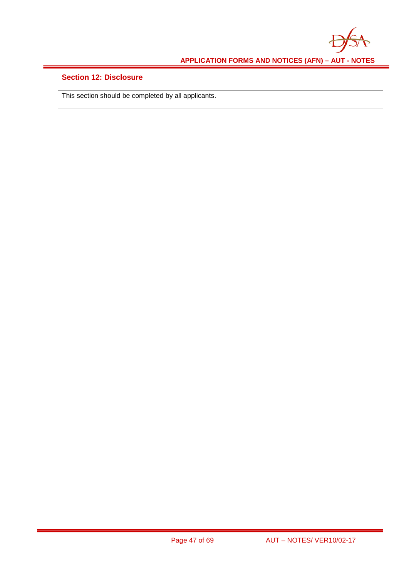

### **Section 12: Disclosure**

This section should be completed by all applicants.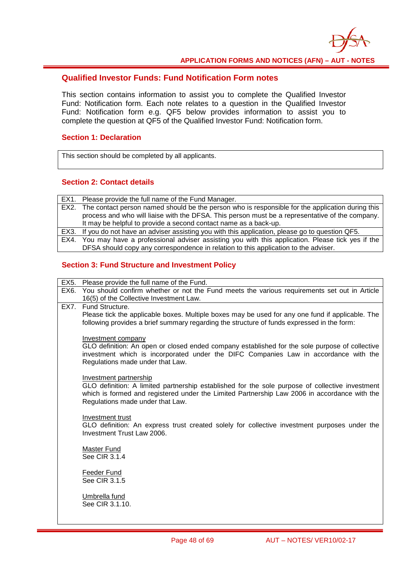

#### **Qualified Investor Funds: Fund Notification Form notes**

This section contains information to assist you to complete the Qualified Investor Fund: Notification form. Each note relates to a question in the Qualified Investor Fund: Notification form e.g. QF5 below provides information to assist you to complete the question at QF5 of the Qualified Investor Fund: Notification form.

#### **Section 1: Declaration**

This section should be completed by all applicants.

#### **Section 2: Contact details**

EX1. Please provide the full name of the Fund Manager. EX2. The contact person named should be the person who is responsible for the application during this process and who will liaise with the DFSA. This person must be a representative of the company. It may be helpful to provide a second contact name as a back-up. EX3. If you do not have an adviser assisting you with this application, please go to question QF5. EX4. You may have a professional adviser assisting you with this application. Please tick yes if the

DFSA should copy any correspondence in relation to this application to the adviser.

#### **Section 3: Fund Structure and Investment Policy**

- EX5. Please provide the full name of the Fund. EX6. You should confirm whether or not the Fund meets the various requirements set out in Article 16(5) of the Collective Investment Law.
	- EX7. Fund Structure.

Please tick the applicable boxes. Multiple boxes may be used for any one fund if applicable. The following provides a brief summary regarding the structure of funds expressed in the form:

#### Investment company

GLO definition: An open or closed ended company established for the sole purpose of collective investment which is incorporated under the DIFC Companies Law in accordance with the Regulations made under that Law.

#### Investment partnership

GLO definition: A limited partnership established for the sole purpose of collective investment which is formed and registered under the Limited Partnership Law 2006 in accordance with the Regulations made under that Law.

Investment trust

GLO definition: An express trust created solely for collective investment purposes under the Investment Trust Law 2006.

Master Fund See CIR 3.1.4

Feeder Fund  $See CIR$  3.1.5

Umbrella fund See CIR 3.1.10.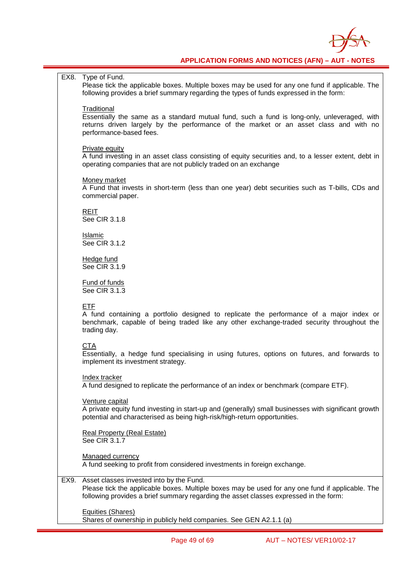

EX8. Type of Fund. Please tick the applicable boxes. Multiple boxes may be used for any one fund if applicable. The following provides a brief summary regarding the types of funds expressed in the form: **Traditional** Essentially the same as a standard mutual fund, such a fund is long-only, unleveraged, with returns driven largely by the performance of the market or an asset class and with no performance-based fees. Private equity A fund investing in an asset class consisting of equity securities and, to a lesser extent, debt in operating companies that are not publicly traded on an exchange Money market A Fund that invests in short-term (less than one year) debt securities such as T-bills, CDs and commercial paper. REIT See CIR 3.1.8 Islamic See CIR 3.1.2 Hedge fund See CIR 3.1.9 Fund of funds See CIR 3.1.3 ETF A fund containing a portfolio designed to replicate the performance of a major index or benchmark, capable of being traded like any other exchange-traded security throughout the trading day. **CTA** Essentially, a hedge fund specialising in using futures, options on futures, and forwards to implement its investment strategy. Index tracker A fund designed to replicate the performance of an index or benchmark (compare ETF). Venture capital A private equity fund investing in start-up and (generally) small businesses with significant growth potential and characterised as being high-risk/high-return opportunities. Real Property (Real Estate) See CIR 3.1.7 Managed currency A fund seeking to profit from considered investments in foreign exchange. EX9. Asset classes invested into by the Fund. Please tick the applicable boxes. Multiple boxes may be used for any one fund if applicable. The following provides a brief summary regarding the asset classes expressed in the form: Equities (Shares) Shares of ownership in publicly held companies. See GEN A2.1.1 (a)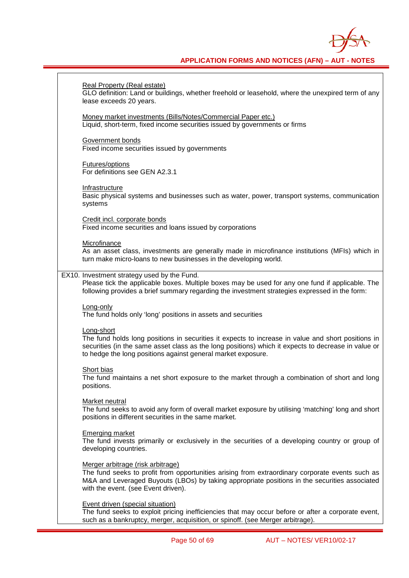

٦

| <b>Real Property (Real estate)</b><br>GLO definition: Land or buildings, whether freehold or leasehold, where the unexpired term of any<br>lease exceeds 20 years.                                                                                                                      |
|-----------------------------------------------------------------------------------------------------------------------------------------------------------------------------------------------------------------------------------------------------------------------------------------|
| Money market investments (Bills/Notes/Commercial Paper etc.)<br>Liquid, short-term, fixed income securities issued by governments or firms                                                                                                                                              |
| Government bonds<br>Fixed income securities issued by governments                                                                                                                                                                                                                       |
| <b>Futures/options</b><br>For definitions see GEN A2.3.1                                                                                                                                                                                                                                |
| Infrastructure<br>Basic physical systems and businesses such as water, power, transport systems, communication<br>systems                                                                                                                                                               |
| Credit incl. corporate bonds<br>Fixed income securities and loans issued by corporations                                                                                                                                                                                                |
| Microfinance<br>As an asset class, investments are generally made in microfinance institutions (MFIs) which in<br>turn make micro-loans to new businesses in the developing world.                                                                                                      |
| EX10. Investment strategy used by the Fund.<br>Please tick the applicable boxes. Multiple boxes may be used for any one fund if applicable. The<br>following provides a brief summary regarding the investment strategies expressed in the form:                                        |
| Long-only<br>The fund holds only 'long' positions in assets and securities                                                                                                                                                                                                              |
| Long-short<br>The fund holds long positions in securities it expects to increase in value and short positions in<br>securities (in the same asset class as the long positions) which it expects to decrease in value or<br>to hedge the long positions against general market exposure. |
| Short bias<br>The fund maintains a net short exposure to the market through a combination of short and long<br>positions.                                                                                                                                                               |
| Market neutral<br>The fund seeks to avoid any form of overall market exposure by utilising 'matching' long and short<br>positions in different securities in the same market.                                                                                                           |
| <b>Emerging market</b><br>The fund invests primarily or exclusively in the securities of a developing country or group of<br>developing countries.                                                                                                                                      |
| Merger arbitrage (risk arbitrage)<br>The fund seeks to profit from opportunities arising from extraordinary corporate events such as<br>M&A and Leveraged Buyouts (LBOs) by taking appropriate positions in the securities associated<br>with the event. (see Event driven).            |
| Event driven (special situation)<br>The fund seeks to exploit pricing inefficiencies that may occur before or after a corporate event,<br>such as a bankruptcy, merger, acquisition, or spinoff. (see Merger arbitrage).                                                                |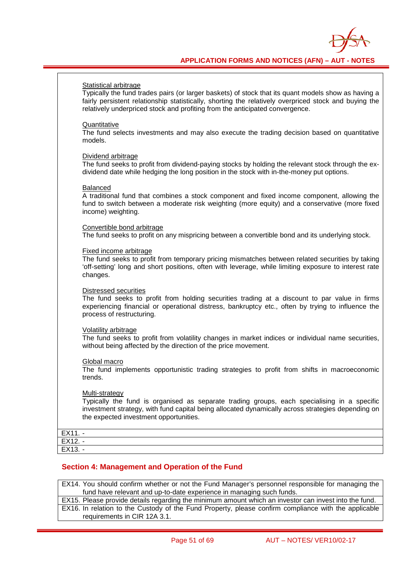

#### Statistical arbitrage

Typically the fund trades pairs (or larger baskets) of stock that its quant models show as having a fairly persistent relationship statistically, shorting the relatively overpriced stock and buying the relatively underpriced stock and profiting from the anticipated convergence.

#### **Quantitative**

The fund selects investments and may also execute the trading decision based on quantitative models.

#### Dividend arbitrage

The fund seeks to profit from dividend-paying stocks by holding the relevant stock through the exdividend date while hedging the long position in the stock with in-the-money put options.

#### Balanced

A traditional fund that combines a stock component and fixed income component, allowing the fund to switch between a moderate risk weighting (more equity) and a conservative (more fixed income) weighting.

Convertible bond arbitrage

The fund seeks to profit on any mispricing between a convertible bond and its underlying stock.

Fixed income arbitrage

The fund seeks to profit from temporary pricing mismatches between related securities by taking 'off-setting' long and short positions, often with leverage, while limiting exposure to interest rate changes.

#### Distressed securities

The fund seeks to profit from holding securities trading at a discount to par value in firms experiencing financial or operational distress, bankruptcy etc., often by trying to influence the process of restructuring.

#### Volatility arbitrage

The fund seeks to profit from volatility changes in market indices or individual name securities, without being affected by the direction of the price movement.

#### Global macro

The fund implements opportunistic trading strategies to profit from shifts in macroeconomic trends.

#### Multi-strategy

Typically the fund is organised as separate trading groups, each specialising in a specific investment strategy, with fund capital being allocated dynamically across strategies depending on the expected investment opportunities.

| $EX11$ .  |  |
|-----------|--|
| EX12. -   |  |
| $EX13. -$ |  |
|           |  |

#### **Section 4: Management and Operation of the Fund**

EX14. You should confirm whether or not the Fund Manager's personnel responsible for managing the fund have relevant and up-to-date experience in managing such funds. EX15. Please provide details regarding the minimum amount which an investor can invest into the fund.

EX16. In relation to the Custody of the Fund Property, please confirm compliance with the applicable requirements in CIR 12A 3.1.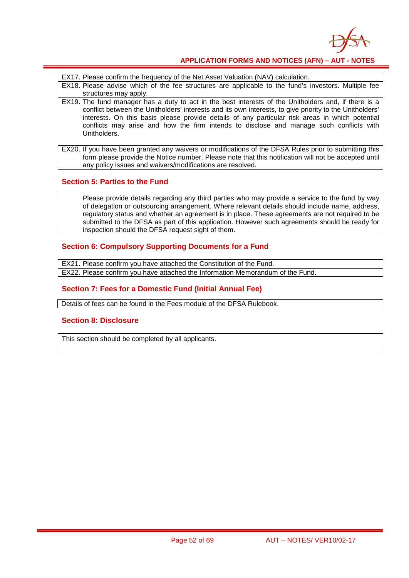

EX17. Please confirm the frequency of the Net Asset Valuation (NAV) calculation.

- EX18. Please advise which of the fee structures are applicable to the fund's investors. Multiple fee structures may apply.
- EX19. The fund manager has a duty to act in the best interests of the Unitholders and, if there is a conflict between the Unitholders' interests and its own interests, to give priority to the Unitholders' interests. On this basis please provide details of any particular risk areas in which potential conflicts may arise and how the firm intends to disclose and manage such conflicts with Unitholders.
- EX20. If you have been granted any waivers or modifications of the DFSA Rules prior to submitting this form please provide the Notice number. Please note that this notification will not be accepted until any policy issues and waivers/modifications are resolved.

#### **Section 5: Parties to the Fund**

Please provide details regarding any third parties who may provide a service to the fund by way of delegation or outsourcing arrangement. Where relevant details should include name, address, regulatory status and whether an agreement is in place. These agreements are not required to be submitted to the DFSA as part of this application. However such agreements should be ready for inspection should the DFSA request sight of them.

#### **Section 6: Compulsory Supporting Documents for a Fund**

EX21. Please confirm you have attached the Constitution of the Fund. EX22. Please confirm you have attached the Information Memorandum of the Fund.

#### **Section 7: Fees for a Domestic Fund (Initial Annual Fee)**

Details of fees can be found in the Fees module of the DFSA Rulebook.

#### **Section 8: Disclosure**

This section should be completed by all applicants.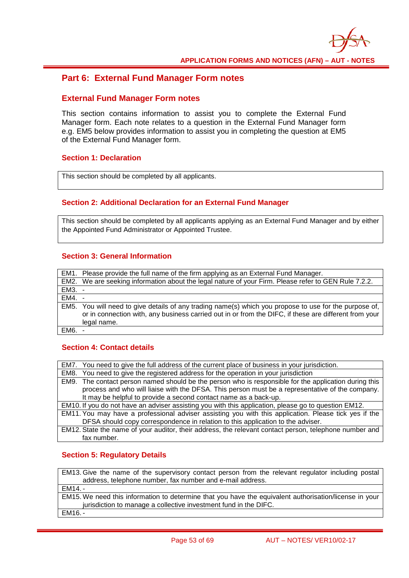### **Part 6: External Fund Manager Form notes**

#### **External Fund Manager Form notes**

This section contains information to assist you to complete the External Fund Manager form. Each note relates to a question in the External Fund Manager form e.g. EM5 below provides information to assist you in completing the question at EM5 of the External Fund Manager form.

#### **Section 1: Declaration**

This section should be completed by all applicants.

#### **Section 2: Additional Declaration for an External Fund Manager**

This section should be completed by all applicants applying as an External Fund Manager and by either the Appointed Fund Administrator or Appointed Trustee.

#### **Section 3: General Information**

|          | EM1. Please provide the full name of the firm applying as an External Fund Manager.                    |
|----------|--------------------------------------------------------------------------------------------------------|
|          | EM2. We are seeking information about the legal nature of your Firm. Please refer to GEN Rule 7.2.2.   |
| EM3. -   |                                                                                                        |
| $EM4. -$ |                                                                                                        |
|          | EM5. You will need to give details of any trading name(s) which you propose to use for the purpose of, |
|          | or in connection with, any business carried out in or from the DIFC, if these are different from your  |
|          | legal name.                                                                                            |
| $EM6.$ - |                                                                                                        |

#### **Section 4: Contact details**

| EM7. You need to give the full address of the current place of business in your jurisdiction.          |
|--------------------------------------------------------------------------------------------------------|
| EM8. You need to give the registered address for the operation in your jurisdiction                    |
| EM9. The contact person named should be the person who is responsible for the application during this  |
| process and who will liaise with the DFSA. This person must be a representative of the company.        |
| It may be helpful to provide a second contact name as a back-up.                                       |
| EM10. If you do not have an adviser assisting you with this application, please go to question EM12.   |
| EM11. You may have a professional adviser assisting you with this application. Please tick yes if the  |
| DFSA should copy correspondence in relation to this application to the adviser.                        |
| EM12. State the name of your auditor, their address, the relevant contact person, telephone number and |
| fax number.                                                                                            |

#### **Section 5: Regulatory Details**

EM13. Give the name of the supervisory contact person from the relevant regulator including postal address, telephone number, fax number and e-mail address. EM14. - EM15. We need this information to determine that you have the equivalent authorisation/license in your jurisdiction to manage a collective investment fund in the DIFC. EM16. -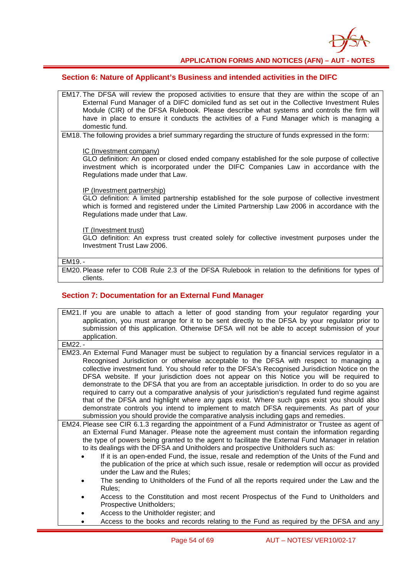

#### **Section 6: Nature of Applicant's Business and intended activities in the DIFC**

- EM17. The DFSA will review the proposed activities to ensure that they are within the scope of an External Fund Manager of a DIFC domiciled fund as set out in the Collective Investment Rules Module (CIR) of the DFSA Rulebook. Please describe what systems and controls the firm will have in place to ensure it conducts the activities of a Fund Manager which is managing a domestic fund.
- EM18. The following provides a brief summary regarding the structure of funds expressed in the form:

#### IC (Investment company)

GLO definition: An open or closed ended company established for the sole purpose of collective investment which is incorporated under the DIFC Companies Law in accordance with the Regulations made under that Law.

#### IP (Investment partnership)

GLO definition: A limited partnership established for the sole purpose of collective investment which is formed and registered under the Limited Partnership Law 2006 in accordance with the Regulations made under that Law.

#### IT (Investment trust)

GLO definition: An express trust created solely for collective investment purposes under the Investment Trust Law 2006.

#### EM19. -

EM20. Please refer to COB Rule 2.3 of the DFSA Rulebook in relation to the definitions for types of clients.

#### **Section 7: Documentation for an External Fund Manager**

| EM21. If you are unable to attach a letter of good standing from your regulator regarding your<br>application, you must arrange for it to be sent directly to the DFSA by your regulator prior to |
|---------------------------------------------------------------------------------------------------------------------------------------------------------------------------------------------------|
| submission of this application. Otherwise DFSA will not be able to accept submission of your                                                                                                      |
| application.                                                                                                                                                                                      |
| EM22. -                                                                                                                                                                                           |
| EM23. An External Fund Manager must be subject to regulation by a financial services regulator in a                                                                                               |
| Recognised Jurisdiction or otherwise acceptable to the DFSA with respect to managing a                                                                                                            |
| collective investment fund. You should refer to the DFSA's Recognised Jurisdiction Notice on the                                                                                                  |
| DFSA website. If your jurisdiction does not appear on this Notice you will be required to                                                                                                         |
| demonstrate to the DFSA that you are from an acceptable jurisdiction. In order to do so you are                                                                                                   |
| required to carry out a comparative analysis of your jurisdiction's regulated fund regime against                                                                                                 |
| that of the DFSA and highlight where any gaps exist. Where such gaps exist you should also                                                                                                        |
| demonstrate controls you intend to implement to match DFSA requirements. As part of your                                                                                                          |
| submission you should provide the comparative analysis including gaps and remedies.                                                                                                               |
| EM24. Please see CIR 6.1.3 regarding the appointment of a Fund Administrator or Trustee as agent of                                                                                               |
| an External Fund Manager. Please note the agreement must contain the information regarding                                                                                                        |
| the type of powers being granted to the agent to facilitate the External Fund Manager in relation                                                                                                 |
| to its dealings with the DFSA and Unitholders and prospective Unitholders such as:                                                                                                                |
| If it is an open-ended Fund, the issue, resale and redemption of the Units of the Fund and                                                                                                        |
| the publication of the price at which such issue, resale or redemption will occur as provided                                                                                                     |
| under the Law and the Rules;                                                                                                                                                                      |
| The sending to Unitholders of the Fund of all the reports required under the Law and the                                                                                                          |
| Rules:                                                                                                                                                                                            |
| Access to the Constitution and most recent Prospectus of the Fund to Unitholders and                                                                                                              |
| Prospective Unitholders;                                                                                                                                                                          |
| Access to the Unitholder register; and                                                                                                                                                            |
| Access to the books and records relating to the Fund as required by the DFSA and any                                                                                                              |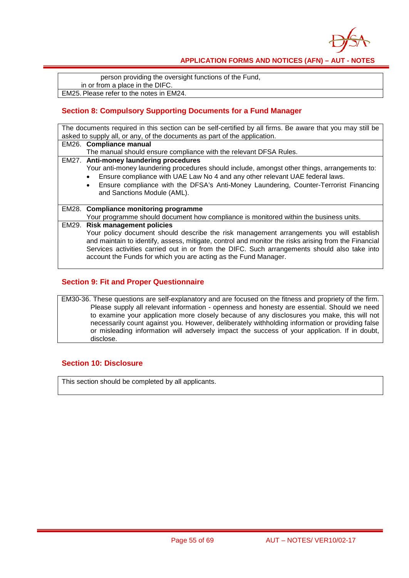

person providing the oversight functions of the Fund, in or from a place in the DIFC. EM25. Please refer to the notes in EM24.

### **Section 8: Compulsory Supporting Documents for a Fund Manager**

| The documents required in this section can be self-certified by all firms. Be aware that you may still be<br>asked to supply all, or any, of the documents as part of the application. |                                                                                                                                                                                                                                                                                                                                                                                                                    |  |
|----------------------------------------------------------------------------------------------------------------------------------------------------------------------------------------|--------------------------------------------------------------------------------------------------------------------------------------------------------------------------------------------------------------------------------------------------------------------------------------------------------------------------------------------------------------------------------------------------------------------|--|
|                                                                                                                                                                                        | EM26. Compliance manual                                                                                                                                                                                                                                                                                                                                                                                            |  |
|                                                                                                                                                                                        | The manual should ensure compliance with the relevant DFSA Rules.<br>EM27. Anti-money laundering procedures<br>Your anti-money laundering procedures should include, amongst other things, arrangements to:<br>Ensure compliance with UAE Law No 4 and any other relevant UAE federal laws.<br>Ensure compliance with the DFSA's Anti-Money Laundering, Counter-Terrorist Financing<br>and Sanctions Module (AML). |  |
|                                                                                                                                                                                        | EM28. Compliance monitoring programme<br>Your programme should document how compliance is monitored within the business units.                                                                                                                                                                                                                                                                                     |  |
|                                                                                                                                                                                        | EM29. Risk management policies<br>Your policy document should describe the risk management arrangements you will establish<br>and maintain to identify, assess, mitigate, control and monitor the risks arising from the Financial<br>Services activities carried out in or from the DIFC. Such arrangements should also take into<br>account the Funds for which you are acting as the Fund Manager.              |  |

#### **Section 9: Fit and Proper Questionnaire**

EM30-36. These questions are self-explanatory and are focused on the fitness and propriety of the firm. Please supply all relevant information - openness and honesty are essential. Should we need to examine your application more closely because of any disclosures you make, this will not necessarily count against you. However, deliberately withholding information or providing false or misleading information will adversely impact the success of your application. If in doubt, disclose.

#### **Section 10: Disclosure**

This section should be completed by all applicants.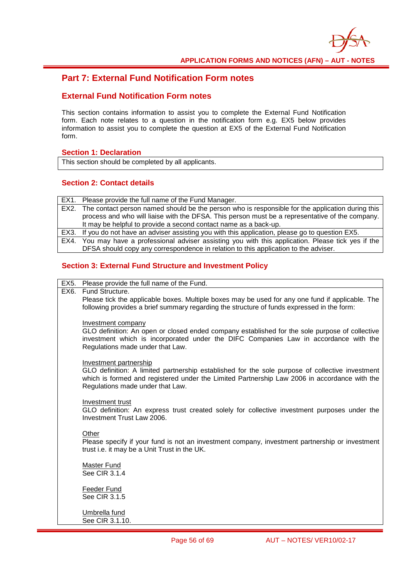

### **Part 7: External Fund Notification Form notes**

### **External Fund Notification Form notes**

This section contains information to assist you to complete the External Fund Notification form. Each note relates to a question in the notification form e.g. EX5 below provides information to assist you to complete the question at EX5 of the External Fund Notification form.

#### **Section 1: Declaration**

This section should be completed by all applicants.

#### **Section 2: Contact details**

|      | EX1. Please provide the full name of the Fund Manager.                                             |
|------|----------------------------------------------------------------------------------------------------|
| EX2. | The contact person named should be the person who is responsible for the application during this   |
|      | process and who will liaise with the DFSA. This person must be a representative of the company.    |
|      | It may be helpful to provide a second contact name as a back-up.                                   |
|      | EX3. If you do not have an adviser assisting you with this application, please go to question EX5. |
| EX4. | You may have a professional adviser assisting you with this application. Please tick yes if the    |
|      | DFSA should copy any correspondence in relation to this application to the adviser.                |

#### **Section 3: External Fund Structure and Investment Policy**

EX5. Please provide the full name of the Fund.

#### EX6. Fund Structure.

Please tick the applicable boxes. Multiple boxes may be used for any one fund if applicable. The following provides a brief summary regarding the structure of funds expressed in the form:

#### Investment company

GLO definition: An open or closed ended company established for the sole purpose of collective investment which is incorporated under the DIFC Companies Law in accordance with the Regulations made under that Law.

#### Investment partnership

GLO definition: A limited partnership established for the sole purpose of collective investment which is formed and registered under the Limited Partnership Law 2006 in accordance with the Regulations made under that Law.

#### Investment trust

GLO definition: An express trust created solely for collective investment purposes under the Investment Trust Law 2006.

#### **Other**

Please specify if your fund is not an investment company, investment partnership or investment trust i.e. it may be a Unit Trust in the UK.

Master Fund See CIR 3.1.4

Feeder Fund See CIR 3.1.5

Umbrella fund See CIR 3.1.10.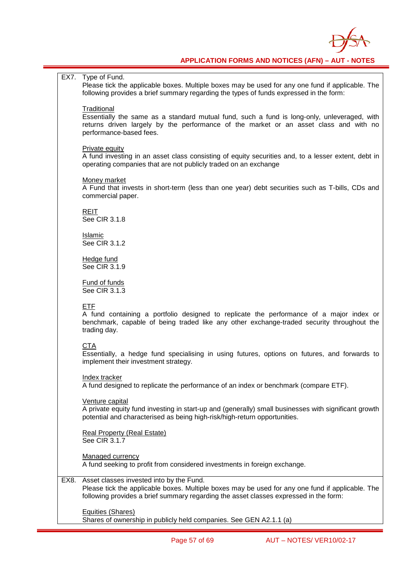

EX7. Type of Fund. Please tick the applicable boxes. Multiple boxes may be used for any one fund if applicable. The following provides a brief summary regarding the types of funds expressed in the form: **Traditional** Essentially the same as a standard mutual fund, such a fund is long-only, unleveraged, with returns driven largely by the performance of the market or an asset class and with no performance-based fees. Private equity A fund investing in an asset class consisting of equity securities and, to a lesser extent, debt in operating companies that are not publicly traded on an exchange Money market A Fund that invests in short-term (less than one year) debt securities such as T-bills, CDs and commercial paper. REIT **See CIR 3.1.8** Islamic See CIR 3.1.2 Hedge fund See CIR 3.1.9 Fund of funds See CIR 3.1.3 ETF A fund containing a portfolio designed to replicate the performance of a major index or benchmark, capable of being traded like any other exchange-traded security throughout the trading day. **CTA** Essentially, a hedge fund specialising in using futures, options on futures, and forwards to implement their investment strategy. Index tracker A fund designed to replicate the performance of an index or benchmark (compare ETF). Venture capital A private equity fund investing in start-up and (generally) small businesses with significant growth potential and characterised as being high-risk/high-return opportunities. Real Property (Real Estate) See CIR 3.1.7 Managed currency A fund seeking to profit from considered investments in foreign exchange. EX8. Asset classes invested into by the Fund. Please tick the applicable boxes. Multiple boxes may be used for any one fund if applicable. The following provides a brief summary regarding the asset classes expressed in the form: Equities (Shares) Shares of ownership in publicly held companies. See GEN A2.1.1 (a)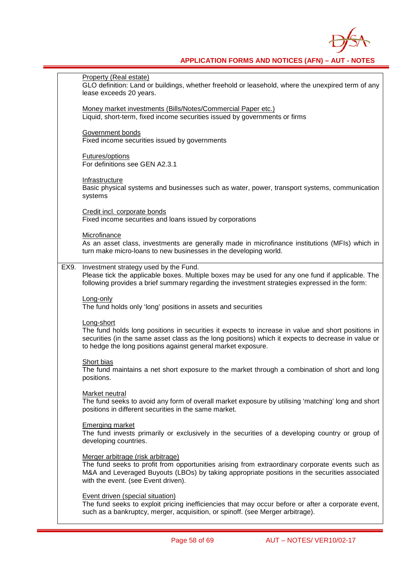

Property (Real estate) GLO definition: Land or buildings, whether freehold or leasehold, where the unexpired term of any lease exceeds 20 years. Money market investments (Bills/Notes/Commercial Paper etc.) Liquid, short-term, fixed income securities issued by governments or firms Government bonds Fixed income securities issued by governments Futures/options For definitions see GEN A2.3.1 Infrastructure Basic physical systems and businesses such as water, power, transport systems, communication systems Credit incl. corporate bonds Fixed income securities and loans issued by corporations **Microfinance** As an asset class, investments are generally made in microfinance institutions (MFIs) which in turn make micro-loans to new businesses in the developing world. EX9. Investment strategy used by the Fund. Please tick the applicable boxes. Multiple boxes may be used for any one fund if applicable. The following provides a brief summary regarding the investment strategies expressed in the form: Long-only The fund holds only 'long' positions in assets and securities Long-short The fund holds long positions in securities it expects to increase in value and short positions in securities (in the same asset class as the long positions) which it expects to decrease in value or to hedge the long positions against general market exposure. Short bias The fund maintains a net short exposure to the market through a combination of short and long positions. Market neutral The fund seeks to avoid any form of overall market exposure by utilising 'matching' long and short positions in different securities in the same market. Emerging market The fund invests primarily or exclusively in the securities of a developing country or group of developing countries. Merger arbitrage (risk arbitrage) The fund seeks to profit from opportunities arising from extraordinary corporate events such as M&A and Leveraged Buyouts (LBOs) by taking appropriate positions in the securities associated with the event. (see Event driven). Event driven (special situation) The fund seeks to exploit pricing inefficiencies that may occur before or after a corporate event, such as a bankruptcy, merger, acquisition, or spinoff. (see Merger arbitrage).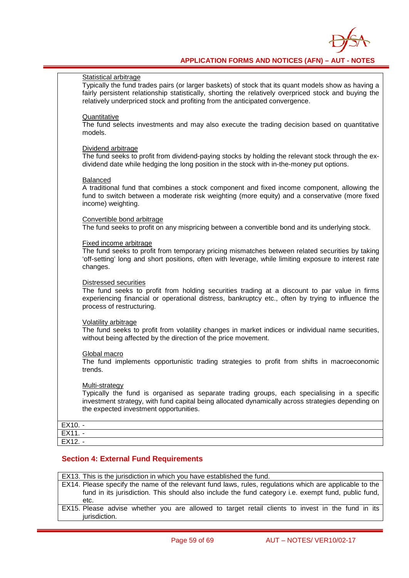

#### Statistical arbitrage

Typically the fund trades pairs (or larger baskets) of stock that its quant models show as having a fairly persistent relationship statistically, shorting the relatively overpriced stock and buying the relatively underpriced stock and profiting from the anticipated convergence.

#### **Quantitative**

The fund selects investments and may also execute the trading decision based on quantitative models.

#### Dividend arbitrage

The fund seeks to profit from dividend-paying stocks by holding the relevant stock through the exdividend date while hedging the long position in the stock with in-the-money put options.

#### Balanced

A traditional fund that combines a stock component and fixed income component, allowing the fund to switch between a moderate risk weighting (more equity) and a conservative (more fixed income) weighting.

Convertible bond arbitrage The fund seeks to profit on any mispricing between a convertible bond and its underlying stock.

#### Fixed income arbitrage

The fund seeks to profit from temporary pricing mismatches between related securities by taking 'off-setting' long and short positions, often with leverage, while limiting exposure to interest rate changes.

#### Distressed securities

The fund seeks to profit from holding securities trading at a discount to par value in firms experiencing financial or operational distress, bankruptcy etc., often by trying to influence the process of restructuring.

#### Volatility arbitrage

The fund seeks to profit from volatility changes in market indices or individual name securities, without being affected by the direction of the price movement.

#### Global macro

The fund implements opportunistic trading strategies to profit from shifts in macroeconomic trends.

#### Multi-strategy

Typically the fund is organised as separate trading groups, each specialising in a specific investment strategy, with fund capital being allocated dynamically across strategies depending on the expected investment opportunities.

| EX10. -            |  |
|--------------------|--|
| EX11               |  |
| $\overline{EX12.}$ |  |

#### **Section 4: External Fund Requirements**

EX13. This is the jurisdiction in which you have established the fund.

- EX14. Please specify the name of the relevant fund laws, rules, regulations which are applicable to the fund in its jurisdiction. This should also include the fund category i.e. exempt fund, public fund, etc.
- EX15. Please advise whether you are allowed to target retail clients to invest in the fund in its jurisdiction.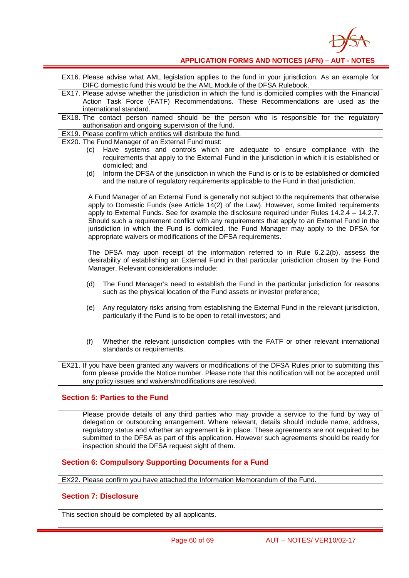

| EX16. Please advise what AML legislation applies to the fund in your jurisdiction. As an example for<br>DIFC domestic fund this would be the AML Module of the DFSA Rulebook. |  |  |
|-------------------------------------------------------------------------------------------------------------------------------------------------------------------------------|--|--|
| EX17. Please advise whether the jurisdiction in which the fund is domiciled complies with the Financial                                                                       |  |  |
| Action Task Force (FATF) Recommendations. These Recommendations are used as the                                                                                               |  |  |
| international standard.                                                                                                                                                       |  |  |
| EX18. The contact person named should be the person who is responsible for the regulatory                                                                                     |  |  |
| authorisation and ongoing supervision of the fund.                                                                                                                            |  |  |
| EX19. Please confirm which entities will distribute the fund.                                                                                                                 |  |  |
| EX20. The Fund Manager of an External Fund must:                                                                                                                              |  |  |
| Have systems and controls which are adequate to ensure compliance with the<br>(c)                                                                                             |  |  |
| requirements that apply to the External Fund in the jurisdiction in which it is established or                                                                                |  |  |
| domiciled; and                                                                                                                                                                |  |  |
| Inform the DFSA of the jurisdiction in which the Fund is or is to be established or domiciled<br>(d)                                                                          |  |  |
| and the nature of regulatory requirements applicable to the Fund in that jurisdiction.                                                                                        |  |  |
|                                                                                                                                                                               |  |  |
| A Fund Manager of an External Fund is generally not subject to the requirements that otherwise                                                                                |  |  |
| apply to Domestic Funds (see Article 14(2) of the Law). However, some limited requirements                                                                                    |  |  |
| apply to External Funds. See for example the disclosure required under Rules $14.2.4 - 14.2.7$ .                                                                              |  |  |
| Should such a requirement conflict with any requirements that apply to an External Fund in the                                                                                |  |  |
| jurisdiction in which the Fund is domiciled, the Fund Manager may apply to the DFSA for                                                                                       |  |  |
| appropriate waivers or modifications of the DFSA requirements.                                                                                                                |  |  |
|                                                                                                                                                                               |  |  |
| The DFSA may upon receipt of the information referred to in Rule 6.2.2(b), assess the                                                                                         |  |  |
| desirability of establishing an External Fund in that particular jurisdiction chosen by the Fund                                                                              |  |  |
| Manager. Relevant considerations include:                                                                                                                                     |  |  |
|                                                                                                                                                                               |  |  |
| The Fund Manager's need to establish the Fund in the particular jurisdiction for reasons<br>(d)                                                                               |  |  |
| such as the physical location of the Fund assets or investor preference;                                                                                                      |  |  |
|                                                                                                                                                                               |  |  |
| Any regulatory risks arising from establishing the External Fund in the relevant jurisdiction,<br>(e)                                                                         |  |  |
| particularly if the Fund is to be open to retail investors; and                                                                                                               |  |  |
|                                                                                                                                                                               |  |  |
|                                                                                                                                                                               |  |  |
|                                                                                                                                                                               |  |  |
| Whether the relevant jurisdiction complies with the FATF or other relevant international<br>(f)                                                                               |  |  |
| standards or requirements.                                                                                                                                                    |  |  |
|                                                                                                                                                                               |  |  |
| EX21. If you have been granted any waivers or modifications of the DFSA Rules prior to submitting this                                                                        |  |  |
| form please provide the Notice number. Please note that this notification will not be accepted until                                                                          |  |  |
| any policy issues and waivers/modifications are resolved.                                                                                                                     |  |  |

#### **Section 5: Parties to the Fund**

Please provide details of any third parties who may provide a service to the fund by way of delegation or outsourcing arrangement. Where relevant, details should include name, address, regulatory status and whether an agreement is in place. These agreements are not required to be submitted to the DFSA as part of this application. However such agreements should be ready for inspection should the DFSA request sight of them.

#### **Section 6: Compulsory Supporting Documents for a Fund**

EX22. Please confirm you have attached the Information Memorandum of the Fund.

#### **Section 7: Disclosure**

This section should be completed by all applicants.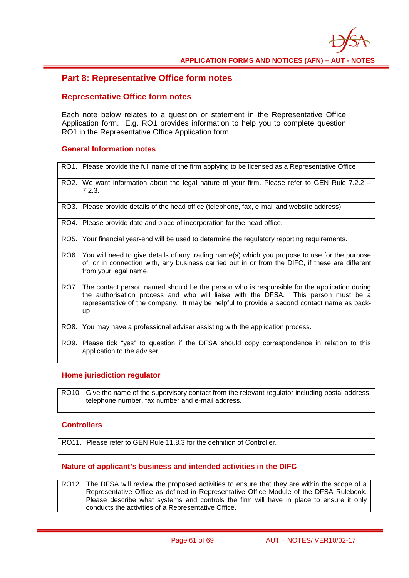

#### **Part 8: Representative Office form notes**

#### **Representative Office form notes**

Each note below relates to a question or statement in the Representative Office Application form. E.g. RO1 provides information to help you to complete question RO1 in the Representative Office Application form.

#### **General Information notes**

- RO1. Please provide the full name of the firm applying to be licensed as a Representative Office RO2. We want information about the legal nature of your firm. Please refer to GEN Rule 7.2.2 -7.2.3. RO3. Please provide details of the head office (telephone, fax, e-mail and website address) RO4. Please provide date and place of incorporation for the head office.
- 
- RO5. Your financial year-end will be used to determine the regulatory reporting requirements.
- RO6. You will need to give details of any trading name(s) which you propose to use for the purpose of, or in connection with, any business carried out in or from the DIFC, if these are different from your legal name.
- RO7. The contact person named should be the person who is responsible for the application during the authorisation process and who will liaise with the DFSA. This person must be a representative of the company. It may be helpful to provide a second contact name as backup.
- RO8. You may have a professional adviser assisting with the application process.
- RO9. Please tick "yes" to question if the DFSA should copy correspondence in relation to this application to the adviser.

#### **Home jurisdiction regulator**

RO10. Give the name of the supervisory contact from the relevant regulator including postal address, telephone number, fax number and e-mail address.

#### **Controllers**

RO11. Please refer to GEN Rule 11.8.3 for the definition of Controller.

#### **Nature of applicant's business and intended activities in the DIFC**

RO12. The DFSA will review the proposed activities to ensure that they are within the scope of a Representative Office as defined in Representative Office Module of the DFSA Rulebook. Please describe what systems and controls the firm will have in place to ensure it only conducts the activities of a Representative Office.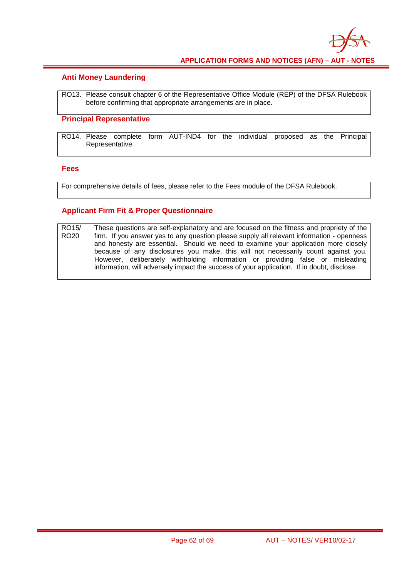

#### **Anti Money Laundering**

RO13. Please consult chapter 6 of the Representative Office Module (REP) of the DFSA Rulebook before confirming that appropriate arrangements are in place.

#### **Principal Representative**

RO14. Please complete form AUT-IND4 for the individual proposed as the Principal Representative.

#### **Fees**

For comprehensive details of fees, please refer to the Fees module of the DFSA Rulebook.

#### **Applicant Firm Fit & Proper Questionnaire**

RO15/ RO20 These questions are self-explanatory and are focused on the fitness and propriety of the firm. If you answer yes to any question please supply all relevant information - openness and honesty are essential. Should we need to examine your application more closely because of any disclosures you make, this will not necessarily count against you. However, deliberately withholding information or providing false or misleading information, will adversely impact the success of your application. If in doubt, disclose.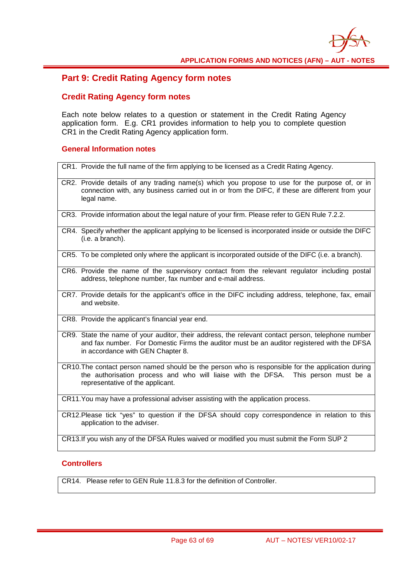

### **Part 9: Credit Rating Agency form notes**

#### **Credit Rating Agency form notes**

Each note below relates to a question or statement in the Credit Rating Agency application form. E.g. CR1 provides information to help you to complete question CR1 in the Credit Rating Agency application form.

#### **General Information notes**

CR1. Provide the full name of the firm applying to be licensed as a Credit Rating Agency. CR2. Provide details of any trading name(s) which you propose to use for the purpose of, or in connection with, any business carried out in or from the DIFC, if these are different from your legal name. CR3. Provide information about the legal nature of your firm. Please refer to GEN Rule 7.2.2. CR4. Specify whether the applicant applying to be licensed is incorporated inside or outside the DIFC (i.e. a branch). CR5. To be completed only where the applicant is incorporated outside of the DIFC (i.e. a branch). CR6. Provide the name of the supervisory contact from the relevant regulator including postal address, telephone number, fax number and e-mail address. CR7. Provide details for the applicant's office in the DIFC including address, telephone, fax, email and website. CR8. Provide the applicant's financial year end. CR9. State the name of your auditor, their address, the relevant contact person, telephone number and fax number. For Domestic Firms the auditor must be an auditor registered with the DFSA in accordance with GEN Chapter 8. CR10.The contact person named should be the person who is responsible for the application during the authorisation process and who will liaise with the DFSA. This person must be a representative of the applicant. CR11.You may have a professional adviser assisting with the application process.

CR12.Please tick "yes" to question if the DFSA should copy correspondence in relation to this application to the adviser.

CR13.If you wish any of the DFSA Rules waived or modified you must submit the Form SUP 2

#### **Controllers**

CR14. Please refer to GEN Rule 11.8.3 for the definition of Controller.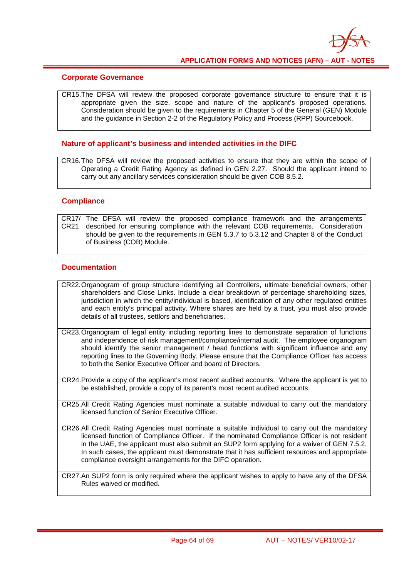

#### **Corporate Governance**

CR15.The DFSA will review the proposed corporate governance structure to ensure that it is appropriate given the size, scope and nature of the applicant's proposed operations. Consideration should be given to the requirements in Chapter 5 of the General (GEN) Module and the guidance in Section 2-2 of the Regulatory Policy and Process (RPP) Sourcebook.

#### **Nature of applicant's business and intended activities in the DIFC**

CR16.The DFSA will review the proposed activities to ensure that they are within the scope of Operating a Credit Rating Agency as defined in GEN 2.27. Should the applicant intend to carry out any ancillary services consideration should be given COB 8.5.2.

#### **Compliance**

CR17/ The DFSA will review the proposed compliance framework and the arrangements CR21 described for ensuring compliance with the relevant COB requirements. Consideration should be given to the requirements in GEN 5.3.7 to 5.3.12 and Chapter 8 of the Conduct of Business (COB) Module.

#### **Documentation**

- CR22.Organogram of group structure identifying all Controllers, ultimate beneficial owners, other shareholders and Close Links. Include a clear breakdown of percentage shareholding sizes, jurisdiction in which the entity/individual is based, identification of any other regulated entities and each entity's principal activity. Where shares are held by a trust, you must also provide details of all trustees, settlors and beneficiaries.
- CR23.Organogram of legal entity including reporting lines to demonstrate separation of functions and independence of risk management/compliance/internal audit. The employee organogram should identify the senior management / head functions with significant influence and any reporting lines to the Governing Body. Please ensure that the Compliance Officer has access to both the Senior Executive Officer and board of Directors.
- CR24.Provide a copy of the applicant's most recent audited accounts. Where the applicant is yet to be established, provide a copy of its parent's most recent audited accounts.
- CR25.All Credit Rating Agencies must nominate a suitable individual to carry out the mandatory licensed function of Senior Executive Officer.
- CR26.All Credit Rating Agencies must nominate a suitable individual to carry out the mandatory licensed function of Compliance Officer. If the nominated Compliance Officer is not resident in the UAE, the applicant must also submit an SUP2 form applying for a waiver of GEN 7.5.2. In such cases, the applicant must demonstrate that it has sufficient resources and appropriate compliance oversight arrangements for the DIFC operation.
- CR27.An SUP2 form is only required where the applicant wishes to apply to have any of the DFSA Rules waived or modified.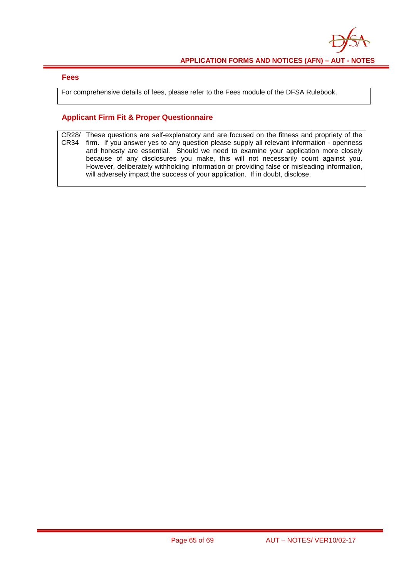

#### **Fees**

For comprehensive details of fees, please refer to the Fees module of the DFSA Rulebook.

#### **Applicant Firm Fit & Proper Questionnaire**

CR28/ CR34 These questions are self-explanatory and are focused on the fitness and propriety of the firm. If you answer yes to any question please supply all relevant information - openness and honesty are essential. Should we need to examine your application more closely because of any disclosures you make, this will not necessarily count against you. However, deliberately withholding information or providing false or misleading information, will adversely impact the success of your application. If in doubt, disclose.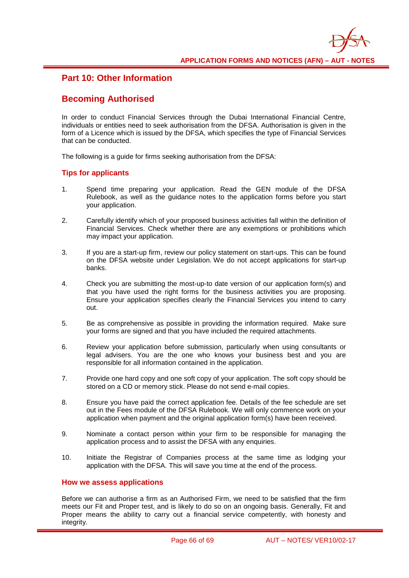### **Part 10: Other Information**

### **Becoming Authorised**

In order to conduct Financial Services through the Dubai International Financial Centre, individuals or entities need to seek authorisation from the DFSA. Authorisation is given in the form of a Licence which is issued by the DFSA, which specifies the type of Financial Services that can be conducted.

The following is a guide for firms seeking authorisation from the DFSA:

#### **Tips for applicants**

- 1. Spend time preparing your application. Read the GEN module of the DFSA Rulebook, as well as the guidance notes to the application forms before you start your application.
- 2. Carefully identify which of your proposed business activities fall within the definition of Financial Services. Check whether there are any exemptions or prohibitions which may impact your application.
- 3. If you are a start-up firm, review our policy statement on start-ups. This can be found on the DFSA website under Legislation. We do not accept applications for start-up banks.
- 4. Check you are submitting the most-up-to date version of our application form(s) and that you have used the right forms for the business activities you are proposing. Ensure your application specifies clearly the Financial Services you intend to carry out.
- 5. Be as comprehensive as possible in providing the information required. Make sure your forms are signed and that you have included the required attachments.
- 6. Review your application before submission, particularly when using consultants or legal advisers. You are the one who knows your business best and you are responsible for all information contained in the application.
- 7. Provide one hard copy and one soft copy of your application. The soft copy should be stored on a CD or memory stick. Please do not send e-mail copies.
- 8. Ensure you have paid the correct application fee. Details of the fee schedule are set out in the Fees module of the DFSA Rulebook. We will only commence work on your application when payment and the original application form(s) have been received.
- 9. Nominate a contact person within your firm to be responsible for managing the application process and to assist the DFSA with any enquiries.
- 10. Initiate the Registrar of Companies process at the same time as lodging your application with the DFSA. This will save you time at the end of the process.

#### **How we assess applications**

Before we can authorise a firm as an Authorised Firm, we need to be satisfied that the firm meets our Fit and Proper test, and is likely to do so on an ongoing basis. Generally, Fit and Proper means the ability to carry out a financial service competently, with honesty and integrity.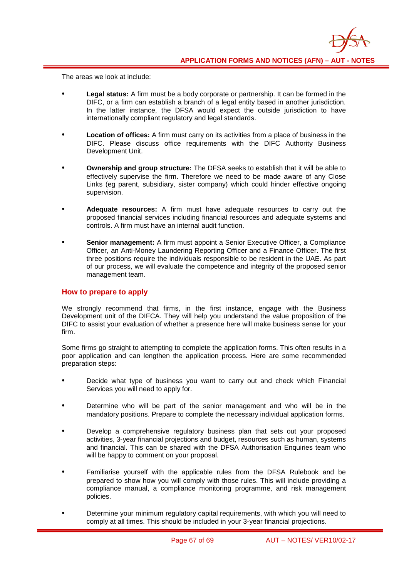The areas we look at include:

- **Legal status:** A firm must be a body corporate or partnership. It can be formed in the DIFC, or a firm can establish a branch of a legal entity based in another jurisdiction. In the latter instance, the DFSA would expect the outside jurisdiction to have internationally compliant regulatory and legal standards.
- **Location of offices:** A firm must carry on its activities from a place of business in the DIFC. Please discuss office requirements with the DIFC Authority Business Development Unit.
- **Ownership and group structure:** The DFSA seeks to establish that it will be able to effectively supervise the firm. Therefore we need to be made aware of any Close Links (eg parent, subsidiary, sister company) which could hinder effective ongoing supervision.
- **Adequate resources:** A firm must have adequate resources to carry out the proposed financial services including financial resources and adequate systems and controls. A firm must have an internal audit function.
- **Senior management:** A firm must appoint a Senior Executive Officer, a Compliance Officer, an Anti-Money Laundering Reporting Officer and a Finance Officer. The first three positions require the individuals responsible to be resident in the UAE. As part of our process, we will evaluate the competence and integrity of the proposed senior management team.

#### **How to prepare to apply**

We strongly recommend that firms, in the first instance, engage with the Business Development unit of the DIFCA. They will help you understand the value proposition of the DIFC to assist your evaluation of whether a presence here will make business sense for your firm.

Some firms go straight to attempting to complete the application forms. This often results in a poor application and can lengthen the application process. Here are some recommended preparation steps:

- Decide what type of business you want to carry out and check which Financial Services you will need to apply for.
- Determine who will be part of the senior management and who will be in the mandatory positions. Prepare to complete the necessary individual application forms.
- Develop a comprehensive regulatory business plan that sets out your proposed activities, 3-year financial projections and budget, resources such as human, systems and financial. This can be shared with the DFSA Authorisation Enquiries team who will be happy to comment on your proposal.
- Familiarise yourself with the applicable rules from the DFSA Rulebook and be prepared to show how you will comply with those rules. This will include providing a compliance manual, a compliance monitoring programme, and risk management policies.
- Determine your minimum regulatory capital requirements, with which you will need to comply at all times. This should be included in your 3-year financial projections.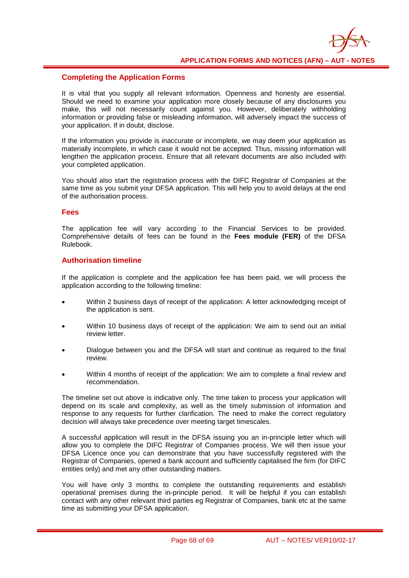

#### **Completing the Application Forms**

It is vital that you supply all relevant information. Openness and honesty are essential. Should we need to examine your application more closely because of any disclosures you make, this will not necessarily count against you. However, deliberately withholding information or providing false or misleading information, will adversely impact the success of your application. If in doubt, disclose.

If the information you provide is inaccurate or incomplete, we may deem your application as materially incomplete, in which case it would not be accepted. Thus, missing information will lengthen the application process. Ensure that all relevant documents are also included with your completed application.

You should also start the registration process with the DIFC Registrar of Companies at the same time as you submit your DFSA application. This will help you to avoid delays at the end of the authorisation process.

#### **Fees**

The application fee will vary according to the Financial Services to be provided. Comprehensive details of fees can be found in the **[Fees module \(FER\)](http://www.complinet.com/dfsa/display/display.html?rbid=1547&record_id=20367)** of the DFSA Rulebook.

#### **Authorisation timeline**

If the application is complete and the application fee has been paid, we will process the application according to the following timeline:

- Within 2 business days of receipt of the application: A letter acknowledging receipt of the application is sent.
- Within 10 business days of receipt of the application: We aim to send out an initial review letter.
- Dialogue between you and the DFSA will start and continue as required to the final review.
- Within 4 months of receipt of the application: We aim to complete a final review and recommendation.

The timeline set out above is indicative only. The time taken to process your application will depend on its scale and complexity, as well as the timely submission of information and response to any requests for further clarification. The need to make the correct regulatory decision will always take precedence over meeting target timescales.

A successful application will result in the DFSA issuing you an in-principle letter which will allow you to complete the DIFC Registrar of Companies process. We will then issue your DFSA Licence once you can demonstrate that you have successfully registered with the Registrar of Companies, opened a bank account and sufficiently capitalised the firm (for DIFC entities only) and met any other outstanding matters.

You will have only 3 months to complete the outstanding requirements and establish operational premises during the in-principle period. It will be helpful if you can establish contact with any other relevant third parties eg Registrar of Companies, bank etc at the same time as submitting your DFSA application.